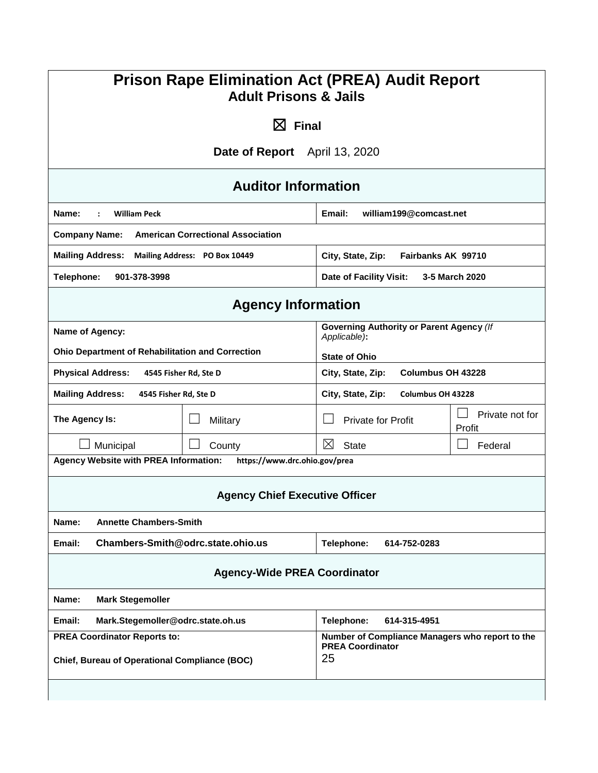| <b>Prison Rape Elimination Act (PREA) Audit Report</b><br><b>Adult Prisons &amp; Jails</b> |                                          |                                                                                  |                           |
|--------------------------------------------------------------------------------------------|------------------------------------------|----------------------------------------------------------------------------------|---------------------------|
|                                                                                            | $\boxtimes$ Final                        |                                                                                  |                           |
|                                                                                            | Date of Report April 13, 2020            |                                                                                  |                           |
|                                                                                            | <b>Auditor Information</b>               |                                                                                  |                           |
| Name:<br><b>William Peck</b>                                                               |                                          | william199@comcast.net<br>Email:                                                 |                           |
| <b>Company Name:</b>                                                                       | <b>American Correctional Association</b> |                                                                                  |                           |
| <b>Mailing Address:</b>                                                                    | Mailing Address: PO Box 10449            | City, State, Zip:<br>Fairbanks AK 99710                                          |                           |
| Telephone:<br>901-378-3998                                                                 |                                          | Date of Facility Visit:<br>3-5 March 2020                                        |                           |
|                                                                                            | <b>Agency Information</b>                |                                                                                  |                           |
| Name of Agency:                                                                            |                                          | <b>Governing Authority or Parent Agency (If</b>                                  |                           |
| <b>Ohio Department of Rehabilitation and Correction</b>                                    |                                          | Applicable):<br><b>State of Ohio</b>                                             |                           |
| <b>Physical Address:</b><br>4545 Fisher Rd, Ste D                                          |                                          | City, State, Zip:<br>Columbus OH 43228                                           |                           |
| <b>Mailing Address:</b><br>4545 Fisher Rd, Ste D                                           |                                          | City, State, Zip:<br>Columbus OH 43228                                           |                           |
| The Agency Is:                                                                             | Military                                 | <b>Private for Profit</b>                                                        | Private not for<br>Profit |
| Municipal                                                                                  | County                                   | $\boxtimes$<br><b>State</b>                                                      | Federal                   |
| <b>Agency Website with PREA Information:</b>                                               | https://www.drc.ohio.gov/prea            |                                                                                  |                           |
|                                                                                            | <b>Agency Chief Executive Officer</b>    |                                                                                  |                           |
| <b>Annette Chambers-Smith</b><br>Name:                                                     |                                          |                                                                                  |                           |
| Chambers-Smith@odrc.state.ohio.us<br>Email:                                                |                                          | Telephone:<br>614-752-0283                                                       |                           |
| <b>Agency-Wide PREA Coordinator</b>                                                        |                                          |                                                                                  |                           |
| Name:<br><b>Mark Stegemoller</b>                                                           |                                          |                                                                                  |                           |
| Email:<br>Mark.Stegemoller@odrc.state.oh.us                                                |                                          | Telephone:<br>614-315-4951                                                       |                           |
| <b>PREA Coordinator Reports to:</b><br>Chief, Bureau of Operational Compliance (BOC)       |                                          | Number of Compliance Managers who report to the<br><b>PREA Coordinator</b><br>25 |                           |
|                                                                                            |                                          |                                                                                  |                           |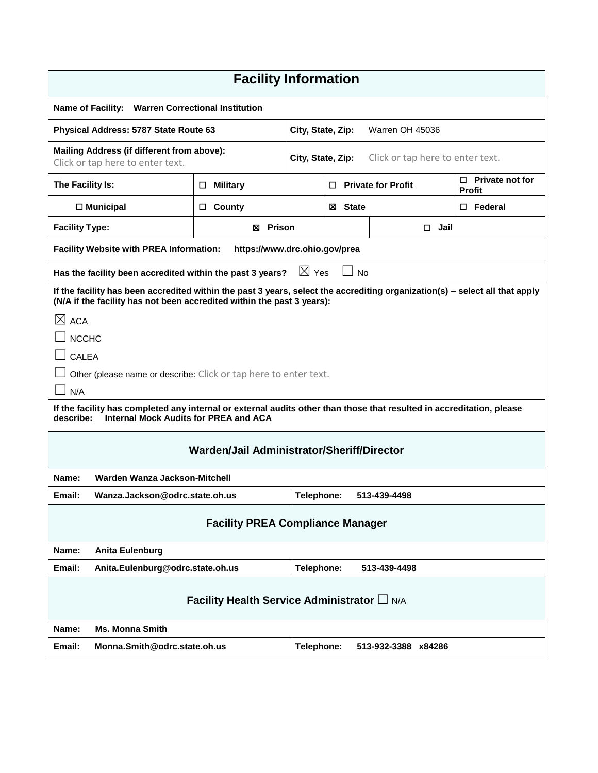| <b>Facility Information</b>                                                                                                                                                                           |                               |                                                       |                |                                         |                     |  |
|-------------------------------------------------------------------------------------------------------------------------------------------------------------------------------------------------------|-------------------------------|-------------------------------------------------------|----------------|-----------------------------------------|---------------------|--|
| Name of Facility: Warren Correctional Institution                                                                                                                                                     |                               |                                                       |                |                                         |                     |  |
| Physical Address: 5787 State Route 63                                                                                                                                                                 |                               | City, State, Zip:                                     |                |                                         | Warren OH 45036     |  |
| Mailing Address (if different from above):<br>Click or tap here to enter text.                                                                                                                        |                               | Click or tap here to enter text.<br>City, State, Zip: |                |                                         |                     |  |
| The Facility Is:                                                                                                                                                                                      | <b>Military</b><br>0          | <b>Private for Profit</b><br>0                        |                | $\Box$ Private not for<br><b>Profit</b> |                     |  |
| $\Box$ Municipal                                                                                                                                                                                      | County<br>□                   | ⊠ State                                               |                |                                         | $\Box$ Federal      |  |
| <b>Facility Type:</b>                                                                                                                                                                                 | <b>図 Prison</b>               |                                                       | $\square$ Jail |                                         |                     |  |
| <b>Facility Website with PREA Information:</b>                                                                                                                                                        | https://www.drc.ohio.gov/prea |                                                       |                |                                         |                     |  |
| Has the facility been accredited within the past 3 years?                                                                                                                                             |                               | $\boxtimes$ Yes                                       |                | <b>No</b>                               |                     |  |
| If the facility has been accredited within the past 3 years, select the accrediting organization(s) – select all that apply<br>(N/A if the facility has not been accredited within the past 3 years): |                               |                                                       |                |                                         |                     |  |
| $\boxtimes$ ACA                                                                                                                                                                                       |                               |                                                       |                |                                         |                     |  |
| <b>NCCHC</b>                                                                                                                                                                                          |                               |                                                       |                |                                         |                     |  |
| <b>CALEA</b>                                                                                                                                                                                          |                               |                                                       |                |                                         |                     |  |
| Other (please name or describe: Click or tap here to enter text.                                                                                                                                      |                               |                                                       |                |                                         |                     |  |
| N/A                                                                                                                                                                                                   |                               |                                                       |                |                                         |                     |  |
| If the facility has completed any internal or external audits other than those that resulted in accreditation, please<br>describe:<br>Internal Mock Audits for PREA and ACA                           |                               |                                                       |                |                                         |                     |  |
| Warden/Jail Administrator/Sheriff/Director                                                                                                                                                            |                               |                                                       |                |                                         |                     |  |
| Warden Wanza Jackson-Mitchell<br>Name:                                                                                                                                                                |                               |                                                       |                |                                         |                     |  |
| Wanza.Jackson@odrc.state.oh.us<br>Email:                                                                                                                                                              |                               | Telephone:                                            |                |                                         | 513-439-4498        |  |
| <b>Facility PREA Compliance Manager</b>                                                                                                                                                               |                               |                                                       |                |                                         |                     |  |
| Name:<br>Anita Eulenburg                                                                                                                                                                              |                               |                                                       |                |                                         |                     |  |
| Email:<br>Anita.Eulenburg@odrc.state.oh.us                                                                                                                                                            |                               | Telephone:                                            |                |                                         | 513-439-4498        |  |
| Facility Health Service Administrator L N/A                                                                                                                                                           |                               |                                                       |                |                                         |                     |  |
| <b>Ms. Monna Smith</b><br>Name:                                                                                                                                                                       |                               |                                                       |                |                                         |                     |  |
| Monna.Smith@odrc.state.oh.us<br>Email:                                                                                                                                                                |                               | Telephone:                                            |                |                                         | 513-932-3388 x84286 |  |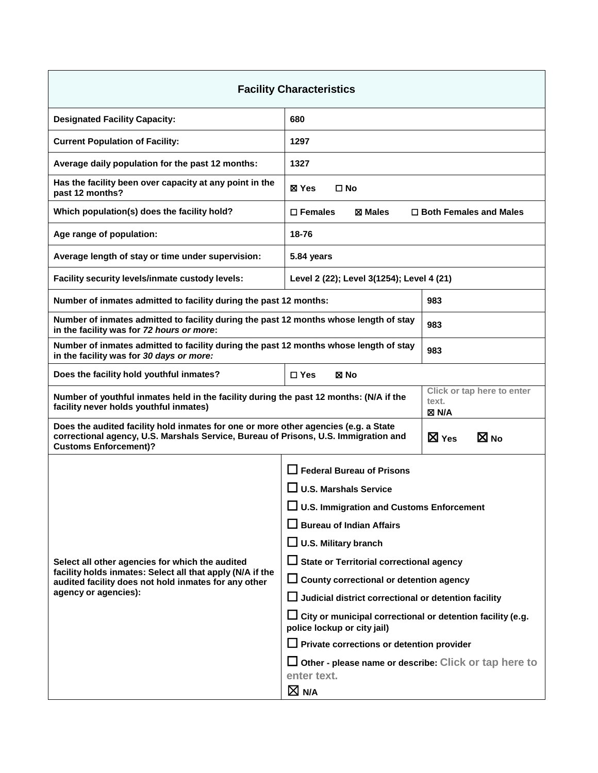| <b>Facility Characteristics</b>                                                                                                                                                                            |                                                                                                  |                                   |  |  |
|------------------------------------------------------------------------------------------------------------------------------------------------------------------------------------------------------------|--------------------------------------------------------------------------------------------------|-----------------------------------|--|--|
| <b>Designated Facility Capacity:</b>                                                                                                                                                                       | 680                                                                                              |                                   |  |  |
| <b>Current Population of Facility:</b>                                                                                                                                                                     | 1297                                                                                             |                                   |  |  |
| Average daily population for the past 12 months:                                                                                                                                                           | 1327                                                                                             |                                   |  |  |
| Has the facility been over capacity at any point in the<br>past 12 months?                                                                                                                                 | ⊠ Yes<br>$\square$ No                                                                            |                                   |  |  |
| Which population(s) does the facility hold?                                                                                                                                                                | $\square$ Females<br>⊠ Males                                                                     | $\Box$ Both Females and Males     |  |  |
| Age range of population:                                                                                                                                                                                   | 18-76                                                                                            |                                   |  |  |
| Average length of stay or time under supervision:                                                                                                                                                          | 5.84 years                                                                                       |                                   |  |  |
| Facility security levels/inmate custody levels:                                                                                                                                                            | Level 2 (22); Level 3(1254); Level 4 (21)                                                        |                                   |  |  |
| Number of inmates admitted to facility during the past 12 months:                                                                                                                                          |                                                                                                  | 983                               |  |  |
| Number of inmates admitted to facility during the past 12 months whose length of stay<br>in the facility was for 72 hours or more:                                                                         |                                                                                                  | 983                               |  |  |
| Number of inmates admitted to facility during the past 12 months whose length of stay<br>in the facility was for 30 days or more:                                                                          |                                                                                                  | 983                               |  |  |
| Does the facility hold youthful inmates?                                                                                                                                                                   | $\square$ Yes<br>⊠ No                                                                            |                                   |  |  |
| Click or tap here to enter<br>Number of youthful inmates held in the facility during the past 12 months: (N/A if the<br>text.<br>facility never holds youthful inmates)<br>⊠ N/A                           |                                                                                                  |                                   |  |  |
| Does the audited facility hold inmates for one or more other agencies (e.g. a State<br>correctional agency, U.S. Marshals Service, Bureau of Prisons, U.S. Immigration and<br><b>Customs Enforcement)?</b> |                                                                                                  | $\boxtimes$ No<br>$\boxtimes$ Yes |  |  |
|                                                                                                                                                                                                            | $\Box$ Federal Bureau of Prisons                                                                 |                                   |  |  |
|                                                                                                                                                                                                            | $\Box$ U.S. Marshals Service                                                                     |                                   |  |  |
|                                                                                                                                                                                                            | $\square$ U.S. Immigration and Customs Enforcement                                               |                                   |  |  |
|                                                                                                                                                                                                            | $\Box$ Bureau of Indian Affairs<br>$\Box$ U.S. Military branch                                   |                                   |  |  |
| Select all other agencies for which the audited                                                                                                                                                            | $\Box$ State or Territorial correctional agency                                                  |                                   |  |  |
| facility holds inmates: Select all that apply (N/A if the<br>audited facility does not hold inmates for any other                                                                                          | $\Box$ County correctional or detention agency                                                   |                                   |  |  |
| agency or agencies):                                                                                                                                                                                       | $\Box$ Judicial district correctional or detention facility                                      |                                   |  |  |
|                                                                                                                                                                                                            | $\Box$ City or municipal correctional or detention facility (e.g.<br>police lockup or city jail) |                                   |  |  |
|                                                                                                                                                                                                            | $\Box$ Private corrections or detention provider                                                 |                                   |  |  |
|                                                                                                                                                                                                            | $\Box$ Other - please name or describe: Click or tap here to<br>enter text.                      |                                   |  |  |
|                                                                                                                                                                                                            | $\boxtimes$ N/A                                                                                  |                                   |  |  |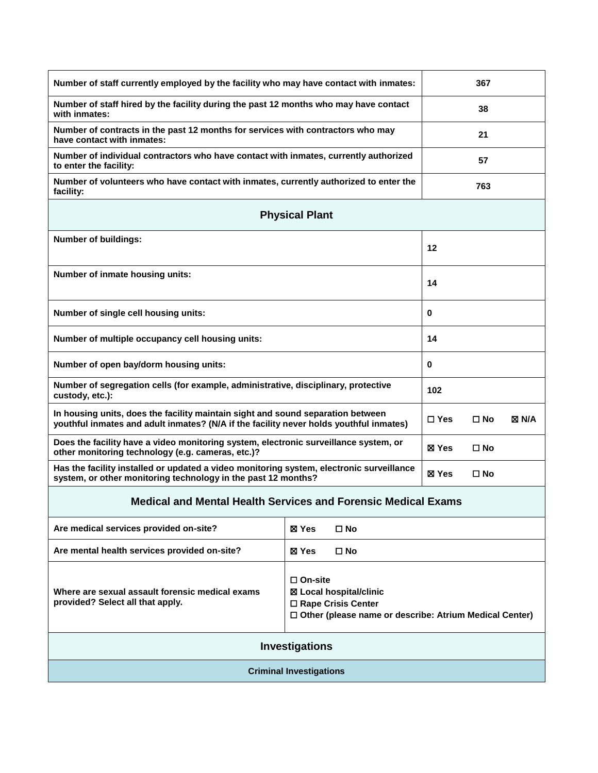| Number of staff currently employed by the facility who may have contact with inmates:                                                                                     | 367                                                                                                                                   |          |  |  |
|---------------------------------------------------------------------------------------------------------------------------------------------------------------------------|---------------------------------------------------------------------------------------------------------------------------------------|----------|--|--|
| Number of staff hired by the facility during the past 12 months who may have contact<br>with inmates:                                                                     | 38                                                                                                                                    |          |  |  |
| Number of contracts in the past 12 months for services with contractors who may<br>have contact with inmates:                                                             |                                                                                                                                       | 21       |  |  |
| Number of individual contractors who have contact with inmates, currently authorized<br>to enter the facility:                                                            |                                                                                                                                       | 57       |  |  |
| Number of volunteers who have contact with inmates, currently authorized to enter the<br>facility:                                                                        |                                                                                                                                       | 763      |  |  |
|                                                                                                                                                                           | <b>Physical Plant</b>                                                                                                                 |          |  |  |
| <b>Number of buildings:</b>                                                                                                                                               |                                                                                                                                       | 12       |  |  |
| Number of inmate housing units:                                                                                                                                           |                                                                                                                                       | 14       |  |  |
| Number of single cell housing units:                                                                                                                                      |                                                                                                                                       | 0        |  |  |
| Number of multiple occupancy cell housing units:                                                                                                                          |                                                                                                                                       | 14       |  |  |
| Number of open bay/dorm housing units:                                                                                                                                    |                                                                                                                                       | $\bf{0}$ |  |  |
| Number of segregation cells (for example, administrative, disciplinary, protective<br>custody, etc.):                                                                     |                                                                                                                                       | 102      |  |  |
| In housing units, does the facility maintain sight and sound separation between<br>youthful inmates and adult inmates? (N/A if the facility never holds youthful inmates) | $\square$ Yes<br>$\square$ No<br>⊠ N/A                                                                                                |          |  |  |
| Does the facility have a video monitoring system, electronic surveillance system, or<br>other monitoring technology (e.g. cameras, etc.)?                                 | ⊠ Yes<br>$\square$ No                                                                                                                 |          |  |  |
| Has the facility installed or updated a video monitoring system, electronic surveillance<br>system, or other monitoring technology in the past 12 months?                 | ⊠ Yes<br>$\square$ No                                                                                                                 |          |  |  |
| <b>Medical and Mental Health Services and Forensic Medical Exams</b>                                                                                                      |                                                                                                                                       |          |  |  |
| Are medical services provided on-site?                                                                                                                                    | $\square$ No<br>⊠ Yes                                                                                                                 |          |  |  |
| Are mental health services provided on-site?                                                                                                                              | ⊠ Yes<br>□ No                                                                                                                         |          |  |  |
| Where are sexual assault forensic medical exams<br>provided? Select all that apply.                                                                                       | $\square$ On-site<br>⊠ Local hospital/clinic<br>□ Rape Crisis Center<br>$\Box$ Other (please name or describe: Atrium Medical Center) |          |  |  |
| Investigations                                                                                                                                                            |                                                                                                                                       |          |  |  |
| <b>Criminal Investigations</b>                                                                                                                                            |                                                                                                                                       |          |  |  |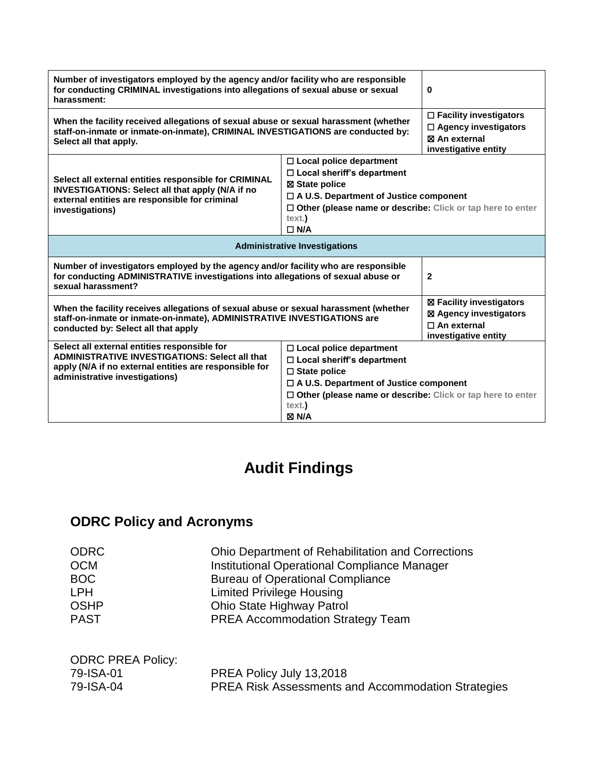| Number of investigators employed by the agency and/or facility who are responsible<br>for conducting CRIMINAL investigations into allegations of sexual abuse or sexual<br>harassment:                 | 0                                                                                                                                                                                                                                     |  |  |
|--------------------------------------------------------------------------------------------------------------------------------------------------------------------------------------------------------|---------------------------------------------------------------------------------------------------------------------------------------------------------------------------------------------------------------------------------------|--|--|
| When the facility received allegations of sexual abuse or sexual harassment (whether<br>staff-on-inmate or inmate-on-inmate), CRIMINAL INVESTIGATIONS are conducted by:<br>Select all that apply.      | $\Box$ Facility investigators<br>$\Box$ Agency investigators<br><b>冈 An external</b><br>investigative entity                                                                                                                          |  |  |
| Select all external entities responsible for CRIMINAL<br><b>INVESTIGATIONS: Select all that apply (N/A if no</b><br>external entities are responsible for criminal<br>investigations)                  | $\Box$ Local police department<br>$\Box$ Local sheriff's department<br>⊠ State police<br>$\Box$ A U.S. Department of Justice component<br>□ Other (please name or describe: Click or tap here to enter<br>text.)<br>$\Box$ N/A        |  |  |
| <b>Administrative Investigations</b>                                                                                                                                                                   |                                                                                                                                                                                                                                       |  |  |
| Number of investigators employed by the agency and/or facility who are responsible<br>for conducting ADMINISTRATIVE investigations into allegations of sexual abuse or<br>sexual harassment?           | $\mathbf{2}$                                                                                                                                                                                                                          |  |  |
| When the facility receives allegations of sexual abuse or sexual harassment (whether<br>staff-on-inmate or inmate-on-inmate), ADMINISTRATIVE INVESTIGATIONS are<br>conducted by: Select all that apply | ⊠ Facility investigators<br>⊠ Agency investigators<br>$\Box$ An external<br>investigative entity                                                                                                                                      |  |  |
| Select all external entities responsible for<br><b>ADMINISTRATIVE INVESTIGATIONS: Select all that</b><br>apply (N/A if no external entities are responsible for<br>administrative investigations)      | $\Box$ Local police department<br>$\Box$ Local sheriff's department<br>$\Box$ State police<br>$\Box$ A U.S. Department of Justice component<br>□ Other (please name or describe: Click or tap here to enter<br>text.)<br><b>X N/A</b> |  |  |

# **Audit Findings**

# **ODRC Policy and Acronyms**

| <b>ODRC</b>              | <b>Ohio Department of Rehabilitation and Corrections</b> |
|--------------------------|----------------------------------------------------------|
| <b>OCM</b>               | <b>Institutional Operational Compliance Manager</b>      |
| <b>BOC</b>               | <b>Bureau of Operational Compliance</b>                  |
| <b>LPH</b>               | <b>Limited Privilege Housing</b>                         |
| <b>OSHP</b>              | Ohio State Highway Patrol                                |
| <b>PAST</b>              | <b>PREA Accommodation Strategy Team</b>                  |
|                          |                                                          |
| <b>ODRC PREA Policy:</b> |                                                          |
| 79-ISA-01                | PREA Policy July 13,2018                                 |

79-ISA-04 PREA Risk Assessments and Accommodation Strategies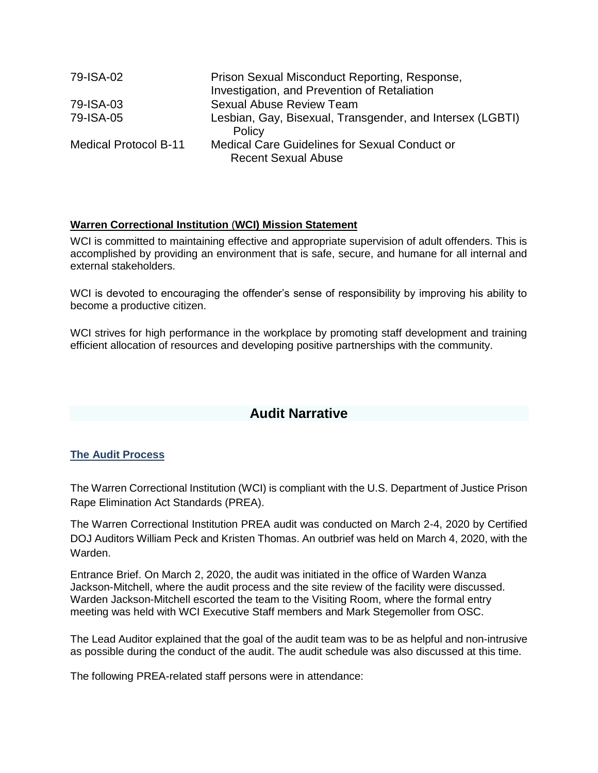| 79-ISA-02                    | Prison Sexual Misconduct Reporting, Response,             |
|------------------------------|-----------------------------------------------------------|
|                              | Investigation, and Prevention of Retaliation              |
| 79-ISA-03                    | Sexual Abuse Review Team                                  |
| 79-ISA-05                    | Lesbian, Gay, Bisexual, Transgender, and Intersex (LGBTI) |
|                              | Policy                                                    |
| <b>Medical Protocol B-11</b> | Medical Care Guidelines for Sexual Conduct or             |
|                              | <b>Recent Sexual Abuse</b>                                |

# **Warren Correctional Institution** (**WCI) Mission Statement**

WCI is committed to maintaining effective and appropriate supervision of adult offenders. This is accomplished by providing an environment that is safe, secure, and humane for all internal and external stakeholders.

WCI is devoted to encouraging the offender's sense of responsibility by improving his ability to become a productive citizen.

WCI strives for high performance in the workplace by promoting staff development and training efficient allocation of resources and developing positive partnerships with the community.

# **Audit Narrative**

### **The Audit Process**

The Warren Correctional Institution (WCI) is compliant with the U.S. Department of Justice Prison Rape Elimination Act Standards (PREA).

The Warren Correctional Institution PREA audit was conducted on March 2-4, 2020 by Certified DOJ Auditors William Peck and Kristen Thomas. An outbrief was held on March 4, 2020, with the Warden.

Entrance Brief. On March 2, 2020, the audit was initiated in the office of Warden Wanza Jackson-Mitchell, where the audit process and the site review of the facility were discussed. Warden Jackson-Mitchell escorted the team to the Visiting Room, where the formal entry meeting was held with WCI Executive Staff members and Mark Stegemoller from OSC.

The Lead Auditor explained that the goal of the audit team was to be as helpful and non-intrusive as possible during the conduct of the audit. The audit schedule was also discussed at this time.

The following PREA-related staff persons were in attendance: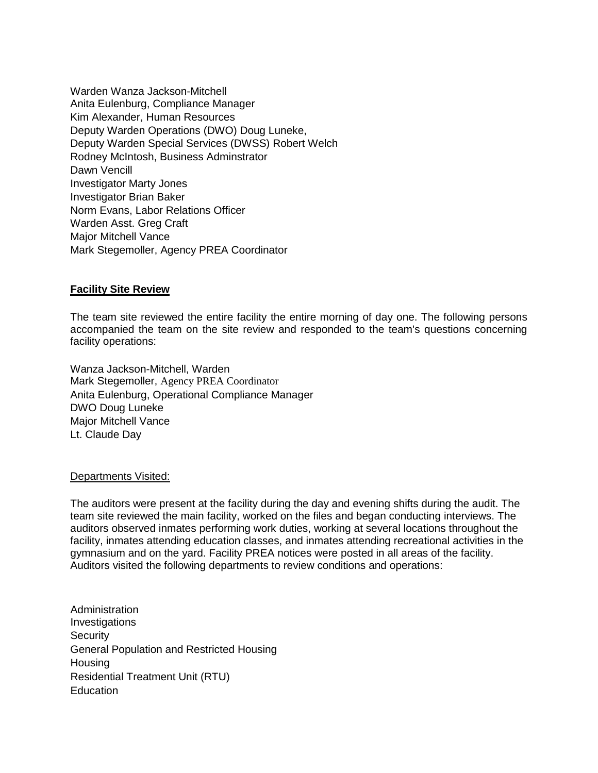Warden Wanza Jackson-Mitchell Anita Eulenburg, Compliance Manager Kim Alexander, Human Resources Deputy Warden Operations (DWO) Doug Luneke, Deputy Warden Special Services (DWSS) Robert Welch Rodney McIntosh, Business Adminstrator Dawn Vencill Investigator Marty Jones Investigator Brian Baker Norm Evans, Labor Relations Officer Warden Asst. Greg Craft Major Mitchell Vance Mark Stegemoller, Agency PREA Coordinator

### **Facility Site Review**

The team site reviewed the entire facility the entire morning of day one. The following persons accompanied the team on the site review and responded to the team's questions concerning facility operations:

Wanza Jackson-Mitchell, Warden Mark Stegemoller, Agency PREA Coordinator Anita Eulenburg, Operational Compliance Manager DWO Doug Luneke Major Mitchell Vance Lt. Claude Day

#### Departments Visited:

The auditors were present at the facility during the day and evening shifts during the audit. The team site reviewed the main facility, worked on the files and began conducting interviews. The auditors observed inmates performing work duties, working at several locations throughout the facility, inmates attending education classes, and inmates attending recreational activities in the gymnasium and on the yard. Facility PREA notices were posted in all areas of the facility. Auditors visited the following departments to review conditions and operations:

Administration Investigations **Security** General Population and Restricted Housing **Housing** Residential Treatment Unit (RTU) **Education**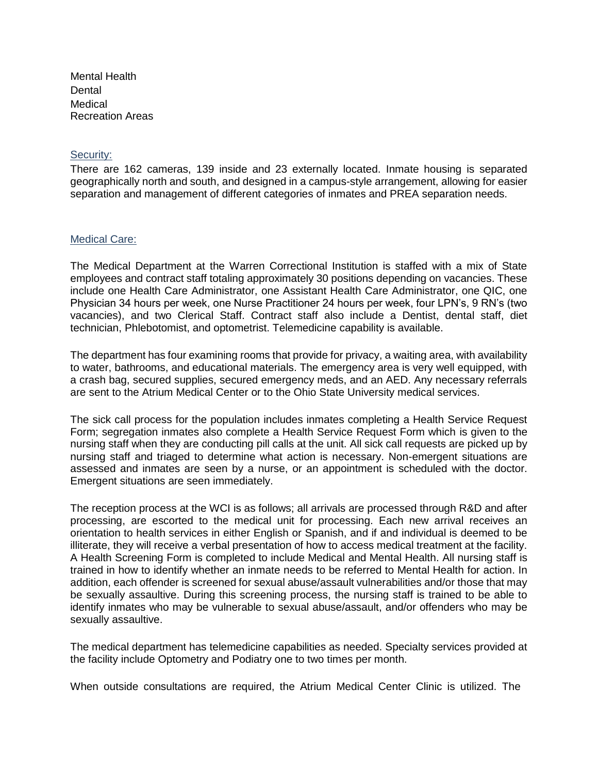Mental Health Dental Medical Recreation Areas

#### Security:

There are 162 cameras, 139 inside and 23 externally located. Inmate housing is separated geographically north and south, and designed in a campus-style arrangement, allowing for easier separation and management of different categories of inmates and PREA separation needs.

#### Medical Care:

The Medical Department at the Warren Correctional Institution is staffed with a mix of State employees and contract staff totaling approximately 30 positions depending on vacancies. These include one Health Care Administrator, one Assistant Health Care Administrator, one QIC, one Physician 34 hours per week, one Nurse Practitioner 24 hours per week, four LPN's, 9 RN's (two vacancies), and two Clerical Staff. Contract staff also include a Dentist, dental staff, diet technician, Phlebotomist, and optometrist. Telemedicine capability is available.

The department has four examining rooms that provide for privacy, a waiting area, with availability to water, bathrooms, and educational materials. The emergency area is very well equipped, with a crash bag, secured supplies, secured emergency meds, and an AED. Any necessary referrals are sent to the Atrium Medical Center or to the Ohio State University medical services.

The sick call process for the population includes inmates completing a Health Service Request Form; segregation inmates also complete a Health Service Request Form which is given to the nursing staff when they are conducting pill calls at the unit. All sick call requests are picked up by nursing staff and triaged to determine what action is necessary. Non-emergent situations are assessed and inmates are seen by a nurse, or an appointment is scheduled with the doctor. Emergent situations are seen immediately.

The reception process at the WCI is as follows; all arrivals are processed through R&D and after processing, are escorted to the medical unit for processing. Each new arrival receives an orientation to health services in either English or Spanish, and if and individual is deemed to be illiterate, they will receive a verbal presentation of how to access medical treatment at the facility. A Health Screening Form is completed to include Medical and Mental Health. All nursing staff is trained in how to identify whether an inmate needs to be referred to Mental Health for action. In addition, each offender is screened for sexual abuse/assault vulnerabilities and/or those that may be sexually assaultive. During this screening process, the nursing staff is trained to be able to identify inmates who may be vulnerable to sexual abuse/assault, and/or offenders who may be sexually assaultive.

The medical department has telemedicine capabilities as needed. Specialty services provided at the facility include Optometry and Podiatry one to two times per month.

When outside consultations are required, the Atrium Medical Center Clinic is utilized. The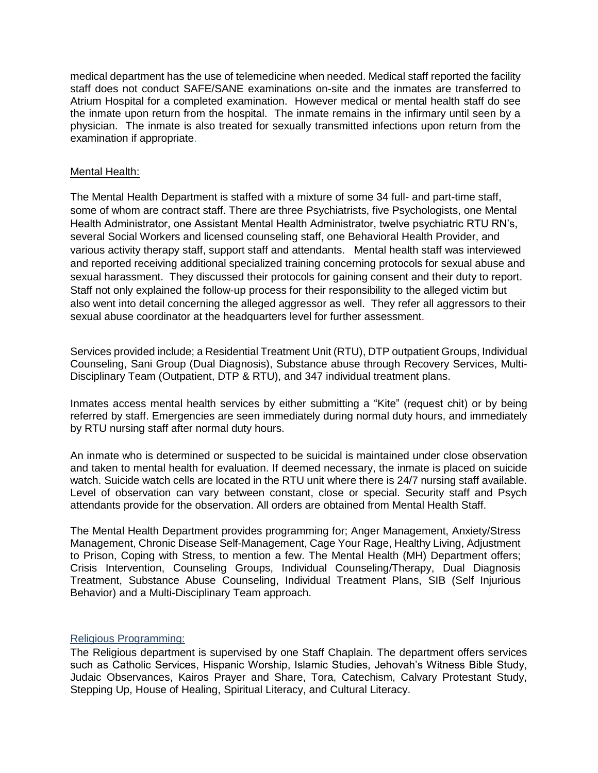medical department has the use of telemedicine when needed. Medical staff reported the facility staff does not conduct SAFE/SANE examinations on-site and the inmates are transferred to Atrium Hospital for a completed examination. However medical or mental health staff do see the inmate upon return from the hospital. The inmate remains in the infirmary until seen by a physician. The inmate is also treated for sexually transmitted infections upon return from the examination if appropriate.

### Mental Health:

The Mental Health Department is staffed with a mixture of some 34 full- and part-time staff, some of whom are contract staff. There are three Psychiatrists, five Psychologists, one Mental Health Administrator, one Assistant Mental Health Administrator, twelve psychiatric RTU RN's, several Social Workers and licensed counseling staff, one Behavioral Health Provider, and various activity therapy staff, support staff and attendants.Mental health staff was interviewed and reported receiving additional specialized training concerning protocols for sexual abuse and sexual harassment. They discussed their protocols for gaining consent and their duty to report. Staff not only explained the follow-up process for their responsibility to the alleged victim but also went into detail concerning the alleged aggressor as well. They refer all aggressors to their sexual abuse coordinator at the headquarters level for further assessment.

Services provided include; a Residential Treatment Unit (RTU), DTP outpatient Groups, Individual Counseling, Sani Group (Dual Diagnosis), Substance abuse through Recovery Services, Multi-Disciplinary Team (Outpatient, DTP & RTU), and 347 individual treatment plans.

Inmates access mental health services by either submitting a "Kite" (request chit) or by being referred by staff. Emergencies are seen immediately during normal duty hours, and immediately by RTU nursing staff after normal duty hours.

An inmate who is determined or suspected to be suicidal is maintained under close observation and taken to mental health for evaluation. If deemed necessary, the inmate is placed on suicide watch. Suicide watch cells are located in the RTU unit where there is 24/7 nursing staff available. Level of observation can vary between constant, close or special. Security staff and Psych attendants provide for the observation. All orders are obtained from Mental Health Staff.

The Mental Health Department provides programming for; Anger Management, Anxiety/Stress Management, Chronic Disease Self-Management, Cage Your Rage, Healthy Living, Adjustment to Prison, Coping with Stress, to mention a few. The Mental Health (MH) Department offers; Crisis Intervention, Counseling Groups, Individual Counseling/Therapy, Dual Diagnosis Treatment, Substance Abuse Counseling, Individual Treatment Plans, SIB (Self Injurious Behavior) and a Multi-Disciplinary Team approach.

### Religious Programming:

The Religious department is supervised by one Staff Chaplain. The department offers services such as Catholic Services, Hispanic Worship, Islamic Studies, Jehovah's Witness Bible Study, Judaic Observances, Kairos Prayer and Share, Tora, Catechism, Calvary Protestant Study, Stepping Up, House of Healing, Spiritual Literacy, and Cultural Literacy.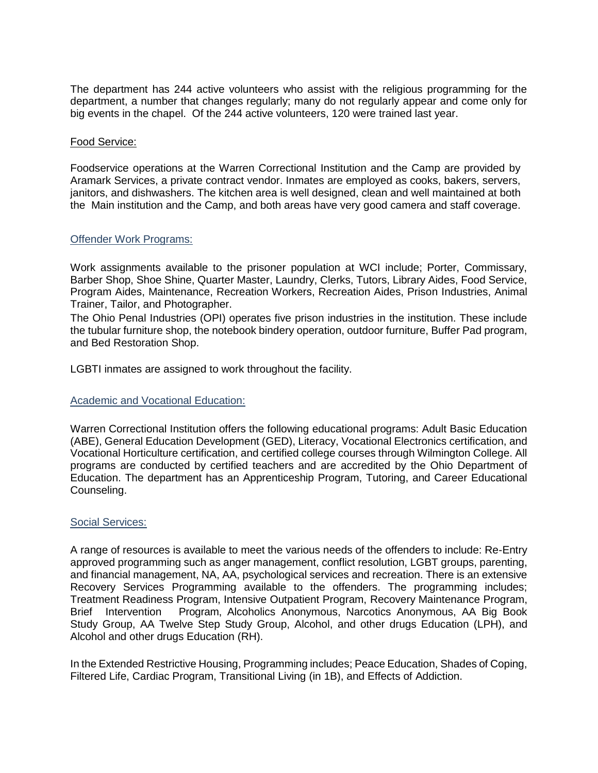The department has 244 active volunteers who assist with the religious programming for the department, a number that changes regularly; many do not regularly appear and come only for big events in the chapel. Of the 244 active volunteers, 120 were trained last year.

### Food Service:

Foodservice operations at the Warren Correctional Institution and the Camp are provided by Aramark Services, a private contract vendor. Inmates are employed as cooks, bakers, servers, janitors, and dishwashers. The kitchen area is well designed, clean and well maintained at both the Main institution and the Camp, and both areas have very good camera and staff coverage.

#### Offender Work Programs:

Work assignments available to the prisoner population at WCI include; Porter, Commissary, Barber Shop, Shoe Shine, Quarter Master, Laundry, Clerks, Tutors, Library Aides, Food Service, Program Aides, Maintenance, Recreation Workers, Recreation Aides, Prison Industries, Animal Trainer, Tailor, and Photographer.

The Ohio Penal Industries (OPI) operates five prison industries in the institution. These include the tubular furniture shop, the notebook bindery operation, outdoor furniture, Buffer Pad program, and Bed Restoration Shop.

LGBTI inmates are assigned to work throughout the facility.

### Academic and Vocational Education:

Warren Correctional Institution offers the following educational programs: Adult Basic Education (ABE), General Education Development (GED), Literacy, Vocational Electronics certification, and Vocational Horticulture certification, and certified college courses through Wilmington College. All programs are conducted by certified teachers and are accredited by the Ohio Department of Education. The department has an Apprenticeship Program, Tutoring, and Career Educational Counseling.

#### Social Services:

A range of resources is available to meet the various needs of the offenders to include: Re-Entry approved programming such as anger management, conflict resolution, LGBT groups, parenting, and financial management, NA, AA, psychological services and recreation. There is an extensive Recovery Services Programming available to the offenders. The programming includes; Treatment Readiness Program, Intensive Outpatient Program, Recovery Maintenance Program, Brief Intervention Program, Alcoholics Anonymous, Narcotics Anonymous, AA Big Book Study Group, AA Twelve Step Study Group, Alcohol, and other drugs Education (LPH), and Alcohol and other drugs Education (RH).

In the Extended Restrictive Housing, Programming includes; Peace Education, Shades of Coping, Filtered Life, Cardiac Program, Transitional Living (in 1B), and Effects of Addiction.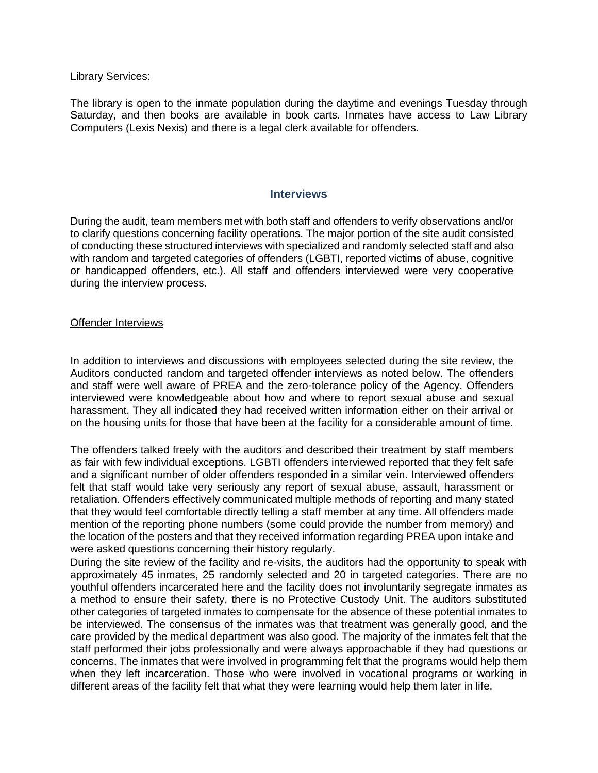Library Services:

The library is open to the inmate population during the daytime and evenings Tuesday through Saturday, and then books are available in book carts. Inmates have access to Law Library Computers (Lexis Nexis) and there is a legal clerk available for offenders.

### **Interviews**

During the audit, team members met with both staff and offenders to verify observations and/or to clarify questions concerning facility operations. The major portion of the site audit consisted of conducting these structured interviews with specialized and randomly selected staff and also with random and targeted categories of offenders (LGBTI, reported victims of abuse, cognitive or handicapped offenders, etc.). All staff and offenders interviewed were very cooperative during the interview process.

### Offender Interviews

In addition to interviews and discussions with employees selected during the site review, the Auditors conducted random and targeted offender interviews as noted below. The offenders and staff were well aware of PREA and the zero-tolerance policy of the Agency. Offenders interviewed were knowledgeable about how and where to report sexual abuse and sexual harassment. They all indicated they had received written information either on their arrival or on the housing units for those that have been at the facility for a considerable amount of time.

The offenders talked freely with the auditors and described their treatment by staff members as fair with few individual exceptions. LGBTI offenders interviewed reported that they felt safe and a significant number of older offenders responded in a similar vein. Interviewed offenders felt that staff would take very seriously any report of sexual abuse, assault, harassment or retaliation. Offenders effectively communicated multiple methods of reporting and many stated that they would feel comfortable directly telling a staff member at any time. All offenders made mention of the reporting phone numbers (some could provide the number from memory) and the location of the posters and that they received information regarding PREA upon intake and were asked questions concerning their history regularly.

During the site review of the facility and re-visits, the auditors had the opportunity to speak with approximately 45 inmates, 25 randomly selected and 20 in targeted categories. There are no youthful offenders incarcerated here and the facility does not involuntarily segregate inmates as a method to ensure their safety, there is no Protective Custody Unit. The auditors substituted other categories of targeted inmates to compensate for the absence of these potential inmates to be interviewed. The consensus of the inmates was that treatment was generally good, and the care provided by the medical department was also good. The majority of the inmates felt that the staff performed their jobs professionally and were always approachable if they had questions or concerns. The inmates that were involved in programming felt that the programs would help them when they left incarceration. Those who were involved in vocational programs or working in different areas of the facility felt that what they were learning would help them later in life.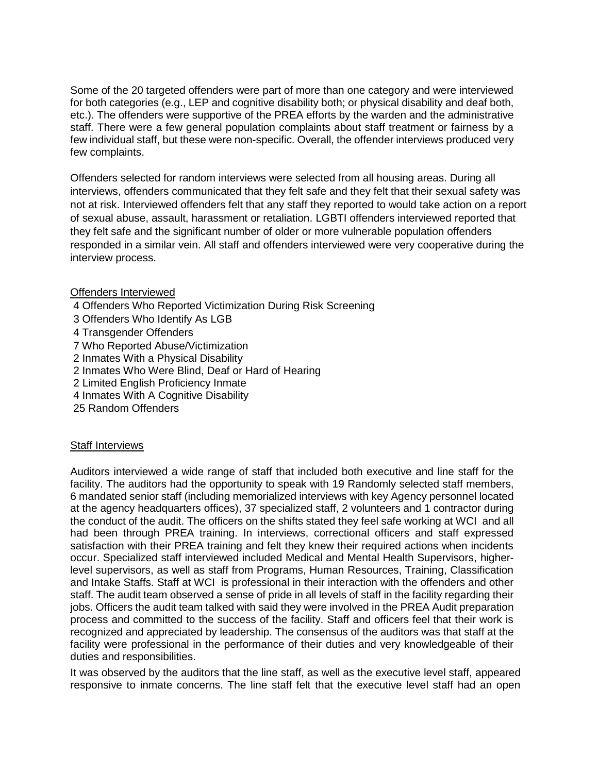Some of the 20 targeted offenders were part of more than one category and were interviewed for both categories (e.g., LEP and cognitive disability both; or physical disability and deaf both, etc.). The offenders were supportive of the PREA efforts by the warden and the administrative staff. There were a few general population complaints about staff treatment or fairness by a few individual staff, but these were non-specific. Overall, the offender interviews produced very few complaints.

Offenders selected for random interviews were selected from all housing areas. During all interviews, offenders communicated that they felt safe and they felt that their sexual safety was not at risk. Interviewed offenders felt that any staff they reported to would take action on a report of sexual abuse, assault, harassment or retaliation. LGBTI offenders interviewed reported that they felt safe and the significant number of older or more vulnerable population offenders responded in a similar vein. All staff and offenders interviewed were very cooperative during the interview process.

### Offenders Interviewed

- 4 Offenders Who Reported Victimization During Risk Screening
- 3 Offenders Who Identify As LGB
- 4 Transgender Offenders
- 7 Who Reported Abuse/Victimization
- 2 Inmates With a Physical Disability
- 2 Inmates Who Were Blind, Deaf or Hard of Hearing
- 2 Limited English Proficiency Inmate
- 4 Inmates With A Cognitive Disability
- 25 Random Offenders

### **Staff Interviews**

Auditors interviewed a wide range of staff that included both executive and line staff for the facility. The auditors had the opportunity to speak with 19 Randomly selected staff members, 6 mandated senior staff (including memorialized interviews with key Agency personnel located at the agency headquarters offices), 37 specialized staff, 2 volunteers and 1 contractor during the conduct of the audit. The officers on the shifts stated they feel safe working at WCI and all had been through PREA training. In interviews, correctional officers and staff expressed satisfaction with their PREA training and felt they knew their required actions when incidents occur. Specialized staff interviewed included Medical and Mental Health Supervisors, higherlevel supervisors, as well as staff from Programs, Human Resources, Training, Classification and Intake Staffs. Staff at WCI is professional in their interaction with the offenders and other staff. The audit team observed a sense of pride in all levels of staff in the facility regarding their jobs. Officers the audit team talked with said they were involved in the PREA Audit preparation process and committed to the success of the facility. Staff and officers feel that their work is recognized and appreciated by leadership. The consensus of the auditors was that staff at the facility were professional in the performance of their duties and very knowledgeable of their duties and responsibilities.

It was observed by the auditors that the line staff, as well as the executive level staff, appeared responsive to inmate concerns. The line staff felt that the executive level staff had an open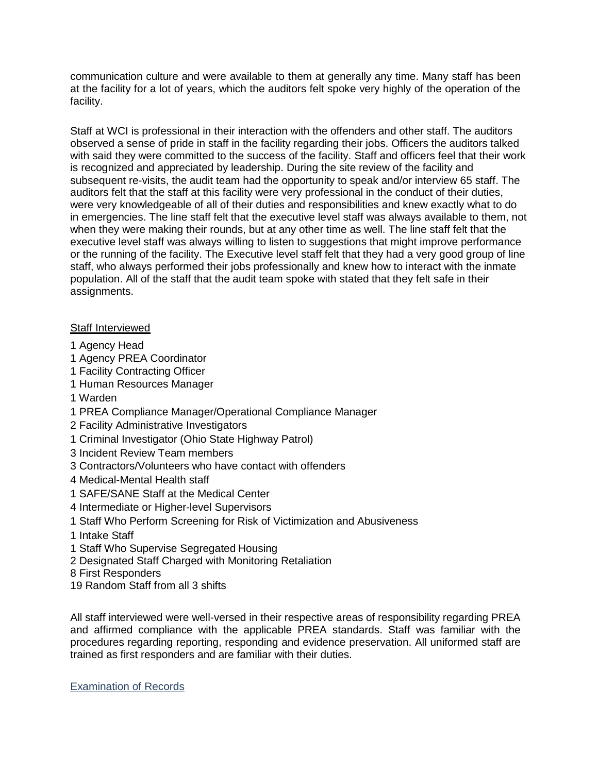communication culture and were available to them at generally any time. Many staff has been at the facility for a lot of years, which the auditors felt spoke very highly of the operation of the facility.

Staff at WCI is professional in their interaction with the offenders and other staff. The auditors observed a sense of pride in staff in the facility regarding their jobs. Officers the auditors talked with said they were committed to the success of the facility. Staff and officers feel that their work is recognized and appreciated by leadership. During the site review of the facility and subsequent re-visits, the audit team had the opportunity to speak and/or interview 65 staff. The auditors felt that the staff at this facility were very professional in the conduct of their duties, were very knowledgeable of all of their duties and responsibilities and knew exactly what to do in emergencies. The line staff felt that the executive level staff was always available to them, not when they were making their rounds, but at any other time as well. The line staff felt that the executive level staff was always willing to listen to suggestions that might improve performance or the running of the facility. The Executive level staff felt that they had a very good group of line staff, who always performed their jobs professionally and knew how to interact with the inmate population. All of the staff that the audit team spoke with stated that they felt safe in their assignments.

### Staff Interviewed

- 1 Agency Head
- 1 Agency PREA Coordinator
- 1 Facility Contracting Officer
- 1 Human Resources Manager
- 1 Warden
- 1 PREA Compliance Manager/Operational Compliance Manager
- 2 Facility Administrative Investigators
- 1 Criminal Investigator (Ohio State Highway Patrol)
- 3 Incident Review Team members
- 3 Contractors/Volunteers who have contact with offenders
- 4 Medical-Mental Health staff
- 1 SAFE/SANE Staff at the Medical Center
- 4 Intermediate or Higher-level Supervisors
- 1 Staff Who Perform Screening for Risk of Victimization and Abusiveness
- 1 Intake Staff
- 1 Staff Who Supervise Segregated Housing
- 2 Designated Staff Charged with Monitoring Retaliation
- 8 First Responders
- 19 Random Staff from all 3 shifts

All staff interviewed were well-versed in their respective areas of responsibility regarding PREA and affirmed compliance with the applicable PREA standards. Staff was familiar with the procedures regarding reporting, responding and evidence preservation. All uniformed staff are trained as first responders and are familiar with their duties.

Examination of Records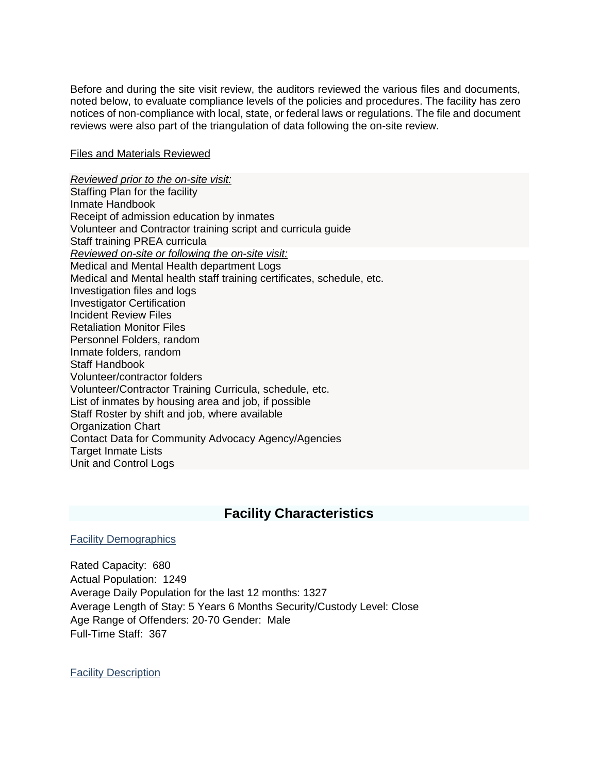Before and during the site visit review, the auditors reviewed the various files and documents, noted below, to evaluate compliance levels of the policies and procedures. The facility has zero notices of non-compliance with local, state, or federal laws or regulations. The file and document reviews were also part of the triangulation of data following the on-site review.

#### Files and Materials Reviewed

*Reviewed prior to the on-site visit:* Staffing Plan for the facility Inmate Handbook Receipt of admission education by inmates Volunteer and Contractor training script and curricula guide Staff training PREA curricula *Reviewed on-site or following the on-site visit:* Medical and Mental Health department Logs Medical and Mental health staff training certificates, schedule, etc. Investigation files and logs Investigator Certification Incident Review Files Retaliation Monitor Files Personnel Folders, random Inmate folders, random Staff Handbook Volunteer/contractor folders Volunteer/Contractor Training Curricula, schedule, etc. List of inmates by housing area and job, if possible Staff Roster by shift and job, where available Organization Chart Contact Data for Community Advocacy Agency/Agencies Target Inmate Lists Unit and Control Logs

# **Facility Characteristics**

### Facility Demographics

Rated Capacity: 680 Actual Population: 1249 Average Daily Population for the last 12 months: 1327 Average Length of Stay: 5 Years 6 Months Security/Custody Level: Close Age Range of Offenders: 20-70 Gender: Male Full-Time Staff: 367

Facility Description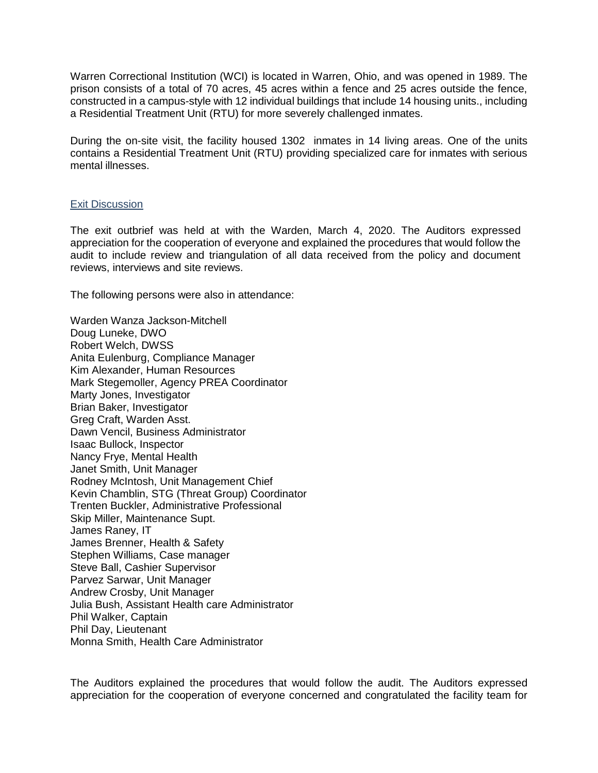Warren Correctional Institution (WCI) is located in Warren, Ohio, and was opened in 1989. The prison consists of a total of 70 acres, 45 acres within a fence and 25 acres outside the fence, constructed in a campus-style with 12 individual buildings that include 14 housing units., including a Residential Treatment Unit (RTU) for more severely challenged inmates.

During the on-site visit, the facility housed 1302 inmates in 14 living areas. One of the units contains a Residential Treatment Unit (RTU) providing specialized care for inmates with serious mental illnesses.

#### Exit Discussion

The exit outbrief was held at with the Warden, March 4, 2020. The Auditors expressed appreciation for the cooperation of everyone and explained the procedures that would follow the audit to include review and triangulation of all data received from the policy and document reviews, interviews and site reviews.

The following persons were also in attendance:

Warden Wanza Jackson-Mitchell Doug Luneke, DWO Robert Welch, DWSS Anita Eulenburg, Compliance Manager Kim Alexander, Human Resources Mark Stegemoller, Agency PREA Coordinator Marty Jones, Investigator Brian Baker, Investigator Greg Craft, Warden Asst. Dawn Vencil, Business Administrator Isaac Bullock, Inspector Nancy Frye, Mental Health Janet Smith, Unit Manager Rodney McIntosh, Unit Management Chief Kevin Chamblin, STG (Threat Group) Coordinator Trenten Buckler, Administrative Professional Skip Miller, Maintenance Supt. James Raney, IT James Brenner, Health & Safety Stephen Williams, Case manager Steve Ball, Cashier Supervisor Parvez Sarwar, Unit Manager Andrew Crosby, Unit Manager Julia Bush, Assistant Health care Administrator Phil Walker, Captain Phil Day, Lieutenant Monna Smith, Health Care Administrator

The Auditors explained the procedures that would follow the audit. The Auditors expressed appreciation for the cooperation of everyone concerned and congratulated the facility team for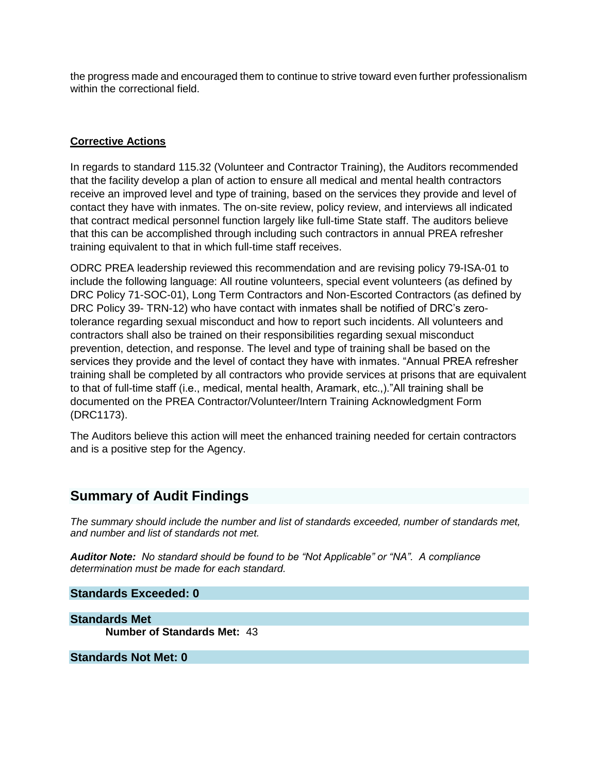the progress made and encouraged them to continue to strive toward even further professionalism within the correctional field.

### **Corrective Actions**

In regards to standard 115.32 (Volunteer and Contractor Training), the Auditors recommended that the facility develop a plan of action to ensure all medical and mental health contractors receive an improved level and type of training, based on the services they provide and level of contact they have with inmates. The on-site review, policy review, and interviews all indicated that contract medical personnel function largely like full-time State staff. The auditors believe that this can be accomplished through including such contractors in annual PREA refresher training equivalent to that in which full-time staff receives.

ODRC PREA leadership reviewed this recommendation and are revising policy 79-ISA-01 to include the following language: All routine volunteers, special event volunteers (as defined by DRC Policy 71-SOC-01), Long Term Contractors and Non-Escorted Contractors (as defined by DRC Policy 39- TRN-12) who have contact with inmates shall be notified of DRC's zerotolerance regarding sexual misconduct and how to report such incidents. All volunteers and contractors shall also be trained on their responsibilities regarding sexual misconduct prevention, detection, and response. The level and type of training shall be based on the services they provide and the level of contact they have with inmates. "Annual PREA refresher training shall be completed by all contractors who provide services at prisons that are equivalent to that of full-time staff (i.e., medical, mental health, Aramark, etc.,)."All training shall be documented on the PREA Contractor/Volunteer/Intern Training Acknowledgment Form (DRC1173).

The Auditors believe this action will meet the enhanced training needed for certain contractors and is a positive step for the Agency.

# **Summary of Audit Findings**

*The summary should include the number and list of standards exceeded, number of standards met, and number and list of standards not met.*

*Auditor Note: No standard should be found to be "Not Applicable" or "NA". A compliance determination must be made for each standard.*

### **Standards Exceeded: 0**

**Standards Met Number of Standards Met:** 43

### **Standards Not Met: 0**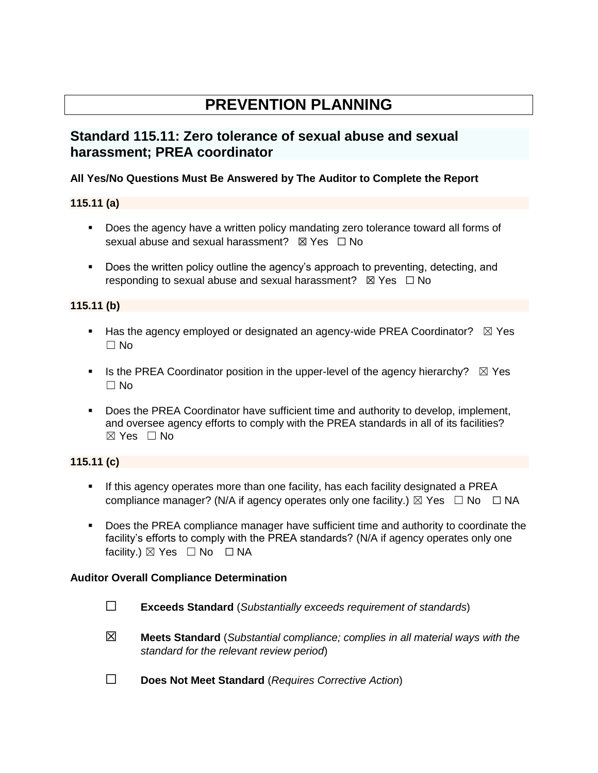# **PREVENTION PLANNING**

# **Standard 115.11: Zero tolerance of sexual abuse and sexual harassment; PREA coordinator**

### **All Yes/No Questions Must Be Answered by The Auditor to Complete the Report**

# **115.11 (a)**

- Does the agency have a written policy mandating zero tolerance toward all forms of sexual abuse and sexual harassment?  $\boxtimes$  Yes  $\Box$  No
- **•** Does the written policy outline the agency's approach to preventing, detecting, and responding to sexual abuse and sexual harassment?  $\boxtimes$  Yes  $\Box$  No

# **115.11 (b)**

- **E** Has the agency employed or designated an agency-wide PREA Coordinator?  $\boxtimes$  Yes ☐ No
- **•** Is the PREA Coordinator position in the upper-level of the agency hierarchy?  $\boxtimes$  Yes ☐ No
- Does the PREA Coordinator have sufficient time and authority to develop, implement, and oversee agency efforts to comply with the PREA standards in all of its facilities? ☒ Yes ☐ No

### **115.11 (c)**

- **■** If this agency operates more than one facility, has each facility designated a PREA compliance manager? (N/A if agency operates only one facility.)  $\boxtimes$  Yes  $\Box$  No  $\Box$  NA
- Does the PREA compliance manager have sufficient time and authority to coordinate the facility's efforts to comply with the PREA standards? (N/A if agency operates only one facility.)  $\boxtimes$  Yes  $\Box$  No  $\Box$  NA

### **Auditor Overall Compliance Determination**

- ☐ **Exceeds Standard** (*Substantially exceeds requirement of standards*)
- ☒ **Meets Standard** (*Substantial compliance; complies in all material ways with the standard for the relevant review period*)
- ☐ **Does Not Meet Standard** (*Requires Corrective Action*)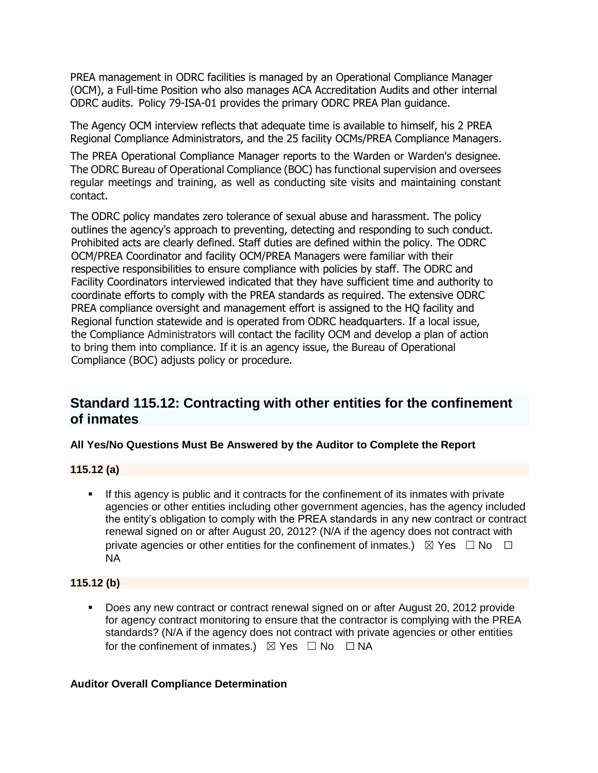PREA management in ODRC facilities is managed by an Operational Compliance Manager (OCM), a Full-time Position who also manages ACA Accreditation Audits and other internal ODRC audits.Policy 79-ISA-01 provides the primary ODRC PREA Plan guidance.

The Agency OCM interview reflects that adequate time is available to himself, his 2 PREA Regional Compliance Administrators, and the 25 facility OCMs/PREA Compliance Managers.

The PREA Operational Compliance Manager reports to the Warden or Warden's designee. The ODRC Bureau of Operational Compliance (BOC) has functional supervision and oversees regular meetings and training, as well as conducting site visits and maintaining constant contact.

The ODRC policy mandates zero tolerance of sexual abuse and harassment. The policy outlines the agency's approach to preventing, detecting and responding to such conduct. Prohibited acts are clearly defined. Staff duties are defined within the policy. The ODRC OCM/PREA Coordinator and facility OCM/PREA Managers were familiar with their respective responsibilities to ensure compliance with policies by staff. The ODRC and Facility Coordinators interviewed indicated that they have sufficient time and authority to coordinate efforts to comply with the PREA standards as required. The extensive ODRC PREA compliance oversight and management effort is assigned to the HQ facility and Regional function statewide and is operated from ODRC headquarters. If a local issue, the Compliance Administrators will contact the facility OCM and develop a plan of action to bring them into compliance. If it is an agency issue, the Bureau of Operational Compliance (BOC) adjusts policy or procedure.

# **Standard 115.12: Contracting with other entities for the confinement of inmates**

# **All Yes/No Questions Must Be Answered by the Auditor to Complete the Report**

### **115.12 (a)**

**EXECT** If this agency is public and it contracts for the confinement of its inmates with private agencies or other entities including other government agencies, has the agency included the entity's obligation to comply with the PREA standards in any new contract or contract renewal signed on or after August 20, 2012? (N/A if the agency does not contract with private agencies or other entities for the confinement of inmates.)  $\boxtimes$  Yes  $\Box$  No  $\Box$ NA

### **115.12 (b)**

▪ Does any new contract or contract renewal signed on or after August 20, 2012 provide for agency contract monitoring to ensure that the contractor is complying with the PREA standards? (N/A if the agency does not contract with private agencies or other entities for the confinement of inmates.)  $\boxtimes$  Yes  $\Box$  No  $\Box$  NA

### **Auditor Overall Compliance Determination**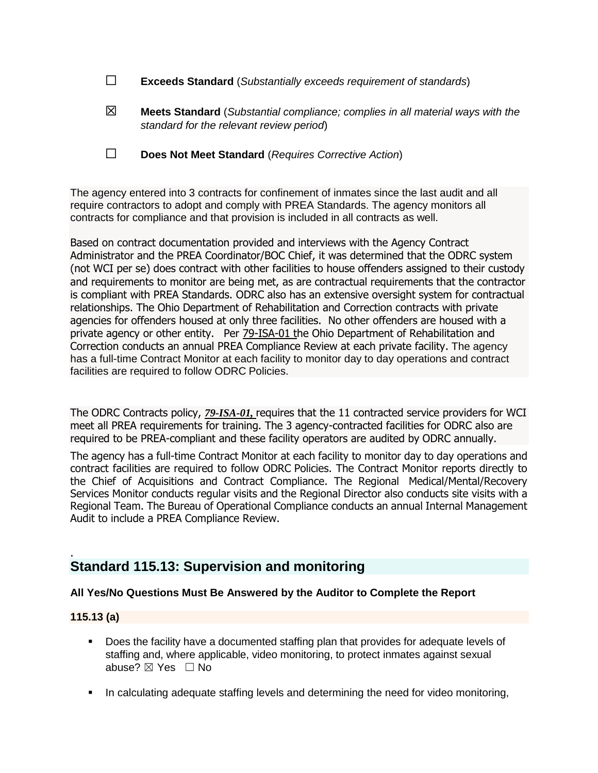- ☐ **Exceeds Standard** (*Substantially exceeds requirement of standards*)
- ☒ **Meets Standard** (*Substantial compliance; complies in all material ways with the standard for the relevant review period*)
- ☐ **Does Not Meet Standard** (*Requires Corrective Action*)

The agency entered into 3 contracts for confinement of inmates since the last audit and all require contractors to adopt and comply with PREA Standards. The agency monitors all contracts for compliance and that provision is included in all contracts as well.

Based on contract documentation provided and interviews with the Agency Contract Administrator and the PREA Coordinator/BOC Chief, it was determined that the ODRC system (not WCI per se) does contract with other facilities to house offenders assigned to their custody and requirements to monitor are being met, as are contractual requirements that the contractor is compliant with PREA Standards. ODRC also has an extensive oversight system for contractual relationships. The Ohio Department of Rehabilitation and Correction contracts with private agencies for offenders housed at only three facilities. No other offenders are housed with a private agency or other entity.Per [79-ISA-01](file://///codata/biasc/Staff%20Folder%20-%20Stegemoller/2018%20PREA%20Audits/2018%20MASTER%20COPIES/115.12/79-ISA-01%20115.12a.pdf) the Ohio Department of Rehabilitation and Correction conducts an annual PREA Compliance Review at each private facility. The agency has a full-time Contract Monitor at each facility to monitor day to day operations and contract facilities are required to follow ODRC Policies.

The ODRC Contracts policy, *[79-ISA-01,](file://///codata/biasc/Staff%20Folder%20-%20Stegemoller/2018%20PREA%20Audits/2018%20MASTER%20COPIES/115.12/79-ISA-01%20115.12a.pdf)* requires that the 11 contracted service providers for WCI meet all PREA requirements for training. The 3 agency-contracted facilities for ODRC also are required to be PREA-compliant and these facility operators are audited by ODRC annually.

The agency has a full-time Contract Monitor at each facility to monitor day to day operations and contract facilities are required to follow ODRC Policies. The Contract Monitor reports directly to the Chief of Acquisitions and Contract Compliance. The Regional Medical/Mental/Recovery Services Monitor conducts regular visits and the Regional Director also conducts site visits with a Regional Team. The Bureau of Operational Compliance conducts an annual Internal Management Audit to include a PREA Compliance Review.

# **Standard 115.13: Supervision and monitoring**

### **All Yes/No Questions Must Be Answered by the Auditor to Complete the Report**

### **115.13 (a)**

.

- Does the facility have a documented staffing plan that provides for adequate levels of staffing and, where applicable, video monitoring, to protect inmates against sexual abuse? ⊠ Yes □ No
- **•** In calculating adequate staffing levels and determining the need for video monitoring,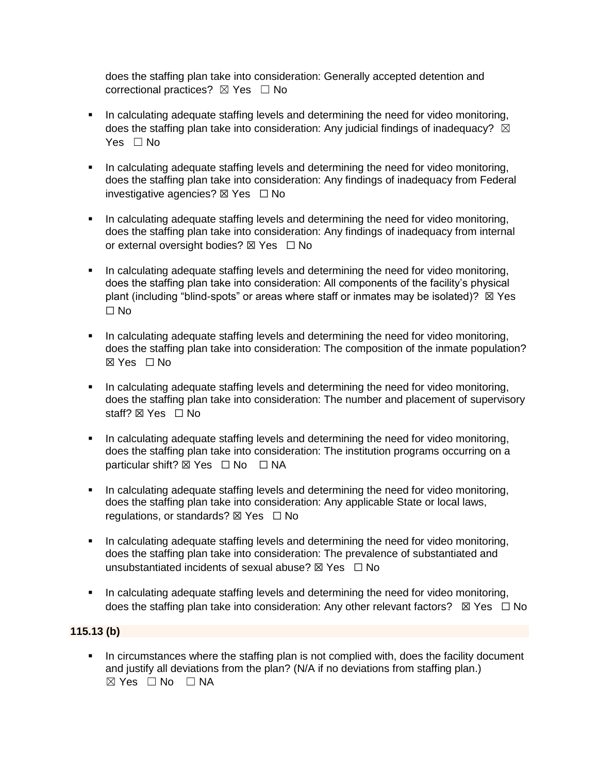does the staffing plan take into consideration: Generally accepted detention and correctional practices?  $\boxtimes$  Yes  $\Box$  No

- **·** In calculating adequate staffing levels and determining the need for video monitoring, does the staffing plan take into consideration: Any judicial findings of inadequacy?  $\boxtimes$ Yes □ No
- **•** In calculating adequate staffing levels and determining the need for video monitoring, does the staffing plan take into consideration: Any findings of inadequacy from Federal investigative agencies?  $\boxtimes$  Yes  $\Box$  No
- **·** In calculating adequate staffing levels and determining the need for video monitoring. does the staffing plan take into consideration: Any findings of inadequacy from internal or external oversight bodies? ⊠ Yes □ No
- In calculating adequate staffing levels and determining the need for video monitoring, does the staffing plan take into consideration: All components of the facility's physical plant (including "blind-spots" or areas where staff or inmates may be isolated)?  $\boxtimes$  Yes ☐ No
- **•** In calculating adequate staffing levels and determining the need for video monitoring, does the staffing plan take into consideration: The composition of the inmate population? ☒ Yes ☐ No
- **•** In calculating adequate staffing levels and determining the need for video monitoring, does the staffing plan take into consideration: The number and placement of supervisory staff?  $\boxtimes$  Yes  $\Box$  No
- In calculating adequate staffing levels and determining the need for video monitoring, does the staffing plan take into consideration: The institution programs occurring on a particular shift? **⊠** Yes □ No □ NA
- In calculating adequate staffing levels and determining the need for video monitoring, does the staffing plan take into consideration: Any applicable State or local laws, regulations, or standards? ⊠ Yes □ No
- **In calculating adequate staffing levels and determining the need for video monitoring,** does the staffing plan take into consideration: The prevalence of substantiated and unsubstantiated incidents of sexual abuse?  $\nabla$  Yes  $\nabla$  No
- **•** In calculating adequate staffing levels and determining the need for video monitoring, does the staffing plan take into consideration: Any other relevant factors?  $\boxtimes$  Yes  $\Box$  No

### **115.13 (b)**

**•** In circumstances where the staffing plan is not complied with, does the facility document and justify all deviations from the plan? (N/A if no deviations from staffing plan.) ☒ Yes ☐ No ☐ NA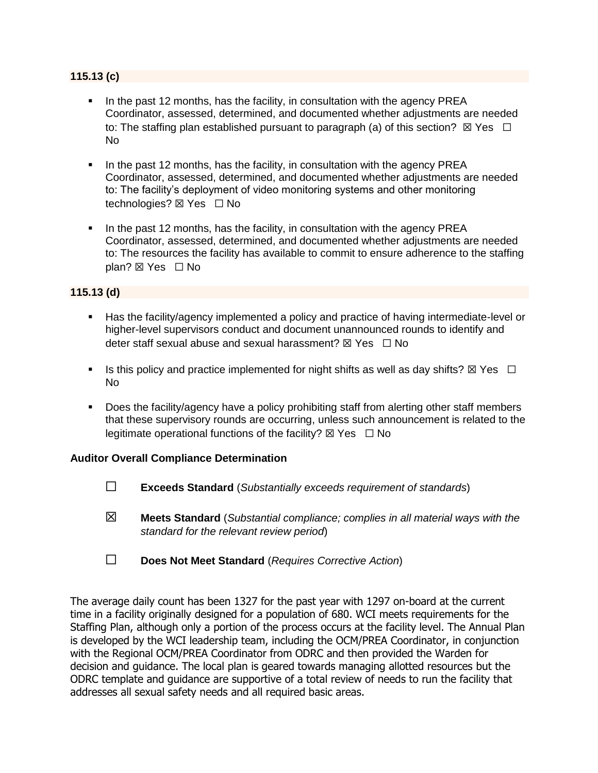### **115.13 (c)**

- In the past 12 months, has the facility, in consultation with the agency PREA Coordinator, assessed, determined, and documented whether adjustments are needed to: The staffing plan established pursuant to paragraph (a) of this section?  $\boxtimes$  Yes  $\Box$ No
- In the past 12 months, has the facility, in consultation with the agency PREA Coordinator, assessed, determined, and documented whether adjustments are needed to: The facility's deployment of video monitoring systems and other monitoring technologies? ⊠ Yes □ No
- In the past 12 months, has the facility, in consultation with the agency PREA Coordinator, assessed, determined, and documented whether adjustments are needed to: The resources the facility has available to commit to ensure adherence to the staffing plan? ⊠ Yes □ No

### **115.13 (d)**

- Has the facility/agency implemented a policy and practice of having intermediate-level or higher-level supervisors conduct and document unannounced rounds to identify and deter staff sexual abuse and sexual harassment?  $\boxtimes$  Yes  $\Box$  No
- **■** Is this policy and practice implemented for night shifts as well as day shifts?  $\boxtimes$  Yes  $\Box$ No
- Does the facility/agency have a policy prohibiting staff from alerting other staff members that these supervisory rounds are occurring, unless such announcement is related to the legitimate operational functions of the facility?  $\boxtimes$  Yes  $\Box$  No

### **Auditor Overall Compliance Determination**

- ☐ **Exceeds Standard** (*Substantially exceeds requirement of standards*)
- ☒ **Meets Standard** (*Substantial compliance; complies in all material ways with the standard for the relevant review period*)
- ☐ **Does Not Meet Standard** (*Requires Corrective Action*)

The average daily count has been 1327 for the past year with 1297 on-board at the current time in a facility originally designed for a population of 680. WCI meets requirements for the Staffing Plan, although only a portion of the process occurs at the facility level. The Annual Plan is developed by the WCI leadership team, including the OCM/PREA Coordinator, in conjunction with the Regional OCM/PREA Coordinator from ODRC and then provided the Warden for decision and guidance. The local plan is geared towards managing allotted resources but the ODRC template and guidance are supportive of a total review of needs to run the facility that addresses all sexual safety needs and all required basic areas.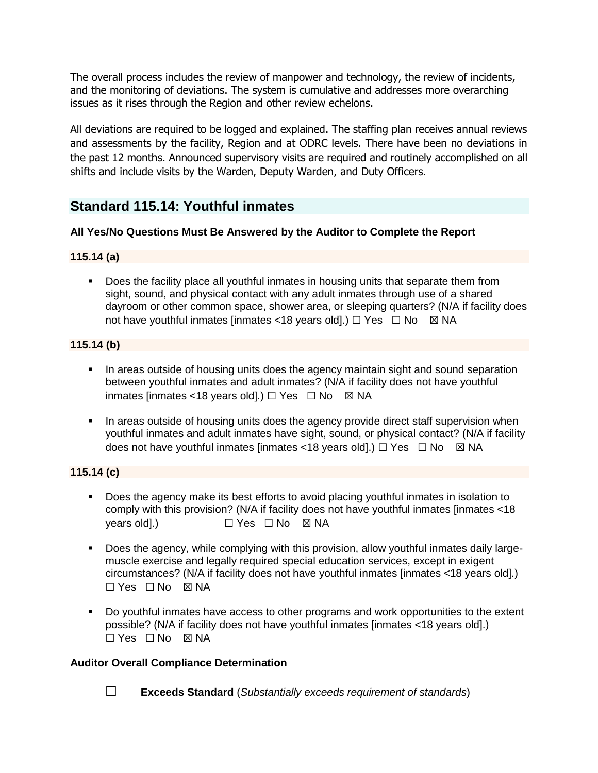The overall process includes the review of manpower and technology, the review of incidents, and the monitoring of deviations. The system is cumulative and addresses more overarching issues as it rises through the Region and other review echelons.

All deviations are required to be logged and explained. The staffing plan receives annual reviews and assessments by the facility, Region and at ODRC levels. There have been no deviations in the past 12 months. Announced supervisory visits are required and routinely accomplished on all shifts and include visits by the Warden, Deputy Warden, and Duty Officers.

# **Standard 115.14: Youthful inmates**

# **All Yes/No Questions Must Be Answered by the Auditor to Complete the Report**

# **115.14 (a)**

**•** Does the facility place all youthful inmates in housing units that separate them from sight, sound, and physical contact with any adult inmates through use of a shared dayroom or other common space, shower area, or sleeping quarters? (N/A if facility does not have youthful inmates [inmates <18 years old].) □ Yes □ No ⊠ NA

# **115.14 (b)**

- **.** In areas outside of housing units does the agency maintain sight and sound separation between youthful inmates and adult inmates? (N/A if facility does not have youthful inmates [inmates <18 years old].)  $\Box$  Yes  $\Box$  No  $\boxtimes$  NA
- **In areas outside of housing units does the agency provide direct staff supervision when** youthful inmates and adult inmates have sight, sound, or physical contact? (N/A if facility does not have youthful inmates [inmates <18 years old].)  $\Box$  Yes  $\Box$  No  $\boxtimes$  NA

# **115.14 (c)**

- Does the agency make its best efforts to avoid placing youthful inmates in isolation to comply with this provision? (N/A if facility does not have youthful inmates [inmates <18 vears old].) □ Yes □ No ⊠ NA
- Does the agency, while complying with this provision, allow youthful inmates daily largemuscle exercise and legally required special education services, except in exigent circumstances? (N/A if facility does not have youthful inmates [inmates <18 years old].) ☐ Yes ☐ No ☒ NA
- Do youthful inmates have access to other programs and work opportunities to the extent possible? (N/A if facility does not have youthful inmates [inmates <18 years old].) ☐ Yes ☐ No ☒ NA

### **Auditor Overall Compliance Determination**

☐ **Exceeds Standard** (*Substantially exceeds requirement of standards*)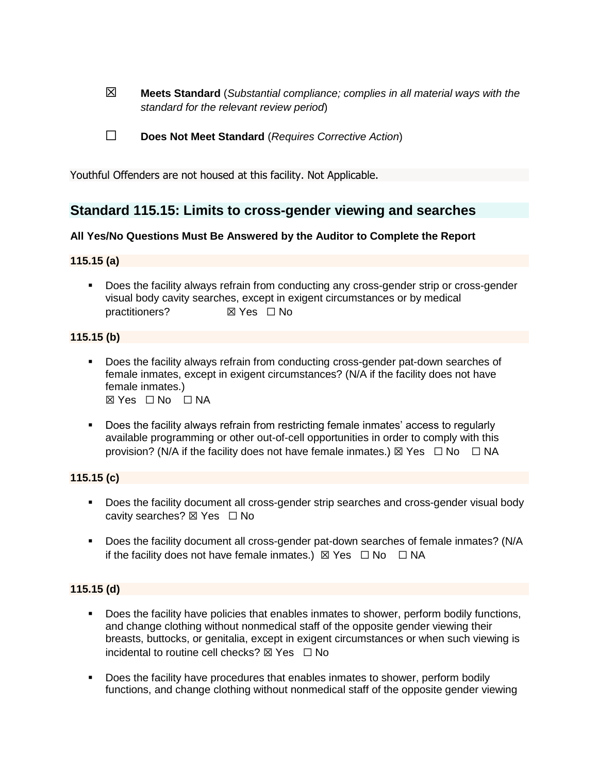- ☒ **Meets Standard** (*Substantial compliance; complies in all material ways with the standard for the relevant review period*)
- ☐ **Does Not Meet Standard** (*Requires Corrective Action*)

Youthful Offenders are not housed at this facility. Not Applicable.

# **Standard 115.15: Limits to cross-gender viewing and searches**

### **All Yes/No Questions Must Be Answered by the Auditor to Complete the Report**

### **115.15 (a)**

▪ Does the facility always refrain from conducting any cross-gender strip or cross-gender visual body cavity searches, except in exigent circumstances or by medical practitioners? ☒ Yes ☐ No

### **115.15 (b)**

- Does the facility always refrain from conducting cross-gender pat-down searches of female inmates, except in exigent circumstances? (N/A if the facility does not have female inmates.) ☒ Yes ☐ No ☐ NA
- Does the facility always refrain from restricting female inmates' access to regularly available programming or other out-of-cell opportunities in order to comply with this provision? (N/A if the facility does not have female inmates.)  $\boxtimes$  Yes  $\Box$  No  $\Box$  NA

### **115.15 (c)**

- Does the facility document all cross-gender strip searches and cross-gender visual body cavity searches? ☒ Yes ☐ No
- Does the facility document all cross-gender pat-down searches of female inmates? (N/A if the facility does not have female inmates.)  $\boxtimes$  Yes  $\Box$  No  $\Box$  NA

### **115.15 (d)**

- **•** Does the facility have policies that enables inmates to shower, perform bodily functions, and change clothing without nonmedical staff of the opposite gender viewing their breasts, buttocks, or genitalia, except in exigent circumstances or when such viewing is incidental to routine cell checks?  $\nabla$  Yes  $\Box$  No
- Does the facility have procedures that enables inmates to shower, perform bodily functions, and change clothing without nonmedical staff of the opposite gender viewing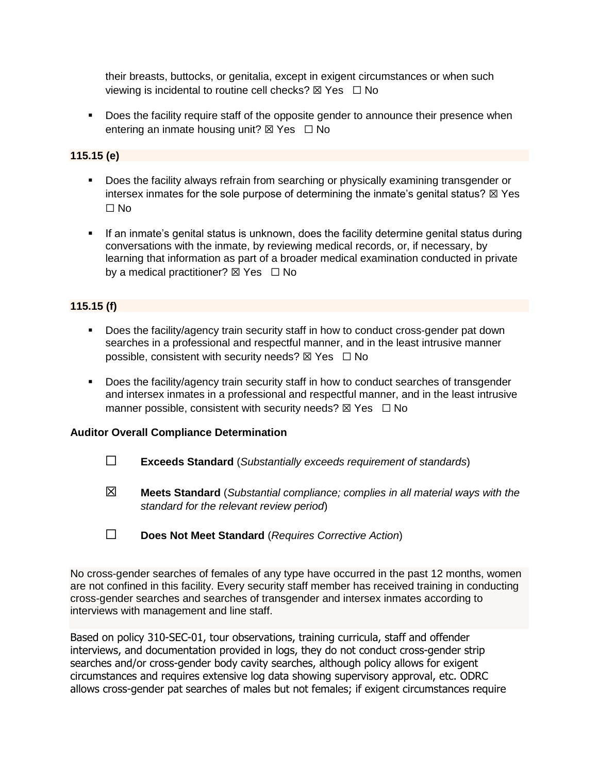their breasts, buttocks, or genitalia, except in exigent circumstances or when such viewing is incidental to routine cell checks?  $\boxtimes$  Yes  $\Box$  No

■ Does the facility require staff of the opposite gender to announce their presence when entering an inmate housing unit?  $\boxtimes$  Yes  $\Box$  No

### **115.15 (e)**

- Does the facility always refrain from searching or physically examining transgender or intersex inmates for the sole purpose of determining the inmate's genital status?  $\boxtimes$  Yes ☐ No
- **•** If an inmate's genital status is unknown, does the facility determine genital status during conversations with the inmate, by reviewing medical records, or, if necessary, by learning that information as part of a broader medical examination conducted in private by a medical practitioner?  $\boxtimes$  Yes  $\Box$  No

# **115.15 (f)**

- Does the facility/agency train security staff in how to conduct cross-gender pat down searches in a professional and respectful manner, and in the least intrusive manner possible, consistent with security needs?  $\boxtimes$  Yes  $\Box$  No
- Does the facility/agency train security staff in how to conduct searches of transgender and intersex inmates in a professional and respectful manner, and in the least intrusive manner possible, consistent with security needs?  $\boxtimes$  Yes  $\Box$  No

### **Auditor Overall Compliance Determination**

- ☐ **Exceeds Standard** (*Substantially exceeds requirement of standards*)
- ☒ **Meets Standard** (*Substantial compliance; complies in all material ways with the standard for the relevant review period*)
- ☐ **Does Not Meet Standard** (*Requires Corrective Action*)

No cross-gender searches of females of any type have occurred in the past 12 months, women are not confined in this facility. Every security staff member has received training in conducting cross-gender searches and searches of transgender and intersex inmates according to interviews with management and line staff.

Based on policy 310-SEC-01, tour observations, training curricula, staff and offender interviews, and documentation provided in logs, they do not conduct cross-gender strip searches and/or cross-gender body cavity searches, although policy allows for exigent circumstances and requires extensive log data showing supervisory approval, etc. ODRC allows cross-gender pat searches of males but not females; if exigent circumstances require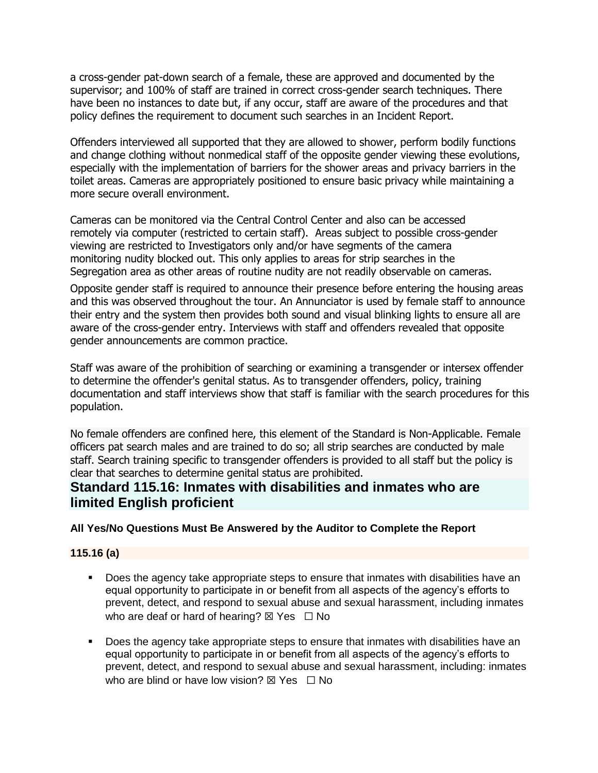a cross-gender pat-down search of a female, these are approved and documented by the supervisor; and 100% of staff are trained in correct cross-gender search techniques. There have been no instances to date but, if any occur, staff are aware of the procedures and that policy defines the requirement to document such searches in an Incident Report.

Offenders interviewed all supported that they are allowed to shower, perform bodily functions and change clothing without nonmedical staff of the opposite gender viewing these evolutions, especially with the implementation of barriers for the shower areas and privacy barriers in the toilet areas. Cameras are appropriately positioned to ensure basic privacy while maintaining a more secure overall environment.

Cameras can be monitored via the Central Control Center and also can be accessed remotely via computer (restricted to certain staff). Areas subject to possible cross-gender viewing are restricted to Investigators only and/or have segments of the camera monitoring nudity blocked out. This only applies to areas for strip searches in the Segregation area as other areas of routine nudity are not readily observable on cameras.

Opposite gender staff is required to announce their presence before entering the housing areas and this was observed throughout the tour. An Annunciator is used by female staff to announce their entry and the system then provides both sound and visual blinking lights to ensure all are aware of the cross-gender entry. Interviews with staff and offenders revealed that opposite gender announcements are common practice.

Staff was aware of the prohibition of searching or examining a transgender or intersex offender to determine the offender's genital status. As to transgender offenders, policy, training documentation and staff interviews show that staff is familiar with the search procedures for this population.

No female offenders are confined here, this element of the Standard is Non-Applicable. Female officers pat search males and are trained to do so; all strip searches are conducted by male staff. Search training specific to transgender offenders is provided to all staff but the policy is clear that searches to determine genital status are prohibited.

# **Standard 115.16: Inmates with disabilities and inmates who are limited English proficient**

# **All Yes/No Questions Must Be Answered by the Auditor to Complete the Report**

# **115.16 (a)**

- Does the agency take appropriate steps to ensure that inmates with disabilities have an equal opportunity to participate in or benefit from all aspects of the agency's efforts to prevent, detect, and respond to sexual abuse and sexual harassment, including inmates who are deaf or hard of hearing?  $\boxtimes$  Yes  $\Box$  No
- Does the agency take appropriate steps to ensure that inmates with disabilities have an equal opportunity to participate in or benefit from all aspects of the agency's efforts to prevent, detect, and respond to sexual abuse and sexual harassment, including: inmates who are blind or have low vision?  $\boxtimes$  Yes  $\Box$  No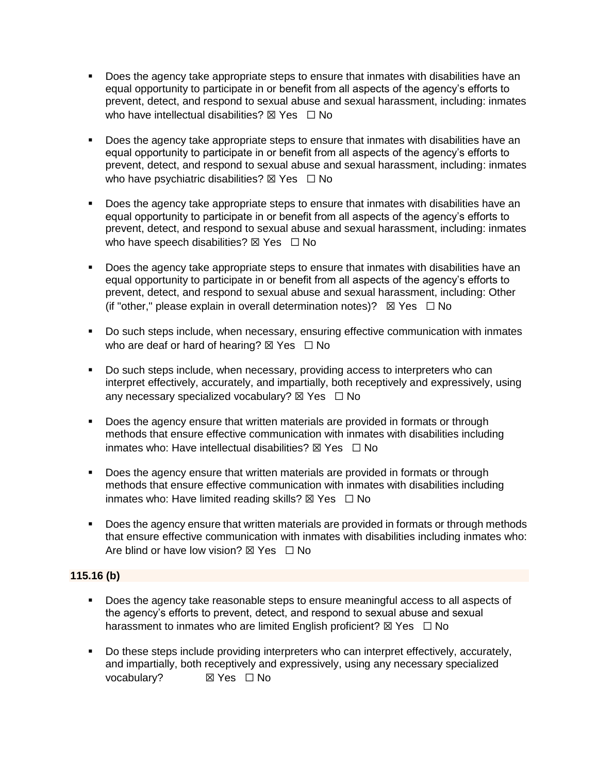- Does the agency take appropriate steps to ensure that inmates with disabilities have an equal opportunity to participate in or benefit from all aspects of the agency's efforts to prevent, detect, and respond to sexual abuse and sexual harassment, including: inmates who have intellectual disabilities?  $\nabla$  Yes  $\Box$  No
- Does the agency take appropriate steps to ensure that inmates with disabilities have an equal opportunity to participate in or benefit from all aspects of the agency's efforts to prevent, detect, and respond to sexual abuse and sexual harassment, including: inmates who have psychiatric disabilities?  $\boxtimes$  Yes  $\Box$  No
- Does the agency take appropriate steps to ensure that inmates with disabilities have an equal opportunity to participate in or benefit from all aspects of the agency's efforts to prevent, detect, and respond to sexual abuse and sexual harassment, including: inmates who have speech disabilities?  $\boxtimes$  Yes  $\Box$  No
- Does the agency take appropriate steps to ensure that inmates with disabilities have an equal opportunity to participate in or benefit from all aspects of the agency's efforts to prevent, detect, and respond to sexual abuse and sexual harassment, including: Other (if "other," please explain in overall determination notes)?  $\boxtimes$  Yes  $\Box$  No
- Do such steps include, when necessary, ensuring effective communication with inmates who are deaf or hard of hearing?  $\boxtimes$  Yes  $\Box$  No
- Do such steps include, when necessary, providing access to interpreters who can interpret effectively, accurately, and impartially, both receptively and expressively, using any necessary specialized vocabulary?  $\boxtimes$  Yes  $\Box$  No
- Does the agency ensure that written materials are provided in formats or through methods that ensure effective communication with inmates with disabilities including inmates who: Have intellectual disabilities?  $\boxtimes$  Yes  $\Box$  No
- Does the agency ensure that written materials are provided in formats or through methods that ensure effective communication with inmates with disabilities including inmates who: Have limited reading skills?  $\boxtimes$  Yes  $\Box$  No
- Does the agency ensure that written materials are provided in formats or through methods that ensure effective communication with inmates with disabilities including inmates who: Are blind or have low vision?  $\boxtimes$  Yes  $\Box$  No

### **115.16 (b)**

- Does the agency take reasonable steps to ensure meaningful access to all aspects of the agency's efforts to prevent, detect, and respond to sexual abuse and sexual harassment to inmates who are limited English proficient?  $\boxtimes$  Yes  $\Box$  No
- Do these steps include providing interpreters who can interpret effectively, accurately, and impartially, both receptively and expressively, using any necessary specialized vocabulary? **⊠ Yes** □ No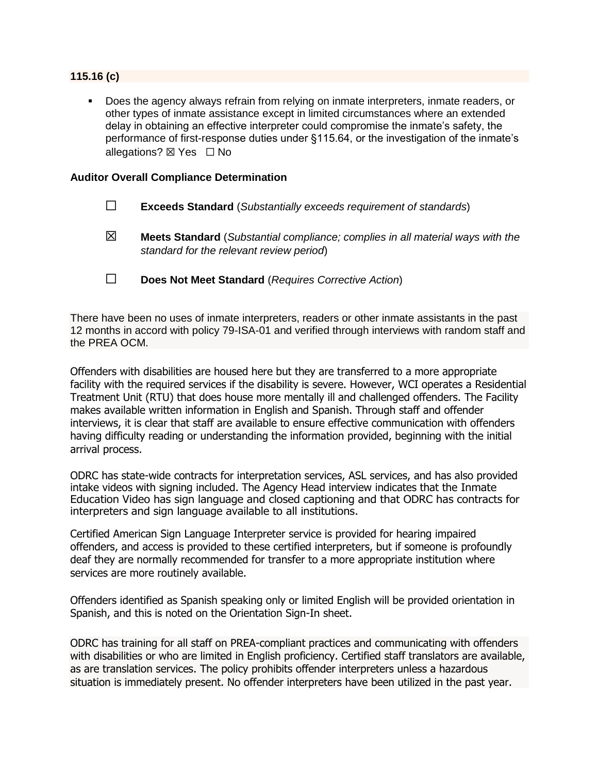### **115.16 (c)**

Does the agency always refrain from relying on inmate interpreters, inmate readers, or other types of inmate assistance except in limited circumstances where an extended delay in obtaining an effective interpreter could compromise the inmate's safety, the performance of first-response duties under §115.64, or the investigation of the inmate's allegations? **⊠** Yes □ No

### **Auditor Overall Compliance Determination**

| $\Box$ |  | <b>Exceeds Standard</b> (Substantially exceeds requirement of standards) |
|--------|--|--------------------------------------------------------------------------|
|        |  |                                                                          |

- ☒ **Meets Standard** (*Substantial compliance; complies in all material ways with the standard for the relevant review period*)
- ☐ **Does Not Meet Standard** (*Requires Corrective Action*)

There have been no uses of inmate interpreters, readers or other inmate assistants in the past 12 months in accord with policy 79-ISA-01 and verified through interviews with random staff and the PREA OCM.

Offenders with disabilities are housed here but they are transferred to a more appropriate facility with the required services if the disability is severe. However, WCI operates a Residential Treatment Unit (RTU) that does house more mentally ill and challenged offenders. The Facility makes available written information in English and Spanish. Through staff and offender interviews, it is clear that staff are available to ensure effective communication with offenders having difficulty reading or understanding the information provided, beginning with the initial arrival process.

ODRC has state-wide contracts for interpretation services, ASL services, and has also provided intake videos with signing included. The Agency Head interview indicates that the Inmate Education Video has sign language and closed captioning and that ODRC has contracts for interpreters and sign language available to all institutions.

Certified American Sign Language Interpreter service is provided for hearing impaired offenders, and access is provided to these certified interpreters, but if someone is profoundly deaf they are normally recommended for transfer to a more appropriate institution where services are more routinely available.

Offenders identified as Spanish speaking only or limited English will be provided orientation in Spanish, and this is noted on the Orientation Sign-In sheet.

ODRC has training for all staff on PREA-compliant practices and communicating with offenders with disabilities or who are limited in English proficiency. Certified staff translators are available, as are translation services. The policy prohibits offender interpreters unless a hazardous situation is immediately present. No offender interpreters have been utilized in the past year.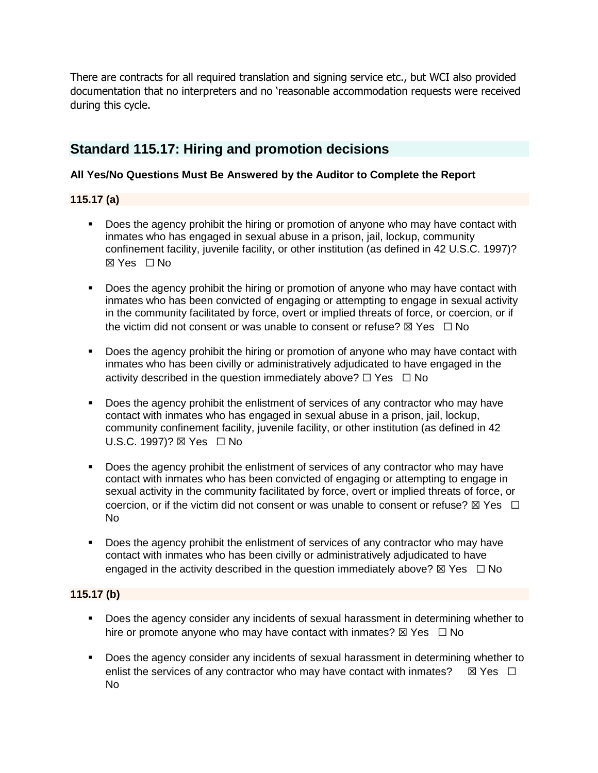There are contracts for all required translation and signing service etc., but WCI also provided documentation that no interpreters and no 'reasonable accommodation requests were received during this cycle.

# **Standard 115.17: Hiring and promotion decisions**

# **All Yes/No Questions Must Be Answered by the Auditor to Complete the Report**

# **115.17 (a)**

- Does the agency prohibit the hiring or promotion of anyone who may have contact with inmates who has engaged in sexual abuse in a prison, jail, lockup, community confinement facility, juvenile facility, or other institution (as defined in 42 U.S.C. 1997)? ☒ Yes ☐ No
- **•** Does the agency prohibit the hiring or promotion of anyone who may have contact with inmates who has been convicted of engaging or attempting to engage in sexual activity in the community facilitated by force, overt or implied threats of force, or coercion, or if the victim did not consent or was unable to consent or refuse?  $\boxtimes$  Yes  $\Box$  No
- **•** Does the agency prohibit the hiring or promotion of anyone who may have contact with inmates who has been civilly or administratively adjudicated to have engaged in the activity described in the question immediately above?  $\Box$  Yes  $\Box$  No
- **•** Does the agency prohibit the enlistment of services of any contractor who may have contact with inmates who has engaged in sexual abuse in a prison, jail, lockup, community confinement facility, juvenile facility, or other institution (as defined in 42 U.S.C. 1997)? ⊠ Yes □ No
- Does the agency prohibit the enlistment of services of any contractor who may have contact with inmates who has been convicted of engaging or attempting to engage in sexual activity in the community facilitated by force, overt or implied threats of force, or coercion, or if the victim did not consent or was unable to consent or refuse?  $\boxtimes$  Yes  $\Box$ No
- Does the agency prohibit the enlistment of services of any contractor who may have contact with inmates who has been civilly or administratively adjudicated to have engaged in the activity described in the question immediately above?  $\boxtimes$  Yes  $\Box$  No

### **115.17 (b)**

- Does the agency consider any incidents of sexual harassment in determining whether to hire or promote anyone who may have contact with inmates?  $\boxtimes$  Yes  $\Box$  No
- **•** Does the agency consider any incidents of sexual harassment in determining whether to enlist the services of any contractor who may have contact with inmates?  $\boxtimes$  Yes  $\Box$ No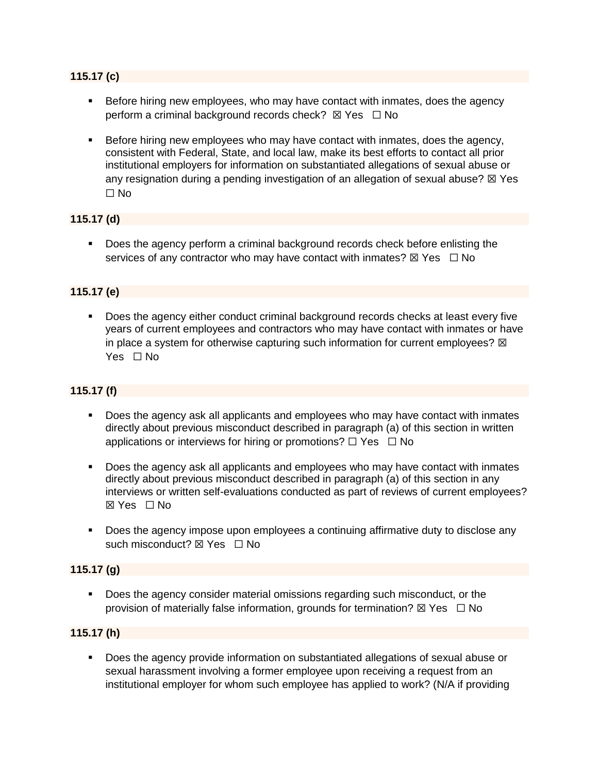### **115.17 (c)**

- Before hiring new employees, who may have contact with inmates, does the agency perform a criminal background records check?  $\boxtimes$  Yes  $\Box$  No
- **EXEL Before hiring new employees who may have contact with inmates, does the agency,** consistent with Federal, State, and local law, make its best efforts to contact all prior institutional employers for information on substantiated allegations of sexual abuse or any resignation during a pending investigation of an allegation of sexual abuse?  $\boxtimes$  Yes ☐ No

### **115.17 (d)**

▪ Does the agency perform a criminal background records check before enlisting the services of any contractor who may have contact with inmates?  $\boxtimes$  Yes  $\Box$  No

### **115.17 (e)**

■ Does the agency either conduct criminal background records checks at least every five years of current employees and contractors who may have contact with inmates or have in place a system for otherwise capturing such information for current employees?  $\boxtimes$ Yes □ No

### **115.17 (f)**

- Does the agency ask all applicants and employees who may have contact with inmates directly about previous misconduct described in paragraph (a) of this section in written applications or interviews for hiring or promotions?  $\Box$  Yes  $\Box$  No
- Does the agency ask all applicants and employees who may have contact with inmates directly about previous misconduct described in paragraph (a) of this section in any interviews or written self-evaluations conducted as part of reviews of current employees? ☒ Yes ☐ No
- Does the agency impose upon employees a continuing affirmative duty to disclose any such misconduct? ⊠ Yes □ No

### **115.17 (g)**

▪ Does the agency consider material omissions regarding such misconduct, or the provision of materially false information, grounds for termination?  $\boxtimes$  Yes  $\Box$  No

### **115.17 (h)**

■ Does the agency provide information on substantiated allegations of sexual abuse or sexual harassment involving a former employee upon receiving a request from an institutional employer for whom such employee has applied to work? (N/A if providing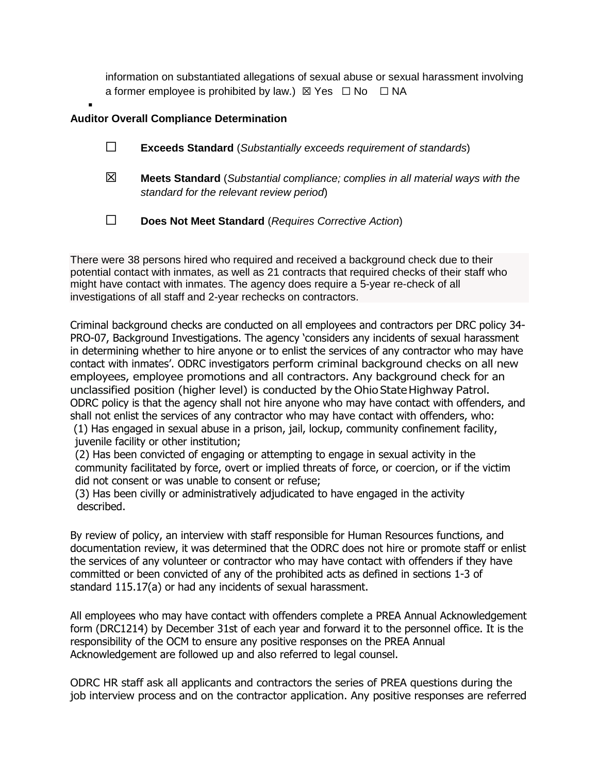information on substantiated allegations of sexual abuse or sexual harassment involving a former employee is prohibited by law.)  $\boxtimes$  Yes  $\Box$  No  $\Box$  NA

### **Auditor Overall Compliance Determination**

▪

- ☐ **Exceeds Standard** (*Substantially exceeds requirement of standards*)
- ☒ **Meets Standard** (*Substantial compliance; complies in all material ways with the standard for the relevant review period*)
- ☐ **Does Not Meet Standard** (*Requires Corrective Action*)

There were 38 persons hired who required and received a background check due to their potential contact with inmates, as well as 21 contracts that required checks of their staff who might have contact with inmates. The agency does require a 5-year re-check of all investigations of all staff and 2-year rechecks on contractors.

Criminal background checks are conducted on all employees and contractors per DRC policy 34- PRO-07, Background Investigations. The agency 'considers any incidents of sexual harassment in determining whether to hire anyone or to enlist the services of any contractor who may have contact with inmates'. ODRC investigators perform criminal background checks on all new employees, employee promotions and all contractors. Any background check for an unclassified position (higher level) is conducted by the Ohio State Highway Patrol. ODRC policy is that the agency shall not hire anyone who may have contact with offenders, and shall not enlist the services of any contractor who may have contact with offenders, who:

(1) Has engaged in sexual abuse in a prison, jail, lockup, community confinement facility, juvenile facility or other institution;

(2) Has been convicted of engaging or attempting to engage in sexual activity in the community facilitated by force, overt or implied threats of force, or coercion, or if the victim did not consent or was unable to consent or refuse;

(3) Has been civilly or administratively adjudicated to have engaged in the activity described.

By review of policy, an interview with staff responsible for Human Resources functions, and documentation review, it was determined that the ODRC does not hire or promote staff or enlist the services of any volunteer or contractor who may have contact with offenders if they have committed or been convicted of any of the prohibited acts as defined in sections 1-3 of standard 115.17(a) or had any incidents of sexual harassment.

All employees who may have contact with offenders complete a PREA Annual Acknowledgement form (DRC1214) by December 31st of each year and forward it to the personnel office. It is the responsibility of the OCM to ensure any positive responses on the PREA Annual Acknowledgement are followed up and also referred to legal counsel.

ODRC HR staff ask all applicants and contractors the series of PREA questions during the job interview process and on the contractor application. Any positive responses are referred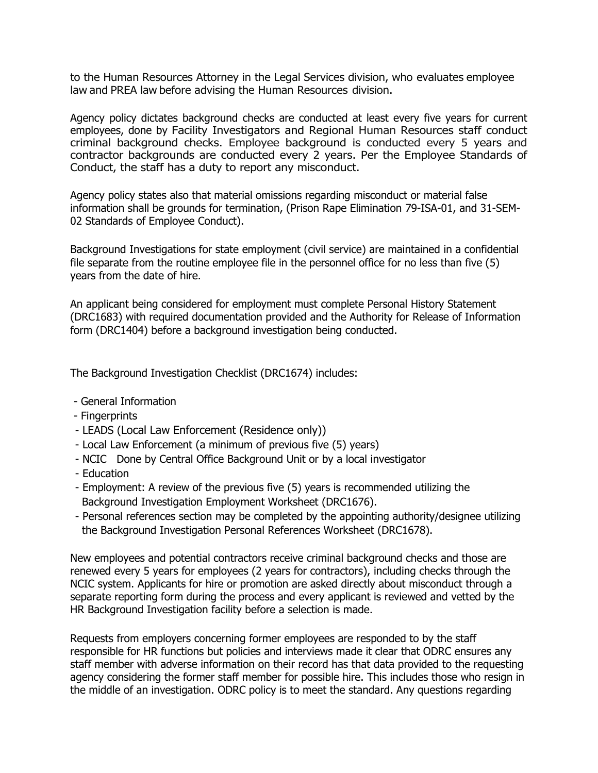to the Human Resources Attorney in the Legal Services division, who evaluates employee law and PREA law before advising the Human Resources division.

Agency policy dictates background checks are conducted at least every five years for current employees, done by Facility Investigators and Regional Human Resources staff conduct criminal background checks. Employee background is conducted every 5 years and contractor backgrounds are conducted every 2 years. Per the Employee Standards of Conduct, the staff has a duty to report any misconduct.

Agency policy states also that material omissions regarding misconduct or material false information shall be grounds for termination, (Prison Rape Elimination 79-ISA-01, and 31-SEM-02 Standards of Employee Conduct).

Background Investigations for state employment (civil service) are maintained in a confidential file separate from the routine employee file in the personnel office for no less than five (5) years from the date of hire.

An applicant being considered for employment must complete Personal History Statement (DRC1683) with required documentation provided and the Authority for Release of Information form (DRC1404) before a background investigation being conducted.

The Background Investigation Checklist (DRC1674) includes:

- General Information
- Fingerprints
- LEADS (Local Law Enforcement (Residence only))
- Local Law Enforcement (a minimum of previous five (5) years)
- NCIC Done by Central Office Background Unit or by a local investigator
- Education
- Employment: A review of the previous five (5) years is recommended utilizing the Background Investigation Employment Worksheet (DRC1676).
- Personal references section may be completed by the appointing authority/designee utilizing the Background Investigation Personal References Worksheet (DRC1678).

New employees and potential contractors receive criminal background checks and those are renewed every 5 years for employees (2 years for contractors), including checks through the NCIC system. Applicants for hire or promotion are asked directly about misconduct through a separate reporting form during the process and every applicant is reviewed and vetted by the HR Background Investigation facility before a selection is made.

Requests from employers concerning former employees are responded to by the staff responsible for HR functions but policies and interviews made it clear that ODRC ensures any staff member with adverse information on their record has that data provided to the requesting agency considering the former staff member for possible hire. This includes those who resign in the middle of an investigation. ODRC policy is to meet the standard. Any questions regarding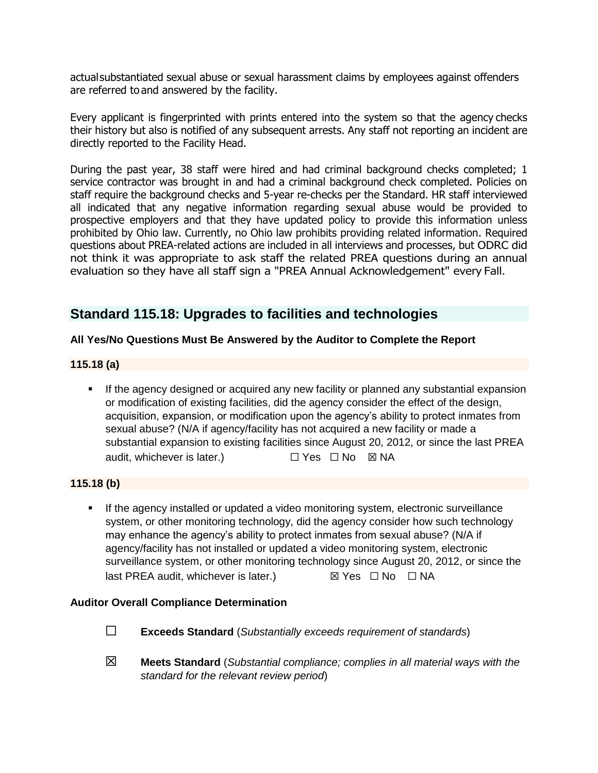actualsubstantiated sexual abuse or sexual harassment claims by employees against offenders are referred to and answered by the facility.

Every applicant is fingerprinted with prints entered into the system so that the agency checks their history but also is notified of any subsequent arrests. Any staff not reporting an incident are directly reported to the Facility Head.

During the past year, 38 staff were hired and had criminal background checks completed; 1 service contractor was brought in and had a criminal background check completed. Policies on staff require the background checks and 5-year re-checks per the Standard. HR staff interviewed all indicated that any negative information regarding sexual abuse would be provided to prospective employers and that they have updated policy to provide this information unless prohibited by Ohio law. Currently, no Ohio law prohibits providing related information. Required questions about PREA-related actions are included in all interviews and processes, but ODRC did not think it was appropriate to ask staff the related PREA questions during an annual evaluation so they have all staff sign a "PREA Annual Acknowledgement" every Fall.

# **Standard 115.18: Upgrades to facilities and technologies**

# **All Yes/No Questions Must Be Answered by the Auditor to Complete the Report**

# **115.18 (a)**

If the agency designed or acquired any new facility or planned any substantial expansion or modification of existing facilities, did the agency consider the effect of the design, acquisition, expansion, or modification upon the agency's ability to protect inmates from sexual abuse? (N/A if agency/facility has not acquired a new facility or made a substantial expansion to existing facilities since August 20, 2012, or since the last PREA audit, whichever is later.) □ Yes □ No ⊠ NA

### **115.18 (b)**

**■** If the agency installed or updated a video monitoring system, electronic surveillance system, or other monitoring technology, did the agency consider how such technology may enhance the agency's ability to protect inmates from sexual abuse? (N/A if agency/facility has not installed or updated a video monitoring system, electronic surveillance system, or other monitoring technology since August 20, 2012, or since the last PREA audit, whichever is later.) *⊠* **Yes**  □ No □ NA

### **Auditor Overall Compliance Determination**

- ☐ **Exceeds Standard** (*Substantially exceeds requirement of standards*)
- ☒ **Meets Standard** (*Substantial compliance; complies in all material ways with the standard for the relevant review period*)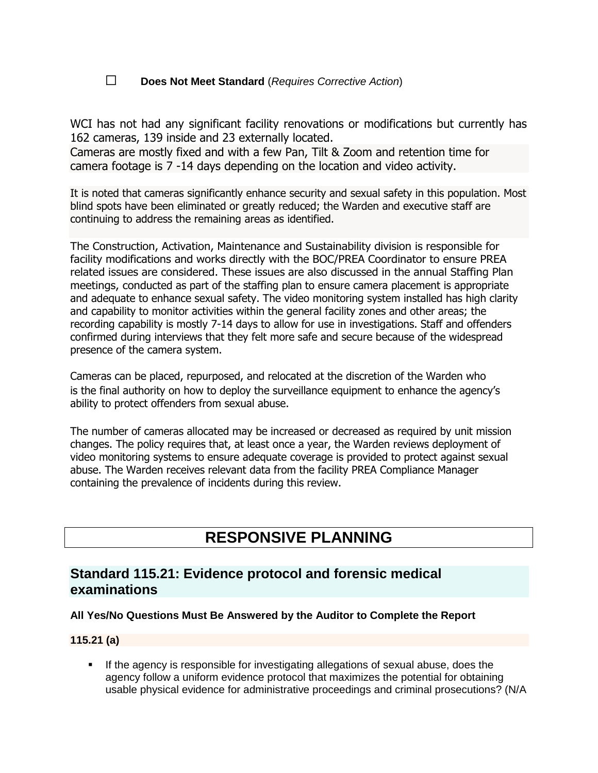# ☐ **Does Not Meet Standard** (*Requires Corrective Action*)

WCI has not had any significant facility renovations or modifications but currently has 162 cameras, 139 inside and 23 externally located.

Cameras are mostly fixed and with a few Pan, Tilt & Zoom and retention time for camera footage is 7 -14 days depending on the location and video activity.

It is noted that cameras significantly enhance security and sexual safety in this population. Most blind spots have been eliminated or greatly reduced; the Warden and executive staff are continuing to address the remaining areas as identified.

The Construction, Activation, Maintenance and Sustainability division is responsible for facility modifications and works directly with the BOC/PREA Coordinator to ensure PREA related issues are considered. These issues are also discussed in the annual Staffing Plan meetings, conducted as part of the staffing plan to ensure camera placement is appropriate and adequate to enhance sexual safety. The video monitoring system installed has high clarity and capability to monitor activities within the general facility zones and other areas; the recording capability is mostly 7-14 days to allow for use in investigations. Staff and offenders confirmed during interviews that they felt more safe and secure because of the widespread presence of the camera system.

Cameras can be placed, repurposed, and relocated at the discretion of the Warden who is the final authority on how to deploy the surveillance equipment to enhance the agency's ability to protect offenders from sexual abuse.

The number of cameras allocated may be increased or decreased as required by unit mission changes. The policy requires that, at least once a year, the Warden reviews deployment of video monitoring systems to ensure adequate coverage is provided to protect against sexual abuse. The Warden receives relevant data from the facility PREA Compliance Manager containing the prevalence of incidents during this review.

# **RESPONSIVE PLANNING**

# **Standard 115.21: Evidence protocol and forensic medical examinations**

# **All Yes/No Questions Must Be Answered by the Auditor to Complete the Report**

### **115.21 (a)**

**.** If the agency is responsible for investigating allegations of sexual abuse, does the agency follow a uniform evidence protocol that maximizes the potential for obtaining usable physical evidence for administrative proceedings and criminal prosecutions? (N/A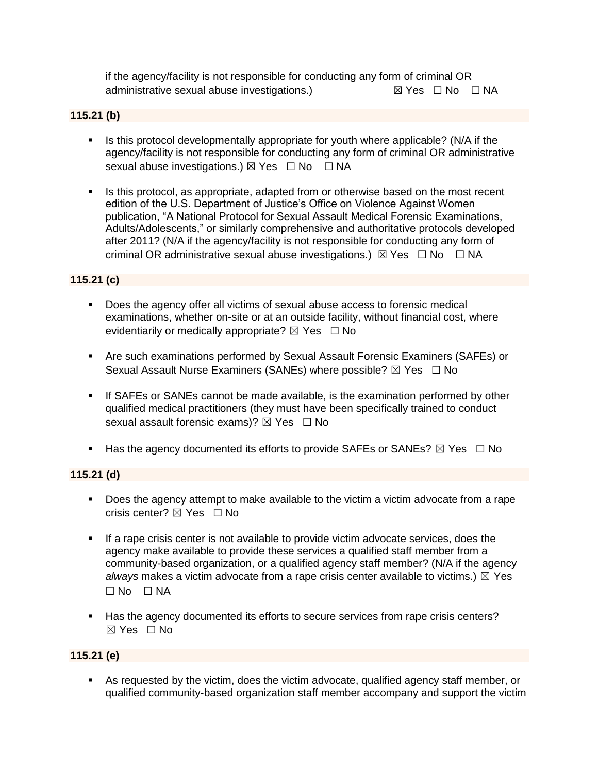if the agency/facility is not responsible for conducting any form of criminal OR administrative sexual abuse investigations.)  $\boxtimes$  Yes  $\Box$  No  $\Box$  NA

### **115.21 (b)**

- Is this protocol developmentally appropriate for youth where applicable? (N/A if the agency/facility is not responsible for conducting any form of criminal OR administrative sexual abuse investigations.)  $\boxtimes$  Yes  $\Box$  No  $\Box$  NA
- **.** Is this protocol, as appropriate, adapted from or otherwise based on the most recent edition of the U.S. Department of Justice's Office on Violence Against Women publication, "A National Protocol for Sexual Assault Medical Forensic Examinations, Adults/Adolescents," or similarly comprehensive and authoritative protocols developed after 2011? (N/A if the agency/facility is not responsible for conducting any form of criminal OR administrative sexual abuse investigations.)  $\boxtimes$  Yes  $\Box$  No  $\Box$  NA

# **115.21 (c)**

- Does the agency offer all victims of sexual abuse access to forensic medical examinations, whether on-site or at an outside facility, without financial cost, where evidentiarily or medically appropriate?  $\boxtimes$  Yes  $\Box$  No
- Are such examinations performed by Sexual Assault Forensic Examiners (SAFEs) or Sexual Assault Nurse Examiners (SANEs) where possible? ⊠ Yes □ No
- **.** If SAFEs or SANEs cannot be made available, is the examination performed by other qualified medical practitioners (they must have been specifically trained to conduct sexual assault forensic exams)?  $\boxtimes$  Yes  $\Box$  No
- **■** Has the agency documented its efforts to provide SAFEs or SANEs?  $\boxtimes$  Yes  $\Box$  No

# **115.21 (d)**

- Does the agency attempt to make available to the victim a victim advocate from a rape crisis center?  $\nabla$  Yes  $\Box$  No
- If a rape crisis center is not available to provide victim advocate services, does the agency make available to provide these services a qualified staff member from a community-based organization, or a qualified agency staff member? (N/A if the agency *always* makes a victim advocate from a rape crisis center available to victims.)  $\boxtimes$  Yes ☐ No ☐ NA
- Has the agency documented its efforts to secure services from rape crisis centers?  $\boxtimes$  Yes  $\Box$  No

### **115.21 (e)**

▪ As requested by the victim, does the victim advocate, qualified agency staff member, or qualified community-based organization staff member accompany and support the victim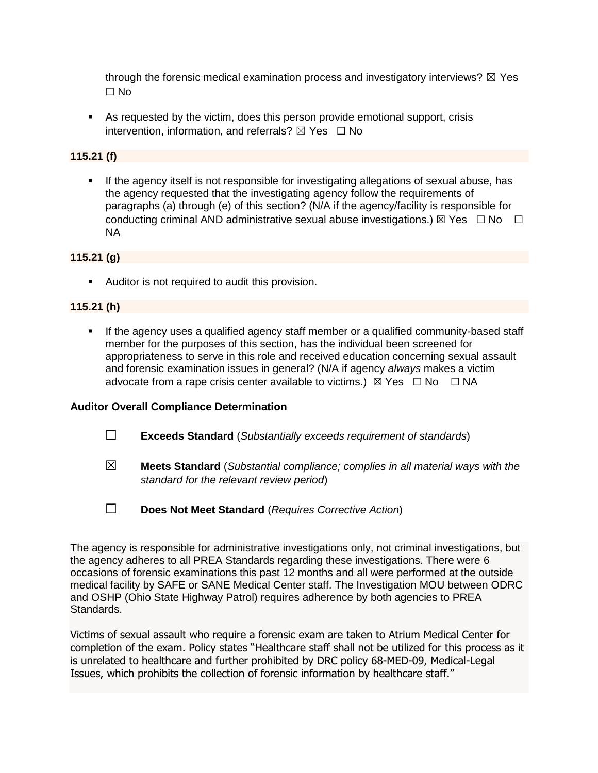through the forensic medical examination process and investigatory interviews?  $\boxtimes$  Yes ☐ No

■ As requested by the victim, does this person provide emotional support, crisis intervention, information, and referrals?  $\boxtimes$  Yes  $\Box$  No

### **115.21 (f)**

**■** If the agency itself is not responsible for investigating allegations of sexual abuse, has the agency requested that the investigating agency follow the requirements of paragraphs (a) through (e) of this section? (N/A if the agency/facility is responsible for conducting criminal AND administrative sexual abuse investigations.)  $\boxtimes$  Yes  $\Box$  No  $\Box$ NA

# **115.21 (g)**

■ Auditor is not required to audit this provision.

# **115.21 (h)**

**•** If the agency uses a qualified agency staff member or a qualified community-based staff member for the purposes of this section, has the individual been screened for appropriateness to serve in this role and received education concerning sexual assault and forensic examination issues in general? (N/A if agency *always* makes a victim advocate from a rape crisis center available to victims.)  $\boxtimes$  Yes  $\Box$  No  $\Box$  NA

### **Auditor Overall Compliance Determination**

- ☐ **Exceeds Standard** (*Substantially exceeds requirement of standards*)
- ☒ **Meets Standard** (*Substantial compliance; complies in all material ways with the standard for the relevant review period*)
- ☐ **Does Not Meet Standard** (*Requires Corrective Action*)

The agency is responsible for administrative investigations only, not criminal investigations, but the agency adheres to all PREA Standards regarding these investigations. There were 6 occasions of forensic examinations this past 12 months and all were performed at the outside medical facility by SAFE or SANE Medical Center staff. The Investigation MOU between ODRC and OSHP (Ohio State Highway Patrol) requires adherence by both agencies to PREA Standards.

Victims of sexual assault who require a forensic exam are taken to Atrium Medical Center for completion of the exam. Policy states "Healthcare staff shall not be utilized for this process as it is unrelated to healthcare and further prohibited by DRC policy 68-MED-09, Medical-Legal Issues, which prohibits the collection of forensic information by healthcare staff."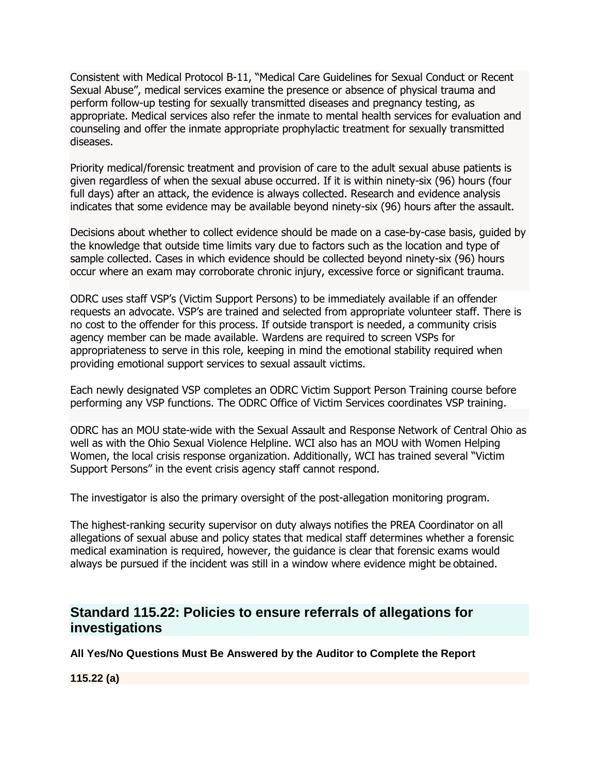Consistent with Medical Protocol B-11, "Medical Care Guidelines for Sexual Conduct or Recent Sexual Abuse", medical services examine the presence or absence of physical trauma and perform follow-up testing for sexually transmitted diseases and pregnancy testing, as appropriate. Medical services also refer the inmate to mental health services for evaluation and counseling and offer the inmate appropriate prophylactic treatment for sexually transmitted diseases.

Priority medical/forensic treatment and provision of care to the adult sexual abuse patients is given regardless of when the sexual abuse occurred. If it is within ninety-six (96) hours (four full days) after an attack, the evidence is always collected. Research and evidence analysis indicates that some evidence may be available beyond ninety-six (96) hours after the assault.

Decisions about whether to collect evidence should be made on a case-by-case basis, guided by the knowledge that outside time limits vary due to factors such as the location and type of sample collected. Cases in which evidence should be collected beyond ninety-six (96) hours occur where an exam may corroborate chronic injury, excessive force or significant trauma.

ODRC uses staff VSP's (Victim Support Persons) to be immediately available if an offender requests an advocate. VSP's are trained and selected from appropriate volunteer staff. There is no cost to the offender for this process. If outside transport is needed, a community crisis agency member can be made available. Wardens are required to screen VSPs for appropriateness to serve in this role, keeping in mind the emotional stability required when providing emotional support services to sexual assault victims.

Each newly designated VSP completes an ODRC Victim Support Person Training course before performing any VSP functions. The ODRC Office of Victim Services coordinates VSP training.

ODRC has an MOU state-wide with the Sexual Assault and Response Network of Central Ohio as well as with the Ohio Sexual Violence Helpline. WCI also has an MOU with Women Helping Women, the local crisis response organization. Additionally, WCI has trained several "Victim Support Persons" in the event crisis agency staff cannot respond.

The investigator is also the primary oversight of the post-allegation monitoring program.

The highest-ranking security supervisor on duty always notifies the PREA Coordinator on all allegations of sexual abuse and policy states that medical staff determines whether a forensic medical examination is required, however, the guidance is clear that forensic exams would always be pursued if the incident was still in a window where evidence might be obtained.

# **Standard 115.22: Policies to ensure referrals of allegations for investigations**

**All Yes/No Questions Must Be Answered by the Auditor to Complete the Report**

**115.22 (a)**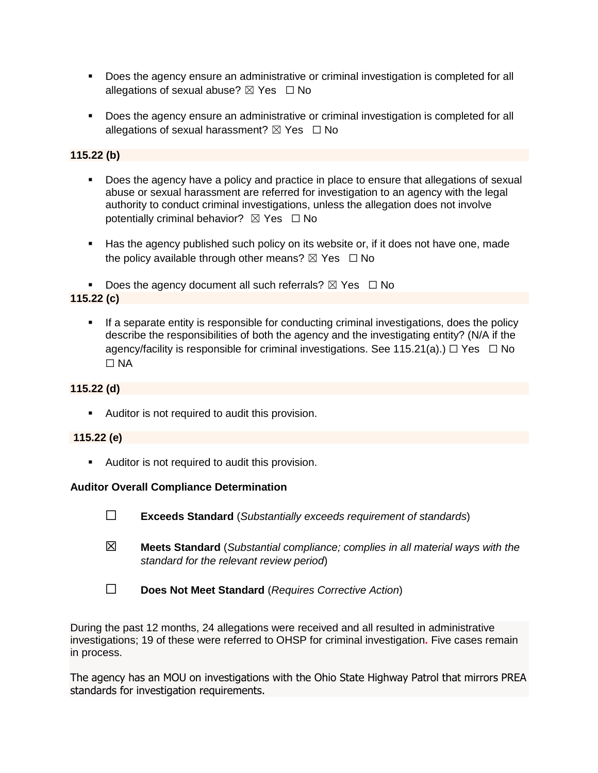- Does the agency ensure an administrative or criminal investigation is completed for all allegations of sexual abuse?  $\boxtimes$  Yes  $\Box$  No
- Does the agency ensure an administrative or criminal investigation is completed for all allegations of sexual harassment?  $\boxtimes$  Yes  $\Box$  No

#### **115.22 (b)**

- Does the agency have a policy and practice in place to ensure that allegations of sexual abuse or sexual harassment are referred for investigation to an agency with the legal authority to conduct criminal investigations, unless the allegation does not involve potentially criminal behavior?  $\boxtimes$  Yes  $\Box$  No
- Has the agency published such policy on its website or, if it does not have one, made the policy available through other means?  $\boxtimes$  Yes  $\Box$  No

**•** Does the agency document all such referrals?  $\boxtimes$  Yes  $\Box$  No **115.22 (c)**

**•** If a separate entity is responsible for conducting criminal investigations, does the policy describe the responsibilities of both the agency and the investigating entity? (N/A if the agency/facility is responsible for criminal investigations. See 115.21(a).)  $\Box$  Yes  $\Box$  No ☐ NA

## **115.22 (d)**

■ Auditor is not required to audit this provision.

#### **115.22 (e)**

■ Auditor is not required to audit this provision.

#### **Auditor Overall Compliance Determination**

- ☐ **Exceeds Standard** (*Substantially exceeds requirement of standards*)
- ☒ **Meets Standard** (*Substantial compliance; complies in all material ways with the standard for the relevant review period*)
- ☐ **Does Not Meet Standard** (*Requires Corrective Action*)

During the past 12 months, 24 allegations were received and all resulted in administrative investigations; 19 of these were referred to OHSP for criminal investigation**.** Five cases remain in process.

The agency has an MOU on investigations with the Ohio State Highway Patrol that mirrors PREA standards for investigation requirements.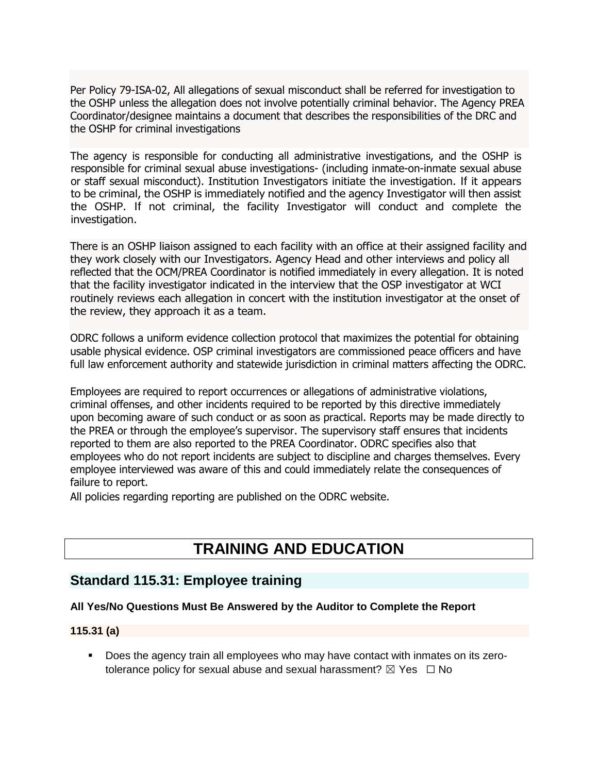Per Policy 79-ISA-02, All allegations of sexual misconduct shall be referred for investigation to the OSHP unless the allegation does not involve potentially criminal behavior. The Agency PREA Coordinator/designee maintains a document that describes the responsibilities of the DRC and the OSHP for criminal investigations

The agency is responsible for conducting all administrative investigations, and the OSHP is responsible for criminal sexual abuse investigations- (including inmate-on-inmate sexual abuse or staff sexual misconduct). Institution Investigators initiate the investigation. If it appears to be criminal, the OSHP is immediately notified and the agency Investigator will then assist the OSHP. If not criminal, the facility Investigator will conduct and complete the investigation.

There is an OSHP liaison assigned to each facility with an office at their assigned facility and they work closely with our Investigators. Agency Head and other interviews and policy all reflected that the OCM/PREA Coordinator is notified immediately in every allegation. It is noted that the facility investigator indicated in the interview that the OSP investigator at WCI routinely reviews each allegation in concert with the institution investigator at the onset of the review, they approach it as a team.

ODRC follows a uniform evidence collection protocol that maximizes the potential for obtaining usable physical evidence. OSP criminal investigators are commissioned peace officers and have full law enforcement authority and statewide jurisdiction in criminal matters affecting the ODRC.

Employees are required to report occurrences or allegations of administrative violations, criminal offenses, and other incidents required to be reported by this directive immediately upon becoming aware of such conduct or as soon as practical. Reports may be made directly to the PREA or through the employee's supervisor. The supervisory staff ensures that incidents reported to them are also reported to the PREA Coordinator. ODRC specifies also that employees who do not report incidents are subject to discipline and charges themselves. Every employee interviewed was aware of this and could immediately relate the consequences of failure to report.

All policies regarding reporting are published on the ODRC website.

# **TRAINING AND EDUCATION**

# **Standard 115.31: Employee training**

### **All Yes/No Questions Must Be Answered by the Auditor to Complete the Report**

#### **115.31 (a)**

▪ Does the agency train all employees who may have contact with inmates on its zerotolerance policy for sexual abuse and sexual harassment?  $\boxtimes$  Yes  $\Box$  No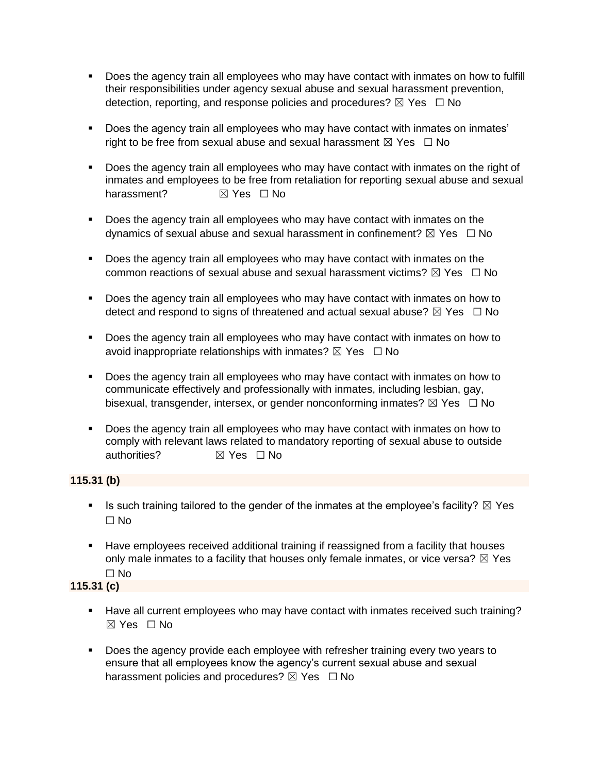- Does the agency train all employees who may have contact with inmates on how to fulfill their responsibilities under agency sexual abuse and sexual harassment prevention, detection, reporting, and response policies and procedures?  $\boxtimes$  Yes  $\Box$  No
- Does the agency train all employees who may have contact with inmates on inmates' right to be free from sexual abuse and sexual harassment  $\boxtimes$  Yes  $\Box$  No
- Does the agency train all employees who may have contact with inmates on the right of inmates and employees to be free from retaliation for reporting sexual abuse and sexual harassment? **in** ⊠ Yes □ No
- Does the agency train all employees who may have contact with inmates on the dynamics of sexual abuse and sexual harassment in confinement?  $\boxtimes$  Yes  $\Box$  No
- Does the agency train all employees who may have contact with inmates on the common reactions of sexual abuse and sexual harassment victims?  $\boxtimes$  Yes  $\Box$  No
- Does the agency train all employees who may have contact with inmates on how to detect and respond to signs of threatened and actual sexual abuse?  $\boxtimes$  Yes  $\Box$  No
- Does the agency train all employees who may have contact with inmates on how to avoid inappropriate relationships with inmates?  $\boxtimes$  Yes  $\Box$  No
- Does the agency train all employees who may have contact with inmates on how to communicate effectively and professionally with inmates, including lesbian, gay, bisexual, transgender, intersex, or gender nonconforming inmates?  $\boxtimes$  Yes  $\Box$  No
- Does the agency train all employees who may have contact with inmates on how to comply with relevant laws related to mandatory reporting of sexual abuse to outside authorities?  $\boxtimes$  Yes □ No

#### **115.31 (b)**

- **EXECT** Is such training tailored to the gender of the inmates at the employee's facility?  $\boxtimes$  Yes ☐ No
- **Have employees received additional training if reassigned from a facility that houses** only male inmates to a facility that houses only female inmates, or vice versa?  $\boxtimes$  Yes ☐ No

## **115.31 (c)**

- Have all current employees who may have contact with inmates received such training? ☒ Yes ☐ No
- Does the agency provide each employee with refresher training every two years to ensure that all employees know the agency's current sexual abuse and sexual harassment policies and procedures?  $\boxtimes$  Yes  $\Box$  No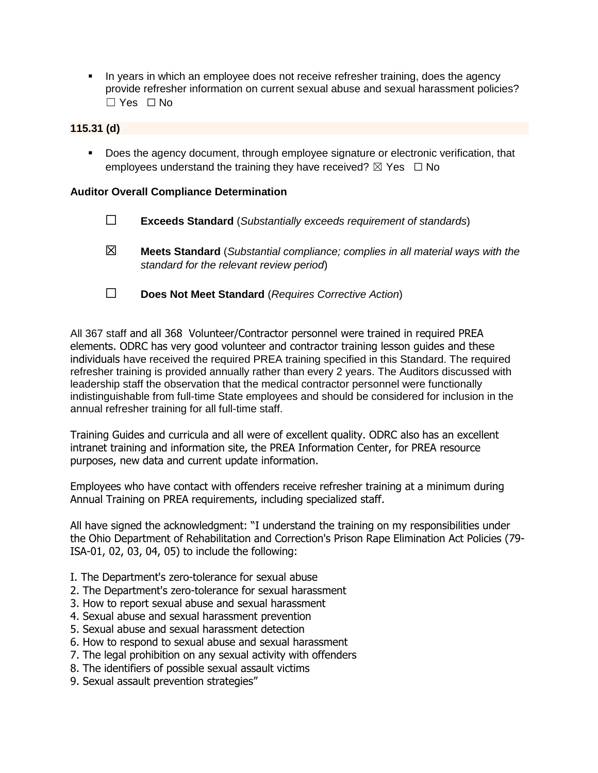**.** In years in which an employee does not receive refresher training, does the agency provide refresher information on current sexual abuse and sexual harassment policies? ☐ Yes ☐ No

## **115.31 (d)**

■ Does the agency document, through employee signature or electronic verification, that employees understand the training they have received?  $\boxtimes$  Yes  $\Box$  No

#### **Auditor Overall Compliance Determination**

- ☐ **Exceeds Standard** (*Substantially exceeds requirement of standards*) ☒ **Meets Standard** (*Substantial compliance; complies in all material ways with the standard for the relevant review period*)
- ☐ **Does Not Meet Standard** (*Requires Corrective Action*)

All 367 staff and all 368 Volunteer/Contractor personnel were trained in required PREA elements. ODRC has very good volunteer and contractor training lesson guides and these individuals have received the required PREA training specified in this Standard. The required refresher training is provided annually rather than every 2 years. The Auditors discussed with leadership staff the observation that the medical contractor personnel were functionally indistinguishable from full-time State employees and should be considered for inclusion in the annual refresher training for all full-time staff.

Training Guides and curricula and all were of excellent quality. ODRC also has an excellent intranet training and information site, the PREA Information Center, for PREA resource purposes, new data and current update information.

Employees who have contact with offenders receive refresher training at a minimum during Annual Training on PREA requirements, including specialized staff.

All have signed the acknowledgment: "I understand the training on my responsibilities under the Ohio Department of Rehabilitation and Correction's Prison Rape Elimination Act Policies (79- ISA-01, 02, 03, 04, 05) to include the following:

- I. The Department's zero-tolerance for sexual abuse
- 2. The Department's zero-tolerance for sexual harassment
- 3. How to report sexual abuse and sexual harassment
- 4. Sexual abuse and sexual harassment prevention
- 5. Sexual abuse and sexual harassment detection
- 6. How to respond to sexual abuse and sexual harassment
- 7. The legal prohibition on any sexual activity with offenders
- 8. The identifiers of possible sexual assault victims
- 9. Sexual assault prevention strategies"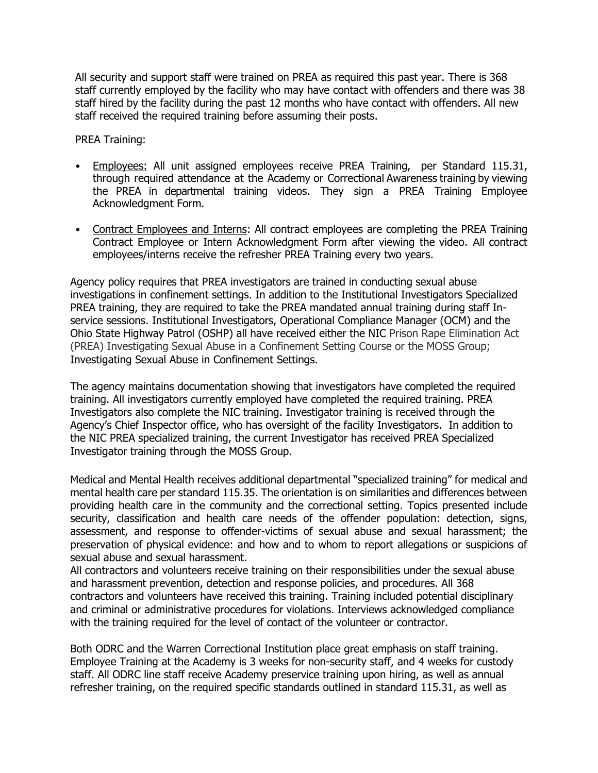All security and support staff were trained on PREA as required this past year. There is 368 staff currently employed by the facility who may have contact with offenders and there was 38 staff hired by the facility during the past 12 months who have contact with offenders. All new staff received the required training before assuming their posts.

PREA Training:

- Employees: All unit assigned employees receive PREA Training, per Standard 115.31, through required attendance at the Academy or Correctional Awareness training by viewing the PREA in departmental training videos. They sign a PREA Training Employee Acknowledgment Form.
- Contract Employees and Interns: All contract employees are completing the PREA Training Contract Employee or Intern Acknowledgment Form after viewing the video. All contract employees/interns receive the refresher PREA Training every two years.

Agency policy requires that PREA investigators are trained in conducting sexual abuse investigations in confinement settings. In addition to the Institutional Investigators Specialized PREA training, they are required to take the PREA mandated annual training during staff Inservice sessions. Institutional Investigators, Operational Compliance Manager (OCM) and the Ohio State Highway Patrol (OSHP) all have received either the NIC Prison Rape Elimination Act (PREA) Investigating Sexual Abuse in a Confinement Setting Course or the MOSS Group; Investigating Sexual Abuse in Confinement Settings.

The agency maintains documentation showing that investigators have completed the required training. All investigators currently employed have completed the required training. PREA Investigators also complete the NIC training. Investigator training is received through the Agency's Chief Inspector office, who has oversight of the facility Investigators. In addition to the NIC PREA specialized training, the current Investigator has received PREA Specialized Investigator training through the MOSS Group.

Medical and Mental Health receives additional departmental "specialized training" for medical and mental health care per standard 115.35. The orientation is on similarities and differences between providing health care in the community and the correctional setting. Topics presented include security, classification and health care needs of the offender population: detection, signs, assessment, and response to offender-victims of sexual abuse and sexual harassment; the preservation of physical evidence: and how and to whom to report allegations or suspicions of sexual abuse and sexual harassment.

All contractors and volunteers receive training on their responsibilities under the sexual abuse and harassment prevention, detection and response policies, and procedures. All 368 contractors and volunteers have received this training. Training included potential disciplinary and criminal or administrative procedures for violations. Interviews acknowledged compliance with the training required for the level of contact of the volunteer or contractor.

Both ODRC and the Warren Correctional Institution place great emphasis on staff training. Employee Training at the Academy is 3 weeks for non-security staff, and 4 weeks for custody staff. All ODRC line staff receive Academy preservice training upon hiring, as well as annual refresher training, on the required specific standards outlined in standard 115.31, as well as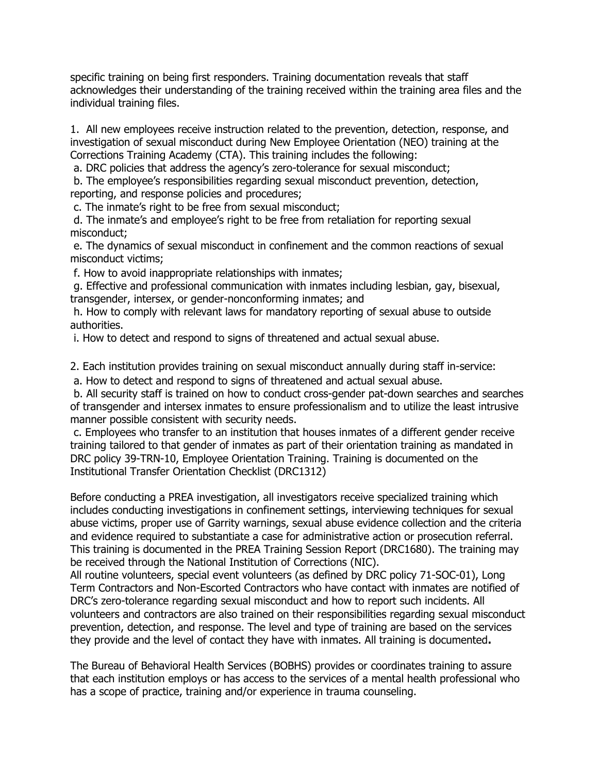specific training on being first responders. Training documentation reveals that staff acknowledges their understanding of the training received within the training area files and the individual training files.

1. All new employees receive instruction related to the prevention, detection, response, and investigation of sexual misconduct during New Employee Orientation (NEO) training at the Corrections Training Academy (CTA). This training includes the following:

a. DRC policies that address the agency's zero-tolerance for sexual misconduct;

b. The employee's responsibilities regarding sexual misconduct prevention, detection, reporting, and response policies and procedures;

c. The inmate's right to be free from sexual misconduct;

d. The inmate's and employee's right to be free from retaliation for reporting sexual misconduct;

e. The dynamics of sexual misconduct in confinement and the common reactions of sexual misconduct victims;

f. How to avoid inappropriate relationships with inmates;

g. Effective and professional communication with inmates including lesbian, gay, bisexual, transgender, intersex, or gender-nonconforming inmates; and

h. How to comply with relevant laws for mandatory reporting of sexual abuse to outside authorities.

i. How to detect and respond to signs of threatened and actual sexual abuse.

2. Each institution provides training on sexual misconduct annually during staff in-service:

a. How to detect and respond to signs of threatened and actual sexual abuse.

b. All security staff is trained on how to conduct cross-gender pat-down searches and searches of transgender and intersex inmates to ensure professionalism and to utilize the least intrusive manner possible consistent with security needs.

c. Employees who transfer to an institution that houses inmates of a different gender receive training tailored to that gender of inmates as part of their orientation training as mandated in DRC policy 39-TRN-10, Employee Orientation Training. Training is documented on the Institutional Transfer Orientation Checklist (DRC1312)

Before conducting a PREA investigation, all investigators receive specialized training which includes conducting investigations in confinement settings, interviewing techniques for sexual abuse victims, proper use of Garrity warnings, sexual abuse evidence collection and the criteria and evidence required to substantiate a case for administrative action or prosecution referral. This training is documented in the PREA Training Session Report (DRC1680). The training may be received through the National Institution of Corrections (NIC).

All routine volunteers, special event volunteers (as defined by DRC policy 71-SOC-01), Long Term Contractors and Non-Escorted Contractors who have contact with inmates are notified of DRC's zero-tolerance regarding sexual misconduct and how to report such incidents. All volunteers and contractors are also trained on their responsibilities regarding sexual misconduct prevention, detection, and response. The level and type of training are based on the services they provide and the level of contact they have with inmates. All training is documented**.**

The Bureau of Behavioral Health Services (BOBHS) provides or coordinates training to assure that each institution employs or has access to the services of a mental health professional who has a scope of practice, training and/or experience in trauma counseling.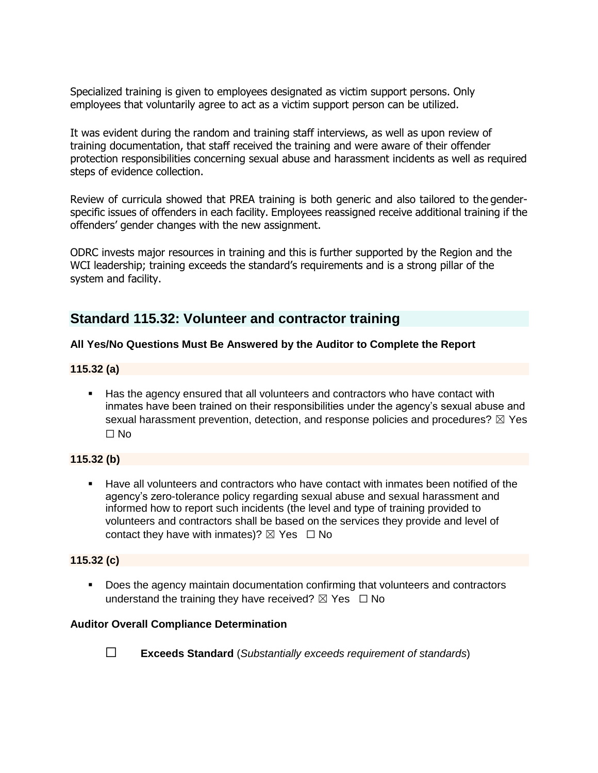Specialized training is given to employees designated as victim support persons. Only employees that voluntarily agree to act as a victim support person can be utilized.

It was evident during the random and training staff interviews, as well as upon review of training documentation, that staff received the training and were aware of their offender protection responsibilities concerning sexual abuse and harassment incidents as well as required steps of evidence collection.

Review of curricula showed that PREA training is both generic and also tailored to the genderspecific issues of offenders in each facility. Employees reassigned receive additional training if the offenders' gender changes with the new assignment.

ODRC invests major resources in training and this is further supported by the Region and the WCI leadership; training exceeds the standard's requirements and is a strong pillar of the system and facility.

# **Standard 115.32: Volunteer and contractor training**

#### **All Yes/No Questions Must Be Answered by the Auditor to Complete the Report**

#### **115.32 (a)**

■ Has the agency ensured that all volunteers and contractors who have contact with inmates have been trained on their responsibilities under the agency's sexual abuse and sexual harassment prevention, detection, and response policies and procedures?  $\boxtimes$  Yes  $\Box$  No

#### **115.32 (b)**

■ Have all volunteers and contractors who have contact with inmates been notified of the agency's zero-tolerance policy regarding sexual abuse and sexual harassment and informed how to report such incidents (the level and type of training provided to volunteers and contractors shall be based on the services they provide and level of contact they have with inmates)?  $\boxtimes$  Yes  $\Box$  No

#### **115.32 (c)**

Does the agency maintain documentation confirming that volunteers and contractors understand the training they have received?  $\boxtimes$  Yes  $\Box$  No

#### **Auditor Overall Compliance Determination**



☐ **Exceeds Standard** (*Substantially exceeds requirement of standards*)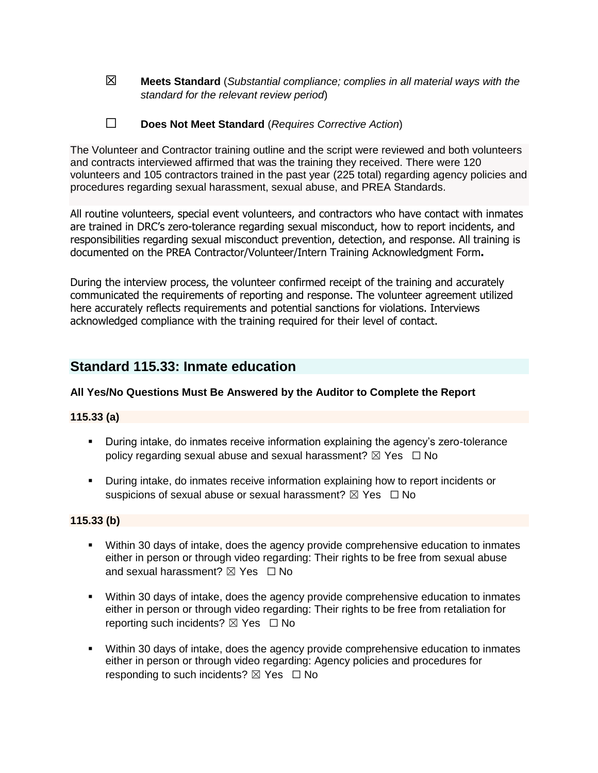- ☒ **Meets Standard** (*Substantial compliance; complies in all material ways with the standard for the relevant review period*)
- ☐ **Does Not Meet Standard** (*Requires Corrective Action*)

The Volunteer and Contractor training outline and the script were reviewed and both volunteers and contracts interviewed affirmed that was the training they received. There were 120 volunteers and 105 contractors trained in the past year (225 total) regarding agency policies and procedures regarding sexual harassment, sexual abuse, and PREA Standards.

All routine volunteers, special event volunteers, and contractors who have contact with inmates are trained in DRC's zero-tolerance regarding sexual misconduct, how to report incidents, and responsibilities regarding sexual misconduct prevention, detection, and response. All training is documented on the PREA Contractor/Volunteer/Intern Training Acknowledgment Form**.**

During the interview process, the volunteer confirmed receipt of the training and accurately communicated the requirements of reporting and response. The volunteer agreement utilized here accurately reflects requirements and potential sanctions for violations. Interviews acknowledged compliance with the training required for their level of contact.

# **Standard 115.33: Inmate education**

#### **All Yes/No Questions Must Be Answered by the Auditor to Complete the Report**

#### **115.33 (a)**

- **EXEDURIFY Intake, do inmates receive information explaining the agency's zero-tolerance** policy regarding sexual abuse and sexual harassment?  $\boxtimes$  Yes  $\Box$  No
- During intake, do inmates receive information explaining how to report incidents or suspicions of sexual abuse or sexual harassment?  $\boxtimes$  Yes  $\Box$  No

#### **115.33 (b)**

- Within 30 days of intake, does the agency provide comprehensive education to inmates either in person or through video regarding: Their rights to be free from sexual abuse and sexual harassment?  $\boxtimes$  Yes  $\Box$  No
- Within 30 days of intake, does the agency provide comprehensive education to inmates either in person or through video regarding: Their rights to be free from retaliation for reporting such incidents?  $\boxtimes$  Yes  $\Box$  No
- Within 30 days of intake, does the agency provide comprehensive education to inmates either in person or through video regarding: Agency policies and procedures for responding to such incidents?  $\boxtimes$  Yes  $\Box$  No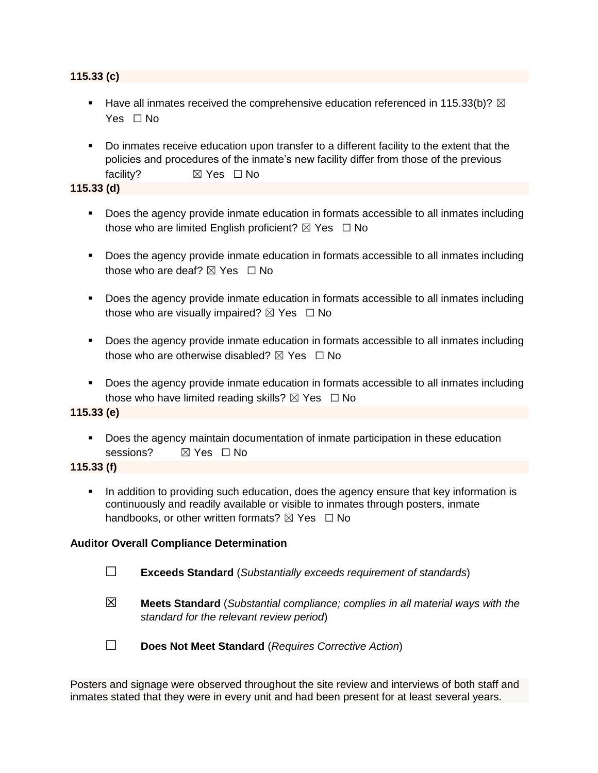#### **115.33 (c)**

- **E** Have all inmates received the comprehensive education referenced in 115.33(b)?  $\boxtimes$ Yes □ No
- Do inmates receive education upon transfer to a different facility to the extent that the policies and procedures of the inmate's new facility differ from those of the previous facility? **⊠** Yes □ No

**115.33 (d)**

- Does the agency provide inmate education in formats accessible to all inmates including those who are limited English proficient?  $\boxtimes$  Yes  $\Box$  No
- Does the agency provide inmate education in formats accessible to all inmates including those who are deaf?  $\boxtimes$  Yes  $\Box$  No
- Does the agency provide inmate education in formats accessible to all inmates including those who are visually impaired?  $\boxtimes$  Yes  $\Box$  No
- Does the agency provide inmate education in formats accessible to all inmates including those who are otherwise disabled?  $\boxtimes$  Yes  $\Box$  No
- Does the agency provide inmate education in formats accessible to all inmates including those who have limited reading skills?  $\boxtimes$  Yes  $\Box$  No

**115.33 (e)**

▪ Does the agency maintain documentation of inmate participation in these education sessions? ☒ Yes ☐ No

#### **115.33 (f)**

**•** In addition to providing such education, does the agency ensure that key information is continuously and readily available or visible to inmates through posters, inmate handbooks, or other written formats?  $\boxtimes$  Yes  $\Box$  No

#### **Auditor Overall Compliance Determination**

- ☐ **Exceeds Standard** (*Substantially exceeds requirement of standards*)
- ☒ **Meets Standard** (*Substantial compliance; complies in all material ways with the standard for the relevant review period*)

☐ **Does Not Meet Standard** (*Requires Corrective Action*)

Posters and signage were observed throughout the site review and interviews of both staff and inmates stated that they were in every unit and had been present for at least several years.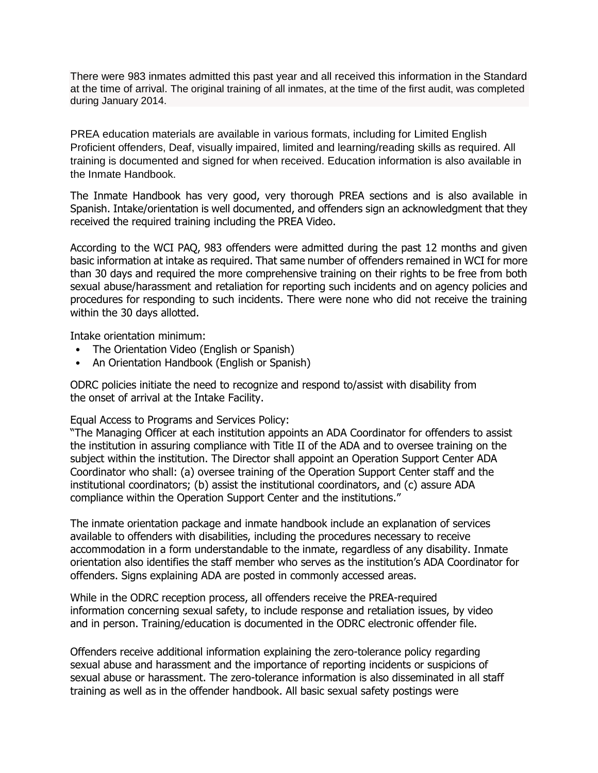There were 983 inmates admitted this past year and all received this information in the Standard at the time of arrival. The original training of all inmates, at the time of the first audit, was completed during January 2014.

PREA education materials are available in various formats, including for Limited English Proficient offenders, Deaf, visually impaired, limited and learning/reading skills as required. All training is documented and signed for when received. Education information is also available in the Inmate Handbook.

The Inmate Handbook has very good, very thorough PREA sections and is also available in Spanish. Intake/orientation is well documented, and offenders sign an acknowledgment that they received the required training including the PREA Video.

According to the WCI PAQ, 983 offenders were admitted during the past 12 months and given basic information at intake as required. That same number of offenders remained in WCI for more than 30 days and required the more comprehensive training on their rights to be free from both sexual abuse/harassment and retaliation for reporting such incidents and on agency policies and procedures for responding to such incidents. There were none who did not receive the training within the 30 days allotted.

Intake orientation minimum:

- The Orientation Video (English or Spanish)
- An Orientation Handbook (English or Spanish)

ODRC policies initiate the need to recognize and respond to/assist with disability from the onset of arrival at the Intake Facility.

Equal Access to Programs and Services Policy:

"The Managing Officer at each institution appoints an ADA Coordinator for offenders to assist the institution in assuring compliance with Title II of the ADA and to oversee training on the subject within the institution. The Director shall appoint an Operation Support Center ADA Coordinator who shall: (a) oversee training of the Operation Support Center staff and the institutional coordinators; (b) assist the institutional coordinators, and (c) assure ADA compliance within the Operation Support Center and the institutions."

The inmate orientation package and inmate handbook include an explanation of services available to offenders with disabilities, including the procedures necessary to receive accommodation in a form understandable to the inmate, regardless of any disability. Inmate orientation also identifies the staff member who serves as the institution's ADA Coordinator for offenders. Signs explaining ADA are posted in commonly accessed areas.

While in the ODRC reception process, all offenders receive the PREA-required information concerning sexual safety, to include response and retaliation issues, by video and in person. Training/education is documented in the ODRC electronic offender file.

Offenders receive additional information explaining the zero-tolerance policy regarding sexual abuse and harassment and the importance of reporting incidents or suspicions of sexual abuse or harassment. The zero-tolerance information is also disseminated in all staff training as well as in the offender handbook. All basic sexual safety postings were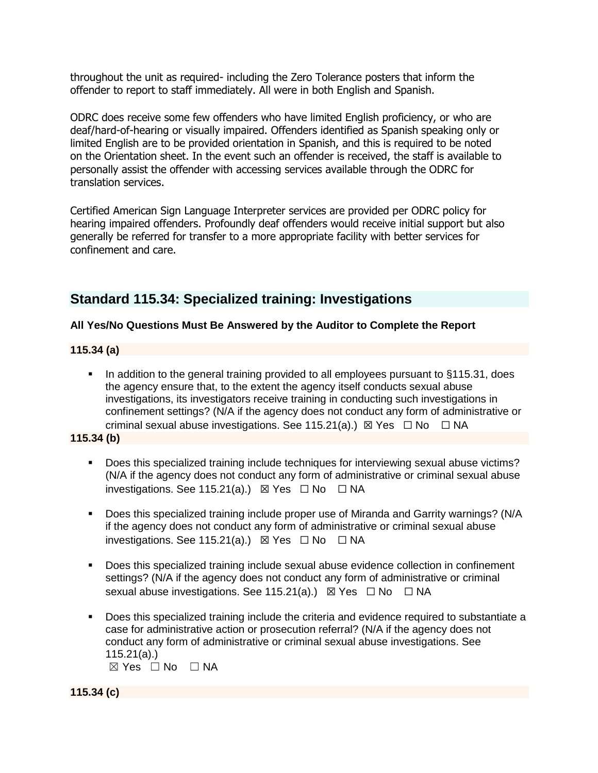throughout the unit as required- including the Zero Tolerance posters that inform the offender to report to staff immediately. All were in both English and Spanish.

ODRC does receive some few offenders who have limited English proficiency, or who are deaf/hard-of-hearing or visually impaired. Offenders identified as Spanish speaking only or limited English are to be provided orientation in Spanish, and this is required to be noted on the Orientation sheet. In the event such an offender is received, the staff is available to personally assist the offender with accessing services available through the ODRC for translation services.

Certified American Sign Language Interpreter services are provided per ODRC policy for hearing impaired offenders. Profoundly deaf offenders would receive initial support but also generally be referred for transfer to a more appropriate facility with better services for confinement and care.

# **Standard 115.34: Specialized training: Investigations**

#### **All Yes/No Questions Must Be Answered by the Auditor to Complete the Report**

#### **115.34 (a)**

■ In addition to the general training provided to all employees pursuant to §115.31, does the agency ensure that, to the extent the agency itself conducts sexual abuse investigations, its investigators receive training in conducting such investigations in confinement settings? (N/A if the agency does not conduct any form of administrative or criminal sexual abuse investigations. See 115.21(a).)  $\boxtimes$  Yes  $\Box$  No  $\Box$  NA

#### **115.34 (b)**

- Does this specialized training include techniques for interviewing sexual abuse victims? (N/A if the agency does not conduct any form of administrative or criminal sexual abuse investigations. See 115.21(a).)  $\boxtimes$  Yes  $\Box$  No  $\Box$  NA
- Does this specialized training include proper use of Miranda and Garrity warnings? (N/A if the agency does not conduct any form of administrative or criminal sexual abuse investigations. See 115.21(a).)  $\boxtimes$  Yes  $\Box$  No  $\Box$  NA
- Does this specialized training include sexual abuse evidence collection in confinement settings? (N/A if the agency does not conduct any form of administrative or criminal sexual abuse investigations. See 115.21(a).) ⊠ Yes □ No □ NA
- Does this specialized training include the criteria and evidence required to substantiate a case for administrative action or prosecution referral? (N/A if the agency does not conduct any form of administrative or criminal sexual abuse investigations. See 115.21(a).)

 $\boxtimes$  Yes  $\Box$  No  $\Box$  NA

**115.34 (c)**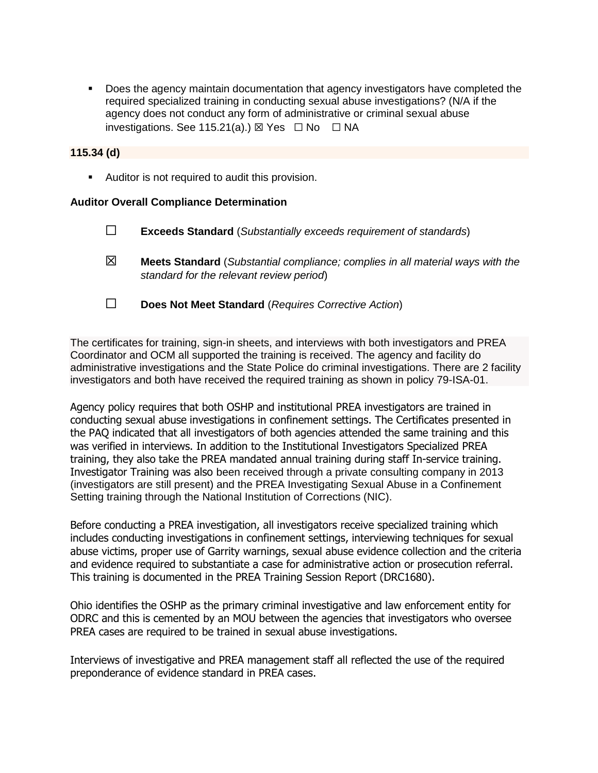**•** Does the agency maintain documentation that agency investigators have completed the required specialized training in conducting sexual abuse investigations? (N/A if the agency does not conduct any form of administrative or criminal sexual abuse investigations. See 115.21(a).)  $\boxtimes$  Yes  $\Box$  No  $\Box$  NA

#### **115.34 (d)**

■ Auditor is not required to audit this provision.

#### **Auditor Overall Compliance Determination**

- ☐ **Exceeds Standard** (*Substantially exceeds requirement of standards*)
- ☒ **Meets Standard** (*Substantial compliance; complies in all material ways with the standard for the relevant review period*)
- ☐ **Does Not Meet Standard** (*Requires Corrective Action*)

The certificates for training, sign-in sheets, and interviews with both investigators and PREA Coordinator and OCM all supported the training is received. The agency and facility do administrative investigations and the State Police do criminal investigations. There are 2 facility investigators and both have received the required training as shown in policy 79-ISA-01.

Agency policy requires that both OSHP and institutional PREA investigators are trained in conducting sexual abuse investigations in confinement settings. The Certificates presented in the PAQ indicated that all investigators of both agencies attended the same training and this was verified in interviews. In addition to the Institutional Investigators Specialized PREA training, they also take the PREA mandated annual training during staff In-service training. Investigator Training was also been received through a private consulting company in 2013 (investigators are still present) and the PREA Investigating Sexual Abuse in a Confinement Setting training through the National Institution of Corrections (NIC).

Before conducting a PREA investigation, all investigators receive specialized training which includes conducting investigations in confinement settings, interviewing techniques for sexual abuse victims, proper use of Garrity warnings, sexual abuse evidence collection and the criteria and evidence required to substantiate a case for administrative action or prosecution referral. This training is documented in the PREA Training Session Report (DRC1680).

Ohio identifies the OSHP as the primary criminal investigative and law enforcement entity for ODRC and this is cemented by an MOU between the agencies that investigators who oversee PREA cases are required to be trained in sexual abuse investigations.

Interviews of investigative and PREA management staff all reflected the use of the required preponderance of evidence standard in PREA cases.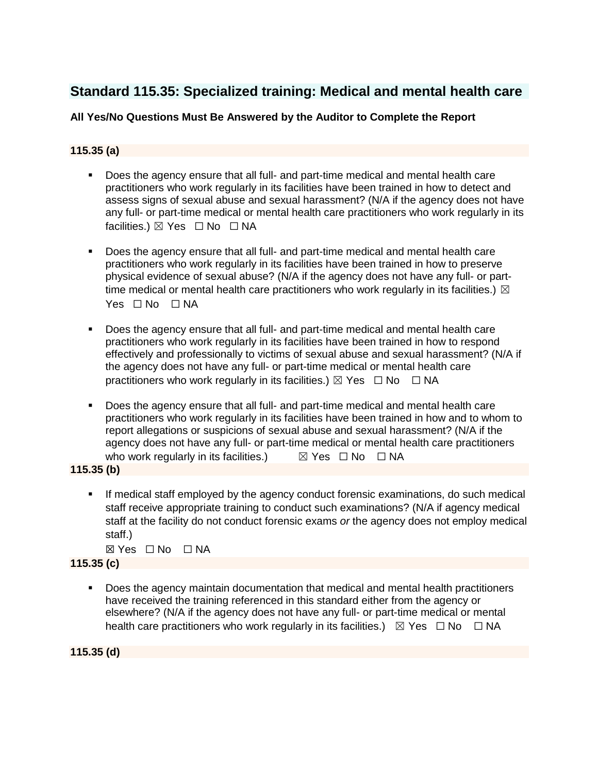# **Standard 115.35: Specialized training: Medical and mental health care**

## **All Yes/No Questions Must Be Answered by the Auditor to Complete the Report**

## **115.35 (a)**

- Does the agency ensure that all full- and part-time medical and mental health care practitioners who work regularly in its facilities have been trained in how to detect and assess signs of sexual abuse and sexual harassment? (N/A if the agency does not have any full- or part-time medical or mental health care practitioners who work regularly in its facilities.) ⊠ Yes □ No □ NA
- Does the agency ensure that all full- and part-time medical and mental health care practitioners who work regularly in its facilities have been trained in how to preserve physical evidence of sexual abuse? (N/A if the agency does not have any full- or parttime medical or mental health care practitioners who work regularly in its facilities.)  $\boxtimes$ Yes □ No □ NA
- Does the agency ensure that all full- and part-time medical and mental health care practitioners who work regularly in its facilities have been trained in how to respond effectively and professionally to victims of sexual abuse and sexual harassment? (N/A if the agency does not have any full- or part-time medical or mental health care practitioners who work regularly in its facilities.)  $\boxtimes$  Yes  $\Box$  No  $\Box$  NA
- Does the agency ensure that all full- and part-time medical and mental health care practitioners who work regularly in its facilities have been trained in how and to whom to report allegations or suspicions of sexual abuse and sexual harassment? (N/A if the agency does not have any full- or part-time medical or mental health care practitioners who work regularly in its facilities.)  $\boxtimes$  Yes  $\Box$  No  $\Box$  NA

**115.35 (b)**

If medical staff employed by the agency conduct forensic examinations, do such medical staff receive appropriate training to conduct such examinations? (N/A if agency medical staff at the facility do not conduct forensic exams *or* the agency does not employ medical staff.)

☒ Yes ☐ No ☐ NA

#### **115.35 (c)**

▪ Does the agency maintain documentation that medical and mental health practitioners have received the training referenced in this standard either from the agency or elsewhere? (N/A if the agency does not have any full- or part-time medical or mental health care practitioners who work regularly in its facilities.)  $\boxtimes$  Yes  $\Box$  No  $\Box$  NA

**115.35 (d)**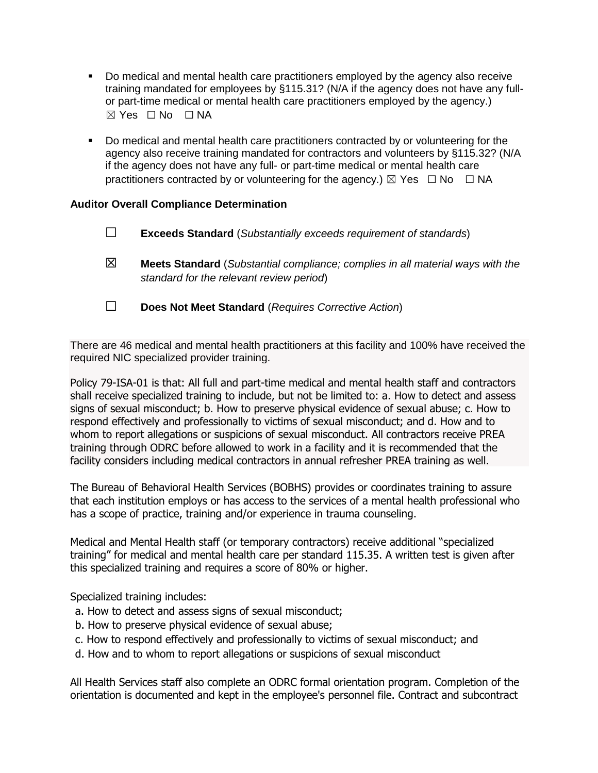- Do medical and mental health care practitioners employed by the agency also receive training mandated for employees by §115.31? (N/A if the agency does not have any fullor part-time medical or mental health care practitioners employed by the agency.)  $\boxtimes$  Yes  $\Box$  No  $\Box$  NA
- Do medical and mental health care practitioners contracted by or volunteering for the agency also receive training mandated for contractors and volunteers by §115.32? (N/A if the agency does not have any full- or part-time medical or mental health care practitioners contracted by or volunteering for the agency.)  $\boxtimes$  Yes  $\Box$  No  $\Box$  NA

#### **Auditor Overall Compliance Determination**

- ☐ **Exceeds Standard** (*Substantially exceeds requirement of standards*)
- ☒ **Meets Standard** (*Substantial compliance; complies in all material ways with the standard for the relevant review period*)
- ☐ **Does Not Meet Standard** (*Requires Corrective Action*)

There are 46 medical and mental health practitioners at this facility and 100% have received the required NIC specialized provider training.

Policy 79-ISA-01 is that: All full and part-time medical and mental health staff and contractors shall receive specialized training to include, but not be limited to: a. How to detect and assess signs of sexual misconduct; b. How to preserve physical evidence of sexual abuse; c. How to respond effectively and professionally to victims of sexual misconduct; and d. How and to whom to report allegations or suspicions of sexual misconduct. All contractors receive PREA training through ODRC before allowed to work in a facility and it is recommended that the facility considers including medical contractors in annual refresher PREA training as well.

The Bureau of Behavioral Health Services (BOBHS) provides or coordinates training to assure that each institution employs or has access to the services of a mental health professional who has a scope of practice, training and/or experience in trauma counseling.

Medical and Mental Health staff (or temporary contractors) receive additional "specialized training" for medical and mental health care per standard 115.35. A written test is given after this specialized training and requires a score of 80% or higher.

Specialized training includes:

- a. How to detect and assess signs of sexual misconduct;
- b. How to preserve physical evidence of sexual abuse;
- c. How to respond effectively and professionally to victims of sexual misconduct; and
- d. How and to whom to report allegations or suspicions of sexual misconduct

All Health Services staff also complete an ODRC formal orientation program. Completion of the orientation is documented and kept in the employee's personnel file. Contract and subcontract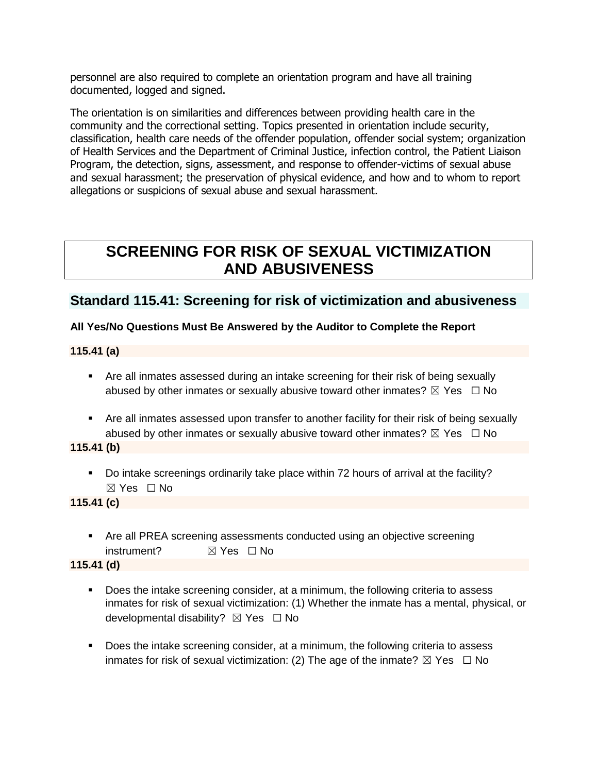personnel are also required to complete an orientation program and have all training documented, logged and signed.

The orientation is on similarities and differences between providing health care in the community and the correctional setting. Topics presented in orientation include security, classification, health care needs of the offender population, offender social system; organization of Health Services and the Department of Criminal Justice, infection control, the Patient Liaison Program, the detection, signs, assessment, and response to offender-victims of sexual abuse and sexual harassment; the preservation of physical evidence, and how and to whom to report allegations or suspicions of sexual abuse and sexual harassment.

# **SCREENING FOR RISK OF SEXUAL VICTIMIZATION AND ABUSIVENESS**

## **Standard 115.41: Screening for risk of victimization and abusiveness**

## **All Yes/No Questions Must Be Answered by the Auditor to Complete the Report**

**115.41 (a)**

- **•** Are all inmates assessed during an intake screening for their risk of being sexually abused by other inmates or sexually abusive toward other inmates?  $\boxtimes$  Yes  $\Box$  No
- **EXT** Are all inmates assessed upon transfer to another facility for their risk of being sexually abused by other inmates or sexually abusive toward other inmates?  $\boxtimes$  Yes  $\Box$  No

#### **115.41 (b)**

▪ Do intake screenings ordinarily take place within 72 hours of arrival at the facility? ☒ Yes ☐ No

**115.41 (c)**

**• Are all PREA screening assessments conducted using an objective screening** instrument? ☒ Yes ☐ No

**115.41 (d)**

- Does the intake screening consider, at a minimum, the following criteria to assess inmates for risk of sexual victimization: (1) Whether the inmate has a mental, physical, or developmental disability? **⊠** Yes □ No
- Does the intake screening consider, at a minimum, the following criteria to assess inmates for risk of sexual victimization: (2) The age of the inmate?  $\boxtimes$  Yes  $\Box$  No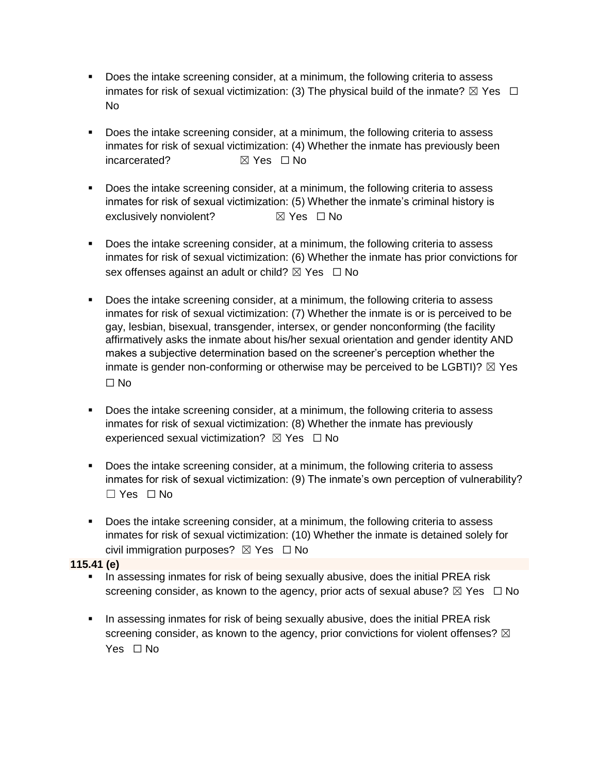- Does the intake screening consider, at a minimum, the following criteria to assess inmates for risk of sexual victimization: (3) The physical build of the inmate?  $\boxtimes$  Yes  $\Box$ No
- Does the intake screening consider, at a minimum, the following criteria to assess inmates for risk of sexual victimization: (4) Whether the inmate has previously been incarcerated? ☒ Yes ☐ No
- Does the intake screening consider, at a minimum, the following criteria to assess inmates for risk of sexual victimization: (5) Whether the inmate's criminal history is exclusively nonviolent? <br> **■ Yes □ No**
- **•** Does the intake screening consider, at a minimum, the following criteria to assess inmates for risk of sexual victimization: (6) Whether the inmate has prior convictions for sex offenses against an adult or child?  $\boxtimes$  Yes  $\Box$  No
- Does the intake screening consider, at a minimum, the following criteria to assess inmates for risk of sexual victimization: (7) Whether the inmate is or is perceived to be gay, lesbian, bisexual, transgender, intersex, or gender nonconforming (the facility affirmatively asks the inmate about his/her sexual orientation and gender identity AND makes a subjective determination based on the screener's perception whether the inmate is gender non-conforming or otherwise may be perceived to be  $LGBTI)$ ?  $\boxtimes$  Yes  $\Box$  No
- **•** Does the intake screening consider, at a minimum, the following criteria to assess inmates for risk of sexual victimization: (8) Whether the inmate has previously experienced sexual victimization?  $\boxtimes$  Yes  $\Box$  No
- Does the intake screening consider, at a minimum, the following criteria to assess inmates for risk of sexual victimization: (9) The inmate's own perception of vulnerability? ☐ Yes ☐ No
- Does the intake screening consider, at a minimum, the following criteria to assess inmates for risk of sexual victimization: (10) Whether the inmate is detained solely for civil immigration purposes?  $\boxtimes$  Yes  $\Box$  No

**115.41 (e)**

- **•** In assessing inmates for risk of being sexually abusive, does the initial PREA risk screening consider, as known to the agency, prior acts of sexual abuse?  $\boxtimes$  Yes  $\Box$  No
- **•** In assessing inmates for risk of being sexually abusive, does the initial PREA risk screening consider, as known to the agency, prior convictions for violent offenses?  $\boxtimes$ Yes □ No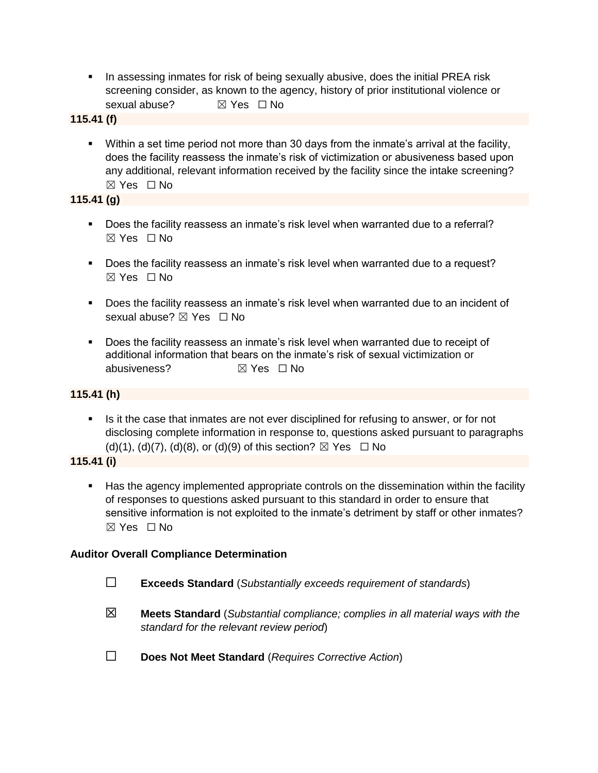- **•** In assessing inmates for risk of being sexually abusive, does the initial PREA risk screening consider, as known to the agency, history of prior institutional violence or sexual abuse? <br> <del>⊠</del> Yes □ No
- **115.41 (f)**
	- Within a set time period not more than 30 days from the inmate's arrival at the facility, does the facility reassess the inmate's risk of victimization or abusiveness based upon any additional, relevant information received by the facility since the intake screening?  $\boxtimes$  Yes  $\Box$  No

## **115.41 (g)**

- Does the facility reassess an inmate's risk level when warranted due to a referral? ☒ Yes ☐ No
- Does the facility reassess an inmate's risk level when warranted due to a request? ☒ Yes ☐ No
- Does the facility reassess an inmate's risk level when warranted due to an incident of sexual abuse? ⊠ Yes □ No
- Does the facility reassess an inmate's risk level when warranted due to receipt of additional information that bears on the inmate's risk of sexual victimization or abusiveness? ☒ Yes ☐ No

## **115.41 (h)**

**.** Is it the case that inmates are not ever disciplined for refusing to answer, or for not disclosing complete information in response to, questions asked pursuant to paragraphs (d)(1), (d)(7), (d)(8), or (d)(9) of this section?  $\boxtimes$  Yes  $\Box$  No

## **115.41 (i)**

■ Has the agency implemented appropriate controls on the dissemination within the facility of responses to questions asked pursuant to this standard in order to ensure that sensitive information is not exploited to the inmate's detriment by staff or other inmates? ☒ Yes ☐ No

## **Auditor Overall Compliance Determination**

- ☐ **Exceeds Standard** (*Substantially exceeds requirement of standards*)
- ☒ **Meets Standard** (*Substantial compliance; complies in all material ways with the standard for the relevant review period*)
- ☐ **Does Not Meet Standard** (*Requires Corrective Action*)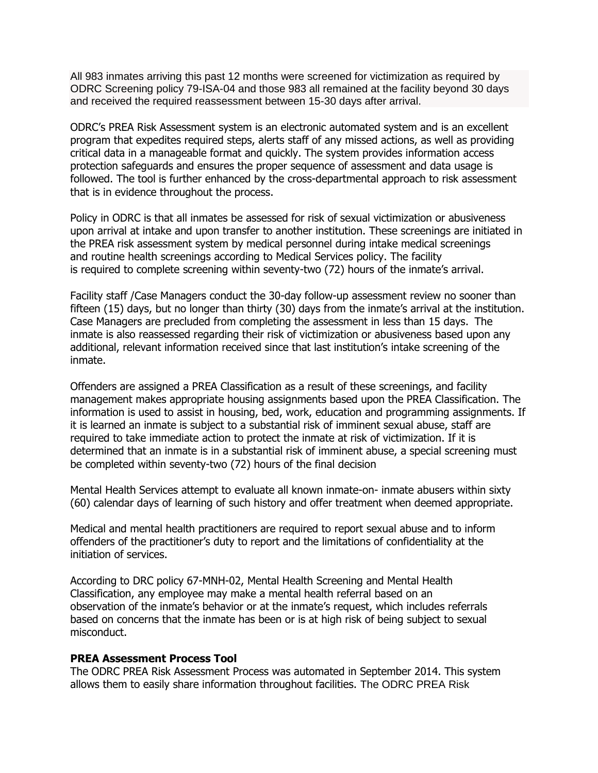All 983 inmates arriving this past 12 months were screened for victimization as required by ODRC Screening policy 79-ISA-04 and those 983 all remained at the facility beyond 30 days and received the required reassessment between 15-30 days after arrival.

ODRC's PREA Risk Assessment system is an electronic automated system and is an excellent program that expedites required steps, alerts staff of any missed actions, as well as providing critical data in a manageable format and quickly. The system provides information access protection safeguards and ensures the proper sequence of assessment and data usage is followed. The tool is further enhanced by the cross-departmental approach to risk assessment that is in evidence throughout the process.

Policy in ODRC is that all inmates be assessed for risk of sexual victimization or abusiveness upon arrival at intake and upon transfer to another institution. These screenings are initiated in the PREA risk assessment system by medical personnel during intake medical screenings and routine health screenings according to Medical Services policy. The facility is required to complete screening within seventy-two (72) hours of the inmate's arrival.

Facility staff /Case Managers conduct the 30-day follow-up assessment review no sooner than fifteen (15) days, but no longer than thirty (30) days from the inmate's arrival at the institution. Case Managers are precluded from completing the assessment in less than 15 days. The inmate is also reassessed regarding their risk of victimization or abusiveness based upon any additional, relevant information received since that last institution's intake screening of the inmate.

Offenders are assigned a PREA Classification as a result of these screenings, and facility management makes appropriate housing assignments based upon the PREA Classification. The information is used to assist in housing, bed, work, education and programming assignments. If it is learned an inmate is subject to a substantial risk of imminent sexual abuse, staff are required to take immediate action to protect the inmate at risk of victimization. If it is determined that an inmate is in a substantial risk of imminent abuse, a special screening must be completed within seventy-two (72) hours of the final decision

Mental Health Services attempt to evaluate all known inmate-on- inmate abusers within sixty (60) calendar days of learning of such history and offer treatment when deemed appropriate.

Medical and mental health practitioners are required to report sexual abuse and to inform offenders of the practitioner's duty to report and the limitations of confidentiality at the initiation of services.

According to DRC policy 67-MNH-02, Mental Health Screening and Mental Health Classification, any employee may make a mental health referral based on an observation of the inmate's behavior or at the inmate's request, which includes referrals based on concerns that the inmate has been or is at high risk of being subject to sexual misconduct.

#### **PREA Assessment Process Tool**

The ODRC PREA Risk Assessment Process was automated in September 2014. This system allows them to easily share information throughout facilities. The ODRC PREA Risk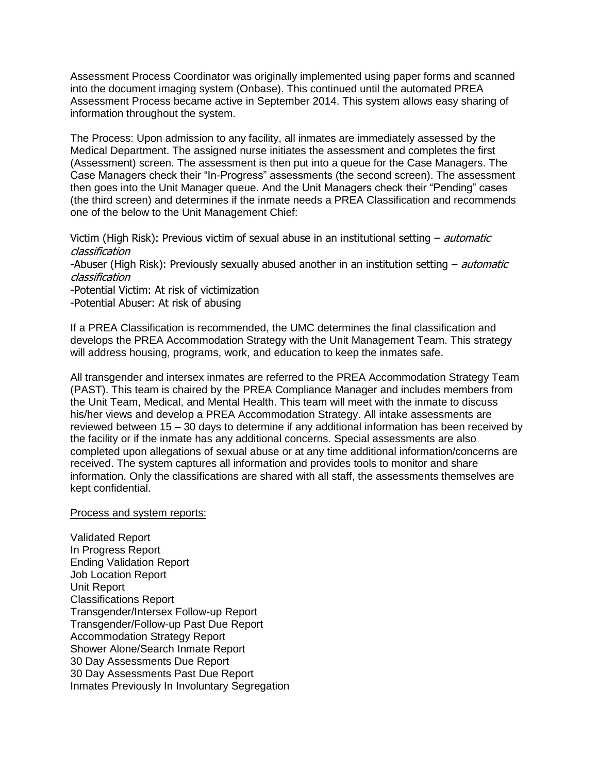Assessment Process Coordinator was originally implemented using paper forms and scanned into the document imaging system (Onbase). This continued until the automated PREA Assessment Process became active in September 2014. This system allows easy sharing of information throughout the system.

The Process: Upon admission to any facility, all inmates are immediately assessed by the Medical Department. The assigned nurse initiates the assessment and completes the first (Assessment) screen. The assessment is then put into a queue for the Case Managers. The Case Managers check their "In-Progress" assessments (the second screen). The assessment then goes into the Unit Manager queue. And the Unit Managers check their "Pending" cases (the third screen) and determines if the inmate needs a PREA Classification and recommends one of the below to the Unit Management Chief:

Victim (High Risk): Previous victim of sexual abuse in an institutional setting – *automatic* classification

-Abuser (High Risk): Previously sexually abused another in an institution setting – *automatic* classification

-Potential Victim: At risk of victimization

-Potential Abuser: At risk of abusing

If a PREA Classification is recommended, the UMC determines the final classification and develops the PREA Accommodation Strategy with the Unit Management Team. This strategy will address housing, programs, work, and education to keep the inmates safe.

All transgender and intersex inmates are referred to the PREA Accommodation Strategy Team (PAST). This team is chaired by the PREA Compliance Manager and includes members from the Unit Team, Medical, and Mental Health. This team will meet with the inmate to discuss his/her views and develop a PREA Accommodation Strategy. All intake assessments are reviewed between 15 – 30 days to determine if any additional information has been received by the facility or if the inmate has any additional concerns. Special assessments are also completed upon allegations of sexual abuse or at any time additional information/concerns are received. The system captures all information and provides tools to monitor and share information. Only the classifications are shared with all staff, the assessments themselves are kept confidential.

#### Process and system reports:

Validated Report In Progress Report Ending Validation Report Job Location Report Unit Report Classifications Report Transgender/Intersex Follow-up Report Transgender/Follow-up Past Due Report Accommodation Strategy Report Shower Alone/Search Inmate Report 30 Day Assessments Due Report 30 Day Assessments Past Due Report Inmates Previously In Involuntary Segregation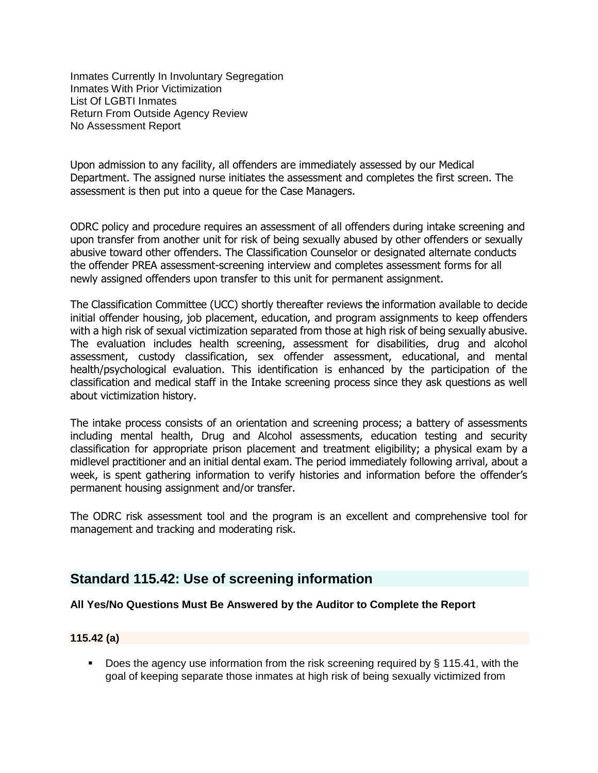Inmates Currently In Involuntary Segregation Inmates With Prior Victimization List Of LGBTI Inmates Return From Outside Agency Review No Assessment Report

Upon admission to any facility, all offenders are immediately assessed by our Medical Department. The assigned nurse initiates the assessment and completes the first screen. The assessment is then put into a queue for the Case Managers.

ODRC policy and procedure requires an assessment of all offenders during intake screening and upon transfer from another unit for risk of being sexually abused by other offenders or sexually abusive toward other offenders. The Classification Counselor or designated alternate conducts the offender PREA assessment-screening interview and completes assessment forms for all newly assigned offenders upon transfer to this unit for permanent assignment.

The Classification Committee (UCC) shortly thereafter reviews the information available to decide initial offender housing, job placement, education, and program assignments to keep offenders with a high risk of sexual victimization separated from those at high risk of being sexually abusive. The evaluation includes health screening, assessment for disabilities, drug and alcohol assessment, custody classification, sex offender assessment, educational, and mental health/psychological evaluation. This identification is enhanced by the participation of the classification and medical staff in the Intake screening process since they ask questions as well about victimization history.

The intake process consists of an orientation and screening process; a battery of assessments including mental health, Drug and Alcohol assessments, education testing and security classification for appropriate prison placement and treatment eligibility; a physical exam by a midlevel practitioner and an initial dental exam. The period immediately following arrival, about a week, is spent gathering information to verify histories and information before the offender's permanent housing assignment and/or transfer.

The ODRC risk assessment tool and the program is an excellent and comprehensive tool for management and tracking and moderating risk.

## **Standard 115.42: Use of screening information**

#### **All Yes/No Questions Must Be Answered by the Auditor to Complete the Report**

#### **115.42 (a)**

■ Does the agency use information from the risk screening required by § 115.41, with the goal of keeping separate those inmates at high risk of being sexually victimized from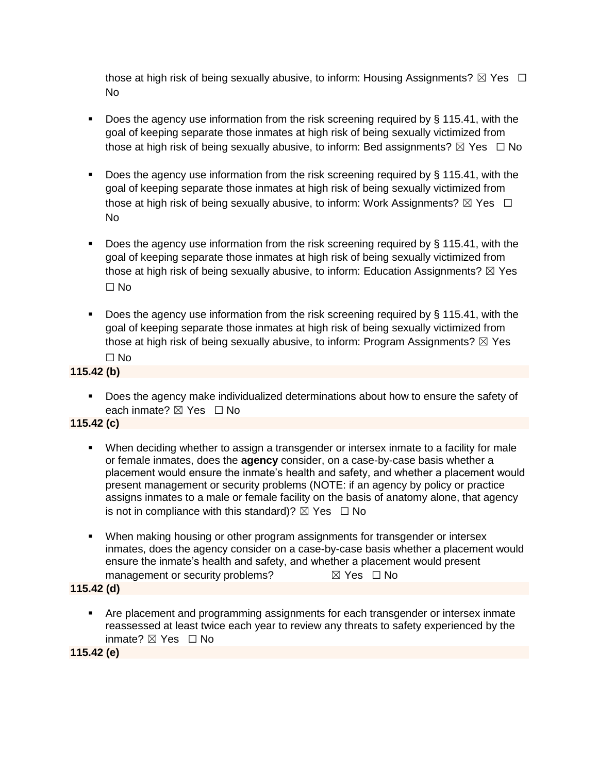those at high risk of being sexually abusive, to inform: Housing Assignments?  $\boxtimes$  Yes  $\Box$ No

- Does the agency use information from the risk screening required by  $\S$  115.41, with the goal of keeping separate those inmates at high risk of being sexually victimized from those at high risk of being sexually abusive, to inform: Bed assignments?  $\boxtimes$  Yes  $\Box$  No
- Does the agency use information from the risk screening required by § 115.41, with the goal of keeping separate those inmates at high risk of being sexually victimized from those at high risk of being sexually abusive, to inform: Work Assignments?  $\boxtimes$  Yes  $\Box$ No
- Does the agency use information from the risk screening required by § 115.41, with the goal of keeping separate those inmates at high risk of being sexually victimized from those at high risk of being sexually abusive, to inform: Education Assignments?  $\boxtimes$  Yes ☐ No
- Does the agency use information from the risk screening required by § 115.41, with the goal of keeping separate those inmates at high risk of being sexually victimized from those at high risk of being sexually abusive, to inform: Program Assignments?  $\boxtimes$  Yes ☐ No

### **115.42 (b)**

■ Does the agency make individualized determinations about how to ensure the safety of each inmate?  $\boxtimes$  Yes  $\Box$  No

#### **115.42 (c)**

- When deciding whether to assign a transgender or intersex inmate to a facility for male or female inmates, does the **agency** consider, on a case-by-case basis whether a placement would ensure the inmate's health and safety, and whether a placement would present management or security problems (NOTE: if an agency by policy or practice assigns inmates to a male or female facility on the basis of anatomy alone, that agency is not in compliance with this standard)?  $\boxtimes$  Yes  $\Box$  No
- **■** When making housing or other program assignments for transgender or intersex inmates, does the agency consider on a case-by-case basis whether a placement would ensure the inmate's health and safety, and whether a placement would present management or security problems?  $\boxtimes$  Yes  $\Box$  No

#### **115.42 (d)**

■ Are placement and programming assignments for each transgender or intersex inmate reassessed at least twice each year to review any threats to safety experienced by the inmate? ☒ Yes ☐ No

**115.42 (e)**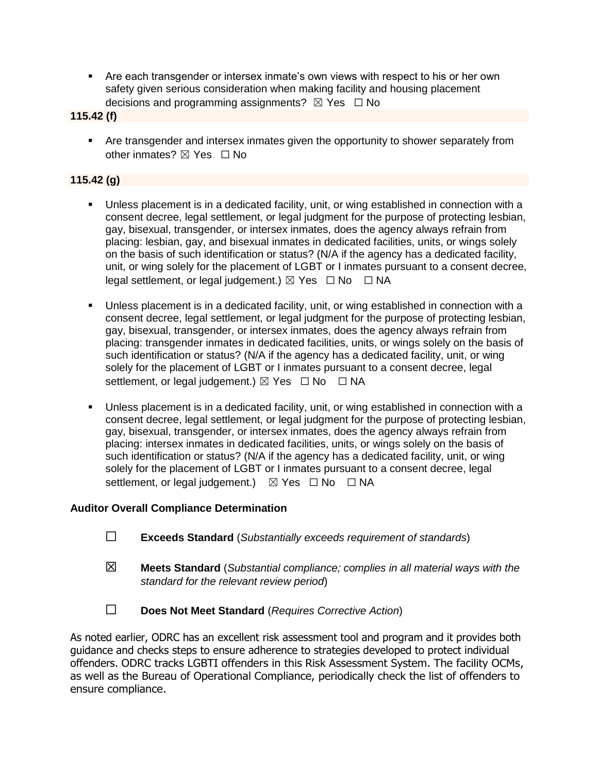■ Are each transgender or intersex inmate's own views with respect to his or her own safety given serious consideration when making facility and housing placement decisions and programming assignments?  $\boxtimes$  Yes  $\Box$  No

**115.42 (f)**

**• Are transgender and intersex inmates given the opportunity to shower separately from** other inmates? ⊠ Yes □ No

### **115.42 (g)**

- **■** Unless placement is in a dedicated facility, unit, or wing established in connection with a consent decree, legal settlement, or legal judgment for the purpose of protecting lesbian, gay, bisexual, transgender, or intersex inmates, does the agency always refrain from placing: lesbian, gay, and bisexual inmates in dedicated facilities, units, or wings solely on the basis of such identification or status? (N/A if the agency has a dedicated facility, unit, or wing solely for the placement of LGBT or I inmates pursuant to a consent decree, legal settlement, or legal judgement.)  $\boxtimes$  Yes  $\Box$  No  $\Box$  NA
- Unless placement is in a dedicated facility, unit, or wing established in connection with a consent decree, legal settlement, or legal judgment for the purpose of protecting lesbian, gay, bisexual, transgender, or intersex inmates, does the agency always refrain from placing: transgender inmates in dedicated facilities, units, or wings solely on the basis of such identification or status? (N/A if the agency has a dedicated facility, unit, or wing solely for the placement of LGBT or I inmates pursuant to a consent decree, legal settlement, or legal judgement.)  $\boxtimes$  Yes  $\Box$  No  $\Box$  NA
- Unless placement is in a dedicated facility, unit, or wing established in connection with a consent decree, legal settlement, or legal judgment for the purpose of protecting lesbian, gay, bisexual, transgender, or intersex inmates, does the agency always refrain from placing: intersex inmates in dedicated facilities, units, or wings solely on the basis of such identification or status? (N/A if the agency has a dedicated facility, unit, or wing solely for the placement of LGBT or I inmates pursuant to a consent decree, legal settlement, or legal judgement.)  $\boxtimes$  Yes  $\Box$  No  $\Box$  NA

#### **Auditor Overall Compliance Determination**

- ☐ **Exceeds Standard** (*Substantially exceeds requirement of standards*)
- ☒ **Meets Standard** (*Substantial compliance; complies in all material ways with the standard for the relevant review period*)
- ☐ **Does Not Meet Standard** (*Requires Corrective Action*)

As noted earlier, ODRC has an excellent risk assessment tool and program and it provides both guidance and checks steps to ensure adherence to strategies developed to protect individual offenders. ODRC tracks LGBTI offenders in this Risk Assessment System. The facility OCMs, as well as the Bureau of Operational Compliance, periodically check the list of offenders to ensure compliance.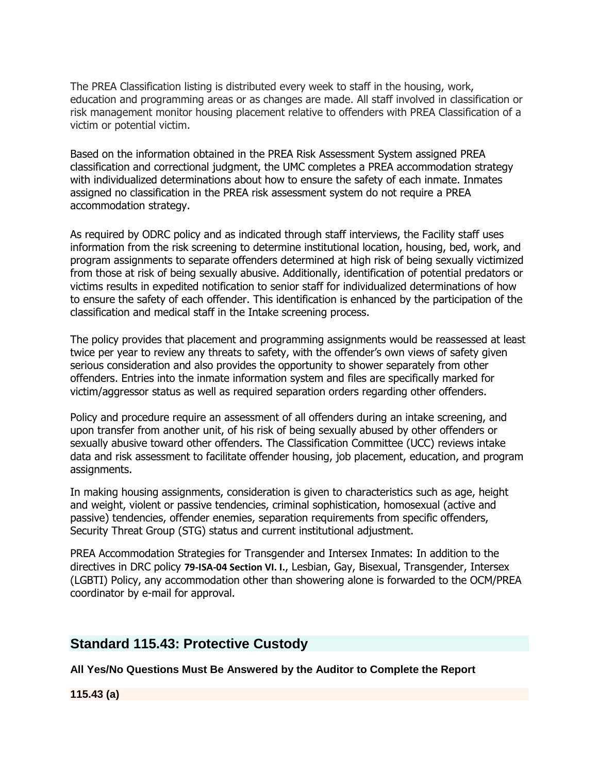The PREA Classification listing is distributed every week to staff in the housing, work, education and programming areas or as changes are made. All staff involved in classification or risk management monitor housing placement relative to offenders with PREA Classification of a victim or potential victim.

Based on the information obtained in the PREA Risk Assessment System assigned PREA classification and correctional judgment, the UMC completes a PREA accommodation strategy with individualized determinations about how to ensure the safety of each inmate. Inmates assigned no classification in the PREA risk assessment system do not require a PREA accommodation strategy.

As required by ODRC policy and as indicated through staff interviews, the Facility staff uses information from the risk screening to determine institutional location, housing, bed, work, and program assignments to separate offenders determined at high risk of being sexually victimized from those at risk of being sexually abusive. Additionally, identification of potential predators or victims results in expedited notification to senior staff for individualized determinations of how to ensure the safety of each offender. This identification is enhanced by the participation of the classification and medical staff in the Intake screening process.

The policy provides that placement and programming assignments would be reassessed at least twice per year to review any threats to safety, with the offender's own views of safety given serious consideration and also provides the opportunity to shower separately from other offenders. Entries into the inmate information system and files are specifically marked for victim/aggressor status as well as required separation orders regarding other offenders.

Policy and procedure require an assessment of all offenders during an intake screening, and upon transfer from another unit, of his risk of being sexually abused by other offenders or sexually abusive toward other offenders. The Classification Committee (UCC) reviews intake data and risk assessment to facilitate offender housing, job placement, education, and program assignments.

In making housing assignments, consideration is given to characteristics such as age, height and weight, violent or passive tendencies, criminal sophistication, homosexual (active and passive) tendencies, offender enemies, separation requirements from specific offenders, Security Threat Group (STG) status and current institutional adjustment.

PREA Accommodation Strategies for Transgender and Intersex Inmates: In addition to the directives in DRC policy **79-ISA-04 Section VI. I.**, Lesbian, Gay, Bisexual, Transgender, Intersex (LGBTI) Policy, any accommodation other than showering alone is forwarded to the OCM/PREA coordinator by e-mail for approval.

## **Standard 115.43: Protective Custody**

**All Yes/No Questions Must Be Answered by the Auditor to Complete the Report**

**115.43 (a)**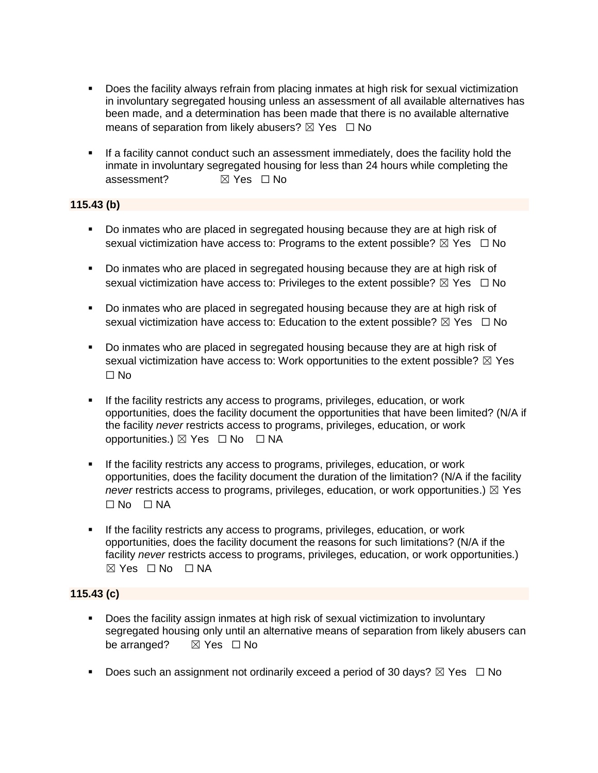- **•** Does the facility always refrain from placing inmates at high risk for sexual victimization in involuntary segregated housing unless an assessment of all available alternatives has been made, and a determination has been made that there is no available alternative means of separation from likely abusers?  $\boxtimes$  Yes  $\Box$  No
- **.** If a facility cannot conduct such an assessment immediately, does the facility hold the inmate in involuntary segregated housing for less than 24 hours while completing the assessment?  $\boxtimes$  Yes  $\Box$  No

#### **115.43 (b)**

- Do inmates who are placed in segregated housing because they are at high risk of sexual victimization have access to: Programs to the extent possible?  $\boxtimes$  Yes  $\Box$  No
- Do inmates who are placed in segregated housing because they are at high risk of sexual victimization have access to: Privileges to the extent possible?  $\boxtimes$  Yes  $\Box$  No
- Do inmates who are placed in segregated housing because they are at high risk of sexual victimization have access to: Education to the extent possible?  $\boxtimes$  Yes  $\Box$  No
- Do inmates who are placed in segregated housing because they are at high risk of sexual victimization have access to: Work opportunities to the extent possible?  $\boxtimes$  Yes ☐ No
- If the facility restricts any access to programs, privileges, education, or work opportunities, does the facility document the opportunities that have been limited? (N/A if the facility *never* restricts access to programs, privileges, education, or work opportunities.) ☒ Yes ☐ No ☐ NA
- If the facility restricts any access to programs, privileges, education, or work opportunities, does the facility document the duration of the limitation? (N/A if the facility *never* restricts access to programs, privileges, education, or work opportunities.)  $\boxtimes$  Yes  $\square$  No  $\square$  NA
- If the facility restricts any access to programs, privileges, education, or work opportunities, does the facility document the reasons for such limitations? (N/A if the facility *never* restricts access to programs, privileges, education, or work opportunities.)  $⊠ Yes ⊡ No ⊡ NA$

## **115.43 (c)**

- Does the facility assign inmates at high risk of sexual victimization to involuntary segregated housing only until an alternative means of separation from likely abusers can be arranged? **⊠** Yes □ No
- **•** Does such an assignment not ordinarily exceed a period of 30 days?  $\boxtimes$  Yes  $\Box$  No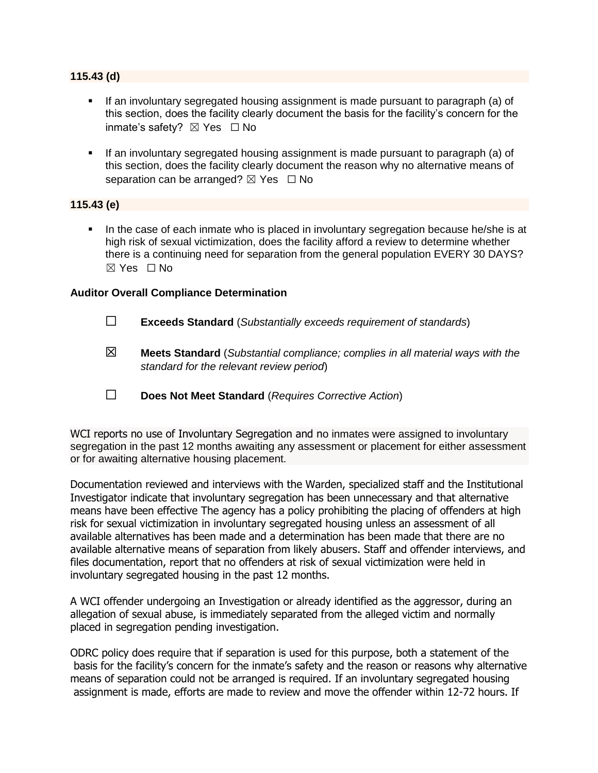#### **115.43 (d)**

- **.** If an involuntary segregated housing assignment is made pursuant to paragraph (a) of this section, does the facility clearly document the basis for the facility's concern for the inmate's safety? ☒ Yes ☐ No
- If an involuntary segregated housing assignment is made pursuant to paragraph (a) of this section, does the facility clearly document the reason why no alternative means of separation can be arranged?  $\boxtimes$  Yes  $\Box$  No

#### **115.43 (e)**

In the case of each inmate who is placed in involuntary segregation because he/she is at high risk of sexual victimization, does the facility afford a review to determine whether there is a continuing need for separation from the general population EVERY 30 DAYS? ☒ Yes ☐ No

#### **Auditor Overall Compliance Determination**

- ☐ **Exceeds Standard** (*Substantially exceeds requirement of standards*)
- ☒ **Meets Standard** (*Substantial compliance; complies in all material ways with the standard for the relevant review period*)
- ☐ **Does Not Meet Standard** (*Requires Corrective Action*)

WCI reports no use of Involuntary Segregation and no inmates were assigned to involuntary segregation in the past 12 months awaiting any assessment or placement for either assessment or for awaiting alternative housing placement.

Documentation reviewed and interviews with the Warden, specialized staff and the Institutional Investigator indicate that involuntary segregation has been unnecessary and that alternative means have been effective The agency has a policy prohibiting the placing of offenders at high risk for sexual victimization in involuntary segregated housing unless an assessment of all available alternatives has been made and a determination has been made that there are no available alternative means of separation from likely abusers. Staff and offender interviews, and files documentation, report that no offenders at risk of sexual victimization were held in involuntary segregated housing in the past 12 months.

A WCI offender undergoing an Investigation or already identified as the aggressor, during an allegation of sexual abuse, is immediately separated from the alleged victim and normally placed in segregation pending investigation.

ODRC policy does require that if separation is used for this purpose, both a statement of the basis for the facility's concern for the inmate's safety and the reason or reasons why alternative means of separation could not be arranged is required. If an involuntary segregated housing assignment is made, efforts are made to review and move the offender within 12-72 hours. If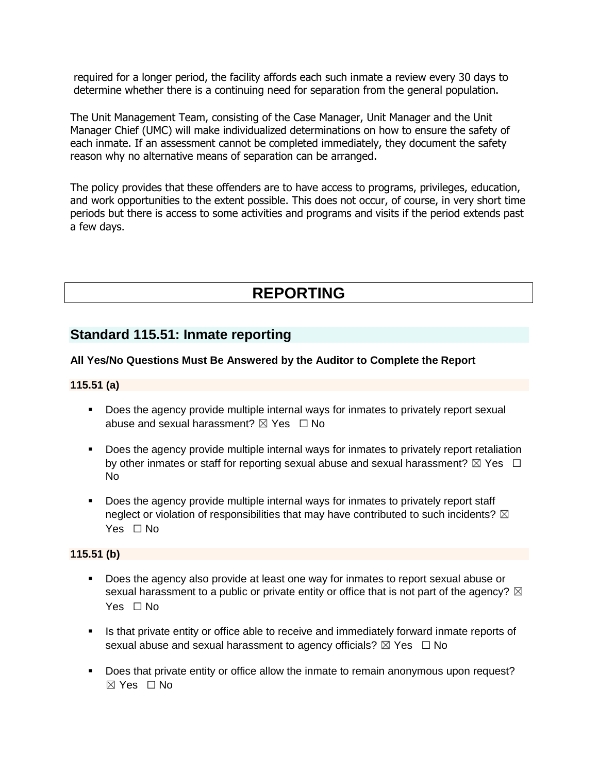required for a longer period, the facility affords each such inmate a review every 30 days to determine whether there is a continuing need for separation from the general population.

The Unit Management Team, consisting of the Case Manager, Unit Manager and the Unit Manager Chief (UMC) will make individualized determinations on how to ensure the safety of each inmate. If an assessment cannot be completed immediately, they document the safety reason why no alternative means of separation can be arranged.

The policy provides that these offenders are to have access to programs, privileges, education, and work opportunities to the extent possible. This does not occur, of course, in very short time periods but there is access to some activities and programs and visits if the period extends past a few days.

# **REPORTING**

# **Standard 115.51: Inmate reporting**

#### **All Yes/No Questions Must Be Answered by the Auditor to Complete the Report**

#### **115.51 (a)**

- **•** Does the agency provide multiple internal ways for inmates to privately report sexual abuse and sexual harassment?  $\boxtimes$  Yes  $\Box$  No
- **•** Does the agency provide multiple internal ways for inmates to privately report retaliation by other inmates or staff for reporting sexual abuse and sexual harassment?  $\boxtimes$  Yes  $\Box$ No
- **•** Does the agency provide multiple internal ways for inmates to privately report staff neglect or violation of responsibilities that may have contributed to such incidents?  $\boxtimes$ Yes □ No

#### **115.51 (b)**

- Does the agency also provide at least one way for inmates to report sexual abuse or sexual harassment to a public or private entity or office that is not part of the agency?  $\boxtimes$ Yes □ No
- **.** Is that private entity or office able to receive and immediately forward inmate reports of sexual abuse and sexual harassment to agency officials?  $\boxtimes$  Yes  $\Box$  No
- **•** Does that private entity or office allow the inmate to remain anonymous upon request? ☒ Yes ☐ No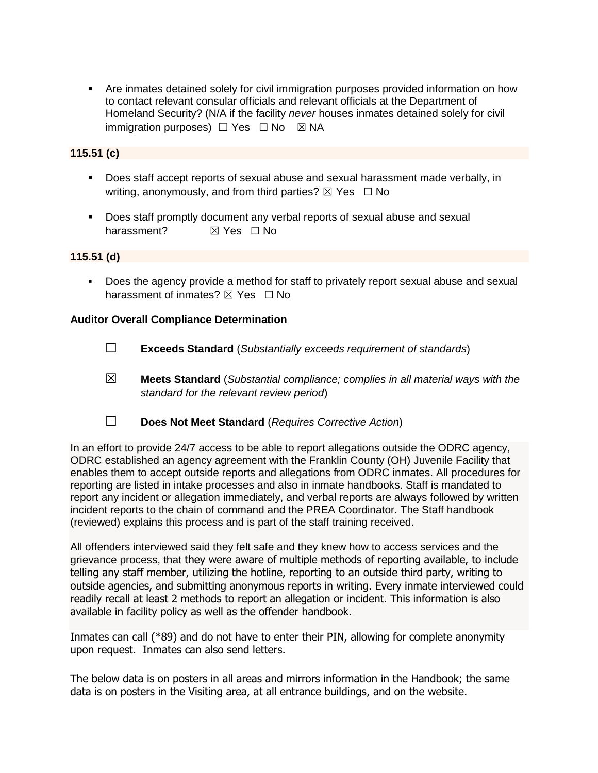**•** Are inmates detained solely for civil immigration purposes provided information on how to contact relevant consular officials and relevant officials at the Department of Homeland Security? (N/A if the facility *never* houses inmates detained solely for civil immigration purposes)  $\Box$  Yes  $\Box$  No  $\boxtimes$  NA

#### **115.51 (c)**

- Does staff accept reports of sexual abuse and sexual harassment made verbally, in writing, anonymously, and from third parties?  $\boxtimes$  Yes  $\Box$  No
- Does staff promptly document any verbal reports of sexual abuse and sexual harassment? **⊠** Yes □ No

#### **115.51 (d)**

▪ Does the agency provide a method for staff to privately report sexual abuse and sexual harassment of inmates?  $\boxtimes$  Yes  $\Box$  No

#### **Auditor Overall Compliance Determination**

- ☐ **Exceeds Standard** (*Substantially exceeds requirement of standards*)
- ☒ **Meets Standard** (*Substantial compliance; complies in all material ways with the standard for the relevant review period*)
- ☐ **Does Not Meet Standard** (*Requires Corrective Action*)

In an effort to provide 24/7 access to be able to report allegations outside the ODRC agency, ODRC established an agency agreement with the Franklin County (OH) Juvenile Facility that enables them to accept outside reports and allegations from ODRC inmates. All procedures for reporting are listed in intake processes and also in inmate handbooks. Staff is mandated to report any incident or allegation immediately, and verbal reports are always followed by written incident reports to the chain of command and the PREA Coordinator. The Staff handbook (reviewed) explains this process and is part of the staff training received.

All offenders interviewed said they felt safe and they knew how to access services and the grievance process, that they were aware of multiple methods of reporting available, to include telling any staff member, utilizing the hotline, reporting to an outside third party, writing to outside agencies, and submitting anonymous reports in writing. Every inmate interviewed could readily recall at least 2 methods to report an allegation or incident. This information is also available in facility policy as well as the offender handbook.

Inmates can call (\*89) and do not have to enter their PIN, allowing for complete anonymity upon request. Inmates can also send letters.

The below data is on posters in all areas and mirrors information in the Handbook; the same data is on posters in the Visiting area, at all entrance buildings, and on the website.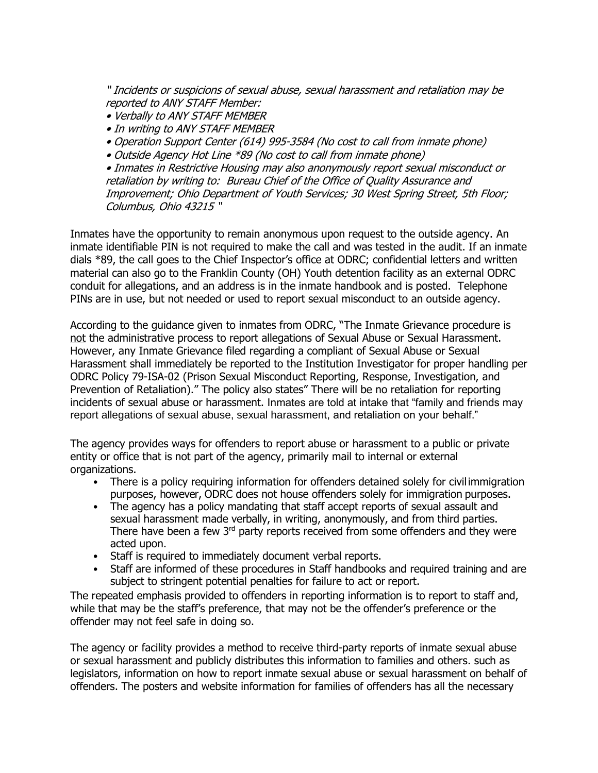" Incidents or suspicions of sexual abuse, sexual harassment and retaliation may be reported to ANY STAFF Member:

- Verbally to ANY STAFF MEMBER
- In writing to ANY STAFF MEMBER
- Operation Support Center (614) 995-3584 (No cost to call from inmate phone)
- Outside Agency Hot Line \*89 (No cost to call from inmate phone)

• Inmates in Restrictive Housing may also anonymously report sexual misconduct or retaliation by writing to: Bureau Chief of the Office of Quality Assurance and Improvement; Ohio Department of Youth Services; 30 West Spring Street, 5th Floor; Columbus, Ohio 43215 "

Inmates have the opportunity to remain anonymous upon request to the outside agency. An inmate identifiable PIN is not required to make the call and was tested in the audit. If an inmate dials \*89, the call goes to the Chief Inspector's office at ODRC; confidential letters and written material can also go to the Franklin County (OH) Youth detention facility as an external ODRC conduit for allegations, and an address is in the inmate handbook and is posted. Telephone PINs are in use, but not needed or used to report sexual misconduct to an outside agency.

According to the guidance given to inmates from ODRC, "The Inmate Grievance procedure is not the administrative process to report allegations of Sexual Abuse or Sexual Harassment. However, any Inmate Grievance filed regarding a compliant of Sexual Abuse or Sexual Harassment shall immediately be reported to the Institution Investigator for proper handling per ODRC Policy 79-ISA-02 (Prison Sexual Misconduct Reporting, Response, Investigation, and Prevention of Retaliation)." The policy also states" There will be no retaliation for reporting incidents of sexual abuse or harassment. Inmates are told at intake that "family and friends may report allegations of sexual abuse, sexual harassment, and retaliation on your behalf."

The agency provides ways for offenders to report abuse or harassment to a public or private entity or office that is not part of the agency, primarily mail to internal or external organizations.

- There is a policy requiring information for offenders detained solely for civil immigration purposes, however, ODRC does not house offenders solely for immigration purposes.
- The agency has a policy mandating that staff accept reports of sexual assault and sexual harassment made verbally, in writing, anonymously, and from third parties. There have been a few 3<sup>rd</sup> party reports received from some offenders and they were acted upon.
- Staff is required to immediately document verbal reports.
- Staff are informed of these procedures in Staff handbooks and required training and are subject to stringent potential penalties for failure to act or report.

The repeated emphasis provided to offenders in reporting information is to report to staff and, while that may be the staff's preference, that may not be the offender's preference or the offender may not feel safe in doing so.

The agency or facility provides a method to receive third-party reports of inmate sexual abuse or sexual harassment and publicly distributes this information to families and others. such as legislators, information on how to report inmate sexual abuse or sexual harassment on behalf of offenders. The posters and website information for families of offenders has all the necessary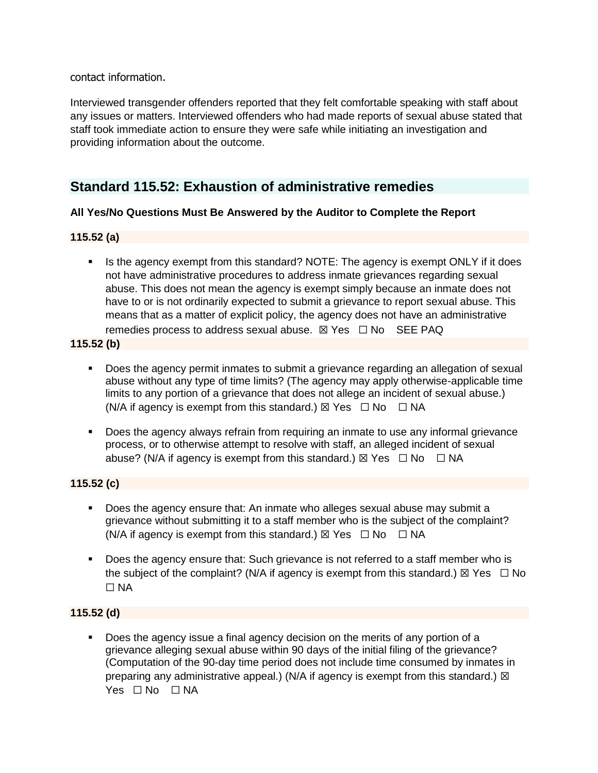contact information.

Interviewed transgender offenders reported that they felt comfortable speaking with staff about any issues or matters. Interviewed offenders who had made reports of sexual abuse stated that staff took immediate action to ensure they were safe while initiating an investigation and providing information about the outcome.

# **Standard 115.52: Exhaustion of administrative remedies**

## **All Yes/No Questions Must Be Answered by the Auditor to Complete the Report**

### **115.52 (a)**

**.** Is the agency exempt from this standard? NOTE: The agency is exempt ONLY if it does not have administrative procedures to address inmate grievances regarding sexual abuse. This does not mean the agency is exempt simply because an inmate does not have to or is not ordinarily expected to submit a grievance to report sexual abuse. This means that as a matter of explicit policy, the agency does not have an administrative remedies process to address sexual abuse.  $\boxtimes$  Yes  $\Box$  No SEE PAQ

**115.52 (b)**

- Does the agency permit inmates to submit a grievance regarding an allegation of sexual abuse without any type of time limits? (The agency may apply otherwise-applicable time limits to any portion of a grievance that does not allege an incident of sexual abuse.) (N/A if agency is exempt from this standard.)  $\boxtimes$  Yes  $\Box$  No  $\Box$  NA
- Does the agency always refrain from requiring an inmate to use any informal grievance process, or to otherwise attempt to resolve with staff, an alleged incident of sexual abuse? (N/A if agency is exempt from this standard.)  $\boxtimes$  Yes  $\Box$  No  $\Box$  NA

## **115.52 (c)**

- Does the agency ensure that: An inmate who alleges sexual abuse may submit a grievance without submitting it to a staff member who is the subject of the complaint? (N/A if agency is exempt from this standard.)  $\boxtimes$  Yes  $\Box$  No  $\Box$  NA
- Does the agency ensure that: Such grievance is not referred to a staff member who is the subject of the complaint? (N/A if agency is exempt from this standard.)  $\boxtimes$  Yes  $\Box$  No  $\Box$  NA

## **115.52 (d)**

▪ Does the agency issue a final agency decision on the merits of any portion of a grievance alleging sexual abuse within 90 days of the initial filing of the grievance? (Computation of the 90-day time period does not include time consumed by inmates in preparing any administrative appeal.) (N/A if agency is exempt from this standard.)  $\boxtimes$ Yes □ No □ NA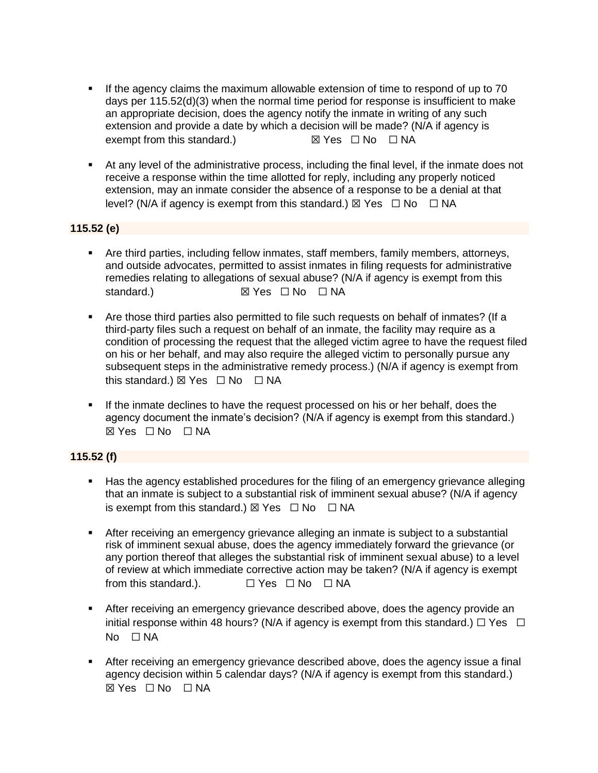- If the agency claims the maximum allowable extension of time to respond of up to 70 days per 115.52(d)(3) when the normal time period for response is insufficient to make an appropriate decision, does the agency notify the inmate in writing of any such extension and provide a date by which a decision will be made? (N/A if agency is exempt from this standard.) **■ 図 Yes □ No** □ NA
- At any level of the administrative process, including the final level, if the inmate does not receive a response within the time allotted for reply, including any properly noticed extension, may an inmate consider the absence of a response to be a denial at that level? (N/A if agency is exempt from this standard.)  $\boxtimes$  Yes  $\Box$  No  $\Box$  NA

#### **115.52 (e)**

- **E** Are third parties, including fellow inmates, staff members, family members, attorneys, and outside advocates, permitted to assist inmates in filing requests for administrative remedies relating to allegations of sexual abuse? (N/A if agency is exempt from this standard.) **■ 図 Yes □ No** □ NA
- Are those third parties also permitted to file such requests on behalf of inmates? (If a third-party files such a request on behalf of an inmate, the facility may require as a condition of processing the request that the alleged victim agree to have the request filed on his or her behalf, and may also require the alleged victim to personally pursue any subsequent steps in the administrative remedy process.) (N/A if agency is exempt from this standard.)  $\boxtimes$  Yes  $\Box$  No  $\Box$  NA
- **.** If the inmate declines to have the request processed on his or her behalf, does the agency document the inmate's decision? (N/A if agency is exempt from this standard.)  $\boxtimes$  Yes  $\Box$  No  $\Box$  NA

#### **115.52 (f)**

- Has the agency established procedures for the filing of an emergency grievance alleging that an inmate is subject to a substantial risk of imminent sexual abuse? (N/A if agency is exempt from this standard.)  $\boxtimes$  Yes  $\Box$  No  $\Box$  NA
- **E** After receiving an emergency grievance alleging an inmate is subject to a substantial risk of imminent sexual abuse, does the agency immediately forward the grievance (or any portion thereof that alleges the substantial risk of imminent sexual abuse) to a level of review at which immediate corrective action may be taken? (N/A if agency is exempt from this standard.).  $□$  Yes  $□$  No  $□$  NA
- **EXTER 15 After receiving an emergency grievance described above, does the agency provide an** initial response within 48 hours? (N/A if agency is exempt from this standard.)  $\Box$  Yes  $\Box$  $No$   $\Box$  NA
- **EXECT** After receiving an emergency grievance described above, does the agency issue a final agency decision within 5 calendar days? (N/A if agency is exempt from this standard.) ☒ Yes ☐ No ☐ NA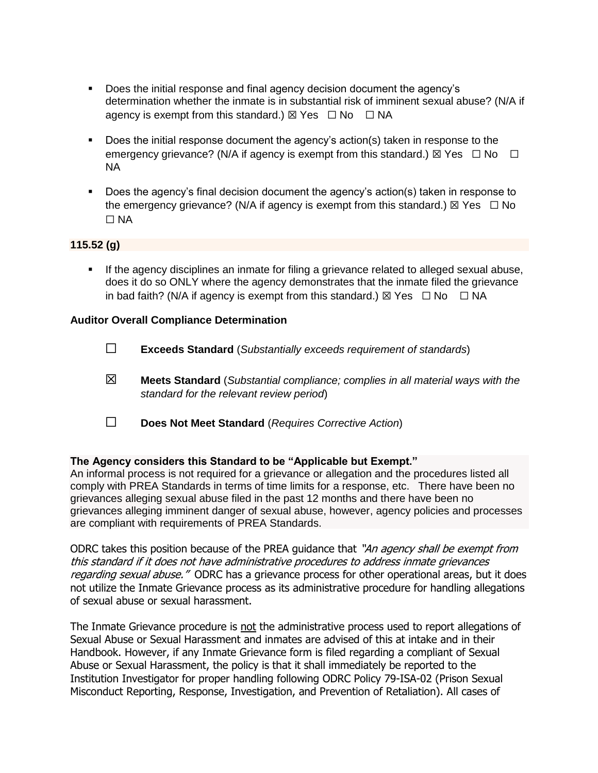- Does the initial response and final agency decision document the agency's determination whether the inmate is in substantial risk of imminent sexual abuse? (N/A if agency is exempt from this standard.)  $\boxtimes$  Yes  $\Box$  No  $\Box$  NA
- Does the initial response document the agency's action(s) taken in response to the emergency grievance? (N/A if agency is exempt from this standard.)  $\boxtimes$  Yes  $\Box$  No  $\Box$ NA
- Does the agency's final decision document the agency's action(s) taken in response to the emergency grievance? (N/A if agency is exempt from this standard.)  $\boxtimes$  Yes  $\Box$  No ☐ NA

#### **115.52 (g)**

▪ If the agency disciplines an inmate for filing a grievance related to alleged sexual abuse, does it do so ONLY where the agency demonstrates that the inmate filed the grievance in bad faith? (N/A if agency is exempt from this standard.)  $\boxtimes$  Yes  $\Box$  No  $\Box$  NA

#### **Auditor Overall Compliance Determination**

- ☐ **Exceeds Standard** (*Substantially exceeds requirement of standards*)
- ☒ **Meets Standard** (*Substantial compliance; complies in all material ways with the standard for the relevant review period*)
- ☐ **Does Not Meet Standard** (*Requires Corrective Action*)

#### **The Agency considers this Standard to be "Applicable but Exempt."**

An informal process is not required for a grievance or allegation and the procedures listed all comply with PREA Standards in terms of time limits for a response, etc. There have been no grievances alleging sexual abuse filed in the past 12 months and there have been no grievances alleging imminent danger of sexual abuse, however, agency policies and processes are compliant with requirements of PREA Standards.

ODRC takes this position because of the PREA guidance that "An agency shall be exempt from this standard if it does not have administrative procedures to address inmate grievances regarding sexual abuse." ODRC has a grievance process for other operational areas, but it does not utilize the Inmate Grievance process as its administrative procedure for handling allegations of sexual abuse or sexual harassment.

The Inmate Grievance procedure is not the administrative process used to report allegations of Sexual Abuse or Sexual Harassment and inmates are advised of this at intake and in their Handbook. However, if any Inmate Grievance form is filed regarding a compliant of Sexual Abuse or Sexual Harassment, the policy is that it shall immediately be reported to the Institution Investigator for proper handling following ODRC Policy 79-ISA-02 (Prison Sexual Misconduct Reporting, Response, Investigation, and Prevention of Retaliation). All cases of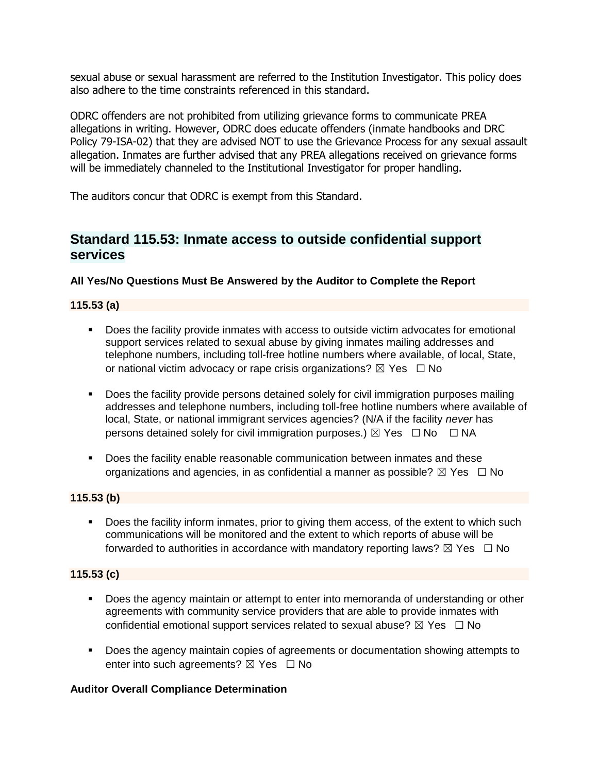sexual abuse or sexual harassment are referred to the Institution Investigator. This policy does also adhere to the time constraints referenced in this standard.

ODRC offenders are not prohibited from utilizing grievance forms to communicate PREA allegations in writing. However, ODRC does educate offenders (inmate handbooks and DRC Policy 79-ISA-02) that they are advised NOT to use the Grievance Process for any sexual assault allegation. Inmates are further advised that any PREA allegations received on grievance forms will be immediately channeled to the Institutional Investigator for proper handling.

The auditors concur that ODRC is exempt from this Standard.

# **Standard 115.53: Inmate access to outside confidential support services**

### **All Yes/No Questions Must Be Answered by the Auditor to Complete the Report**

### **115.53 (a)**

- Does the facility provide inmates with access to outside victim advocates for emotional support services related to sexual abuse by giving inmates mailing addresses and telephone numbers, including toll-free hotline numbers where available, of local, State, or national victim advocacy or rape crisis organizations?  $\boxtimes$  Yes  $\Box$  No
- **•** Does the facility provide persons detained solely for civil immigration purposes mailing addresses and telephone numbers, including toll-free hotline numbers where available of local, State, or national immigrant services agencies? (N/A if the facility *never* has persons detained solely for civil immigration purposes.)  $\boxtimes$  Yes  $\Box$  No  $\Box$  NA
- Does the facility enable reasonable communication between inmates and these organizations and agencies, in as confidential a manner as possible?  $\boxtimes$  Yes  $\Box$  No

#### **115.53 (b)**

**•** Does the facility inform inmates, prior to giving them access, of the extent to which such communications will be monitored and the extent to which reports of abuse will be forwarded to authorities in accordance with mandatory reporting laws?  $\boxtimes$  Yes  $\Box$  No

#### **115.53 (c)**

- **Does the agency maintain or attempt to enter into memoranda of understanding or other** agreements with community service providers that are able to provide inmates with confidential emotional support services related to sexual abuse?  $\boxtimes$  Yes  $\Box$  No
- Does the agency maintain copies of agreements or documentation showing attempts to enter into such agreements?  $\boxtimes$  Yes  $\Box$  No

#### **Auditor Overall Compliance Determination**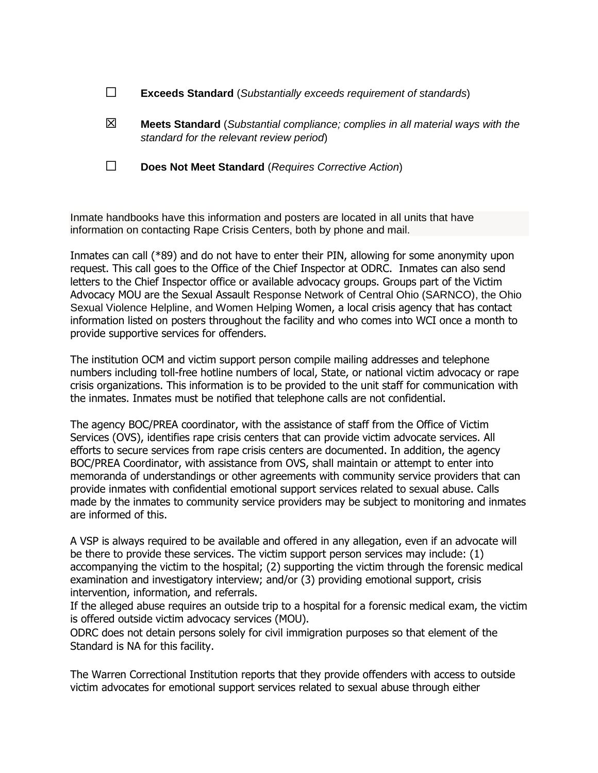- ☒ **Meets Standard** (*Substantial compliance; complies in all material ways with the standard for the relevant review period*)
- ☐ **Does Not Meet Standard** (*Requires Corrective Action*)

Inmate handbooks have this information and posters are located in all units that have information on contacting Rape Crisis Centers, both by phone and mail.

Inmates can call (\*89) and do not have to enter their PIN, allowing for some anonymity upon request. This call goes to the Office of the Chief Inspector at ODRC. Inmates can also send letters to the Chief Inspector office or available advocacy groups. Groups part of the Victim Advocacy MOU are the Sexual Assault Response Network of Central Ohio (SARNCO), the Ohio Sexual Violence Helpline, and Women Helping Women, a local crisis agency that has contact information listed on posters throughout the facility and who comes into WCI once a month to provide supportive services for offenders.

The institution OCM and victim support person compile mailing addresses and telephone numbers including toll-free hotline numbers of local, State, or national victim advocacy or rape crisis organizations. This information is to be provided to the unit staff for communication with the inmates. Inmates must be notified that telephone calls are not confidential.

The agency BOC/PREA coordinator, with the assistance of staff from the Office of Victim Services (OVS), identifies rape crisis centers that can provide victim advocate services. All efforts to secure services from rape crisis centers are documented. In addition, the agency BOC/PREA Coordinator, with assistance from OVS, shall maintain or attempt to enter into memoranda of understandings or other agreements with community service providers that can provide inmates with confidential emotional support services related to sexual abuse. Calls made by the inmates to community service providers may be subject to monitoring and inmates are informed of this.

A VSP is always required to be available and offered in any allegation, even if an advocate will be there to provide these services. The victim support person services may include: (1) accompanying the victim to the hospital; (2) supporting the victim through the forensic medical examination and investigatory interview; and/or (3) providing emotional support, crisis intervention, information, and referrals.

If the alleged abuse requires an outside trip to a hospital for a forensic medical exam, the victim is offered outside victim advocacy services (MOU).

ODRC does not detain persons solely for civil immigration purposes so that element of the Standard is NA for this facility.

The Warren Correctional Institution reports that they provide offenders with access to outside victim advocates for emotional support services related to sexual abuse through either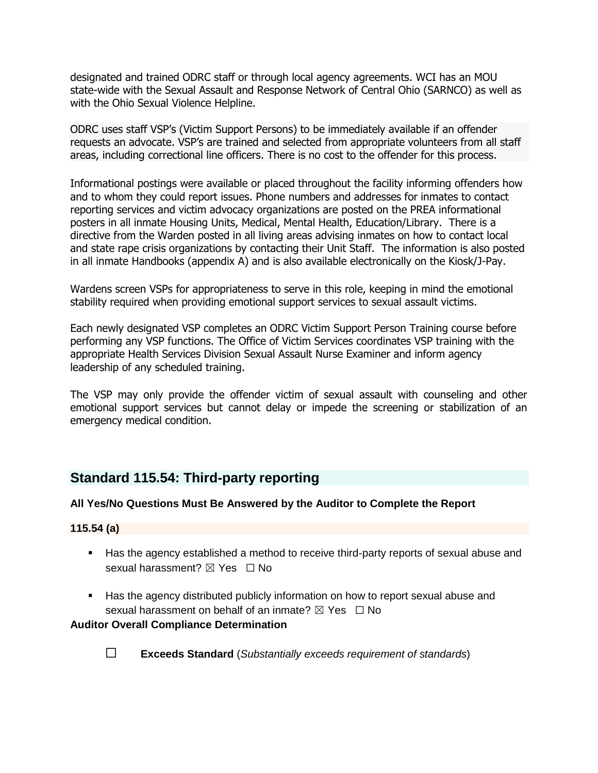designated and trained ODRC staff or through local agency agreements. WCI has an MOU state-wide with the Sexual Assault and Response Network of Central Ohio (SARNCO) as well as with the Ohio Sexual Violence Helpline.

ODRC uses staff VSP's (Victim Support Persons) to be immediately available if an offender requests an advocate. VSP's are trained and selected from appropriate volunteers from all staff areas, including correctional line officers. There is no cost to the offender for this process.

Informational postings were available or placed throughout the facility informing offenders how and to whom they could report issues. Phone numbers and addresses for inmates to contact reporting services and victim advocacy organizations are posted on the PREA informational posters in all inmate Housing Units, Medical, Mental Health, Education/Library. There is a directive from the Warden posted in all living areas advising inmates on how to contact local and state rape crisis organizations by contacting their Unit Staff. The information is also posted in all inmate Handbooks (appendix A) and is also available electronically on the Kiosk/J-Pay.

Wardens screen VSPs for appropriateness to serve in this role, keeping in mind the emotional stability required when providing emotional support services to sexual assault victims.

Each newly designated VSP completes an ODRC Victim Support Person Training course before performing any VSP functions. The Office of Victim Services coordinates VSP training with the appropriate Health Services Division Sexual Assault Nurse Examiner and inform agency leadership of any scheduled training.

The VSP may only provide the offender victim of sexual assault with counseling and other emotional support services but cannot delay or impede the screening or stabilization of an emergency medical condition.

# **Standard 115.54: Third-party reporting**

#### **All Yes/No Questions Must Be Answered by the Auditor to Complete the Report**

#### **115.54 (a)**

- Has the agency established a method to receive third-party reports of sexual abuse and sexual harassment?  $\boxtimes$  Yes  $\Box$  No
- Has the agency distributed publicly information on how to report sexual abuse and sexual harassment on behalf of an inmate?  $\boxtimes$  Yes  $\Box$  No

#### **Auditor Overall Compliance Determination**



☐ **Exceeds Standard** (*Substantially exceeds requirement of standards*)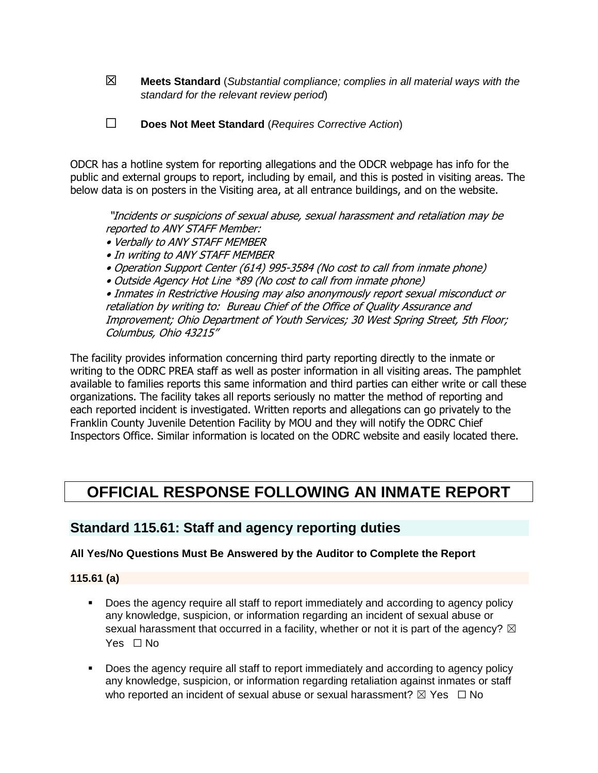- ☒ **Meets Standard** (*Substantial compliance; complies in all material ways with the standard for the relevant review period*)
- ☐ **Does Not Meet Standard** (*Requires Corrective Action*)

ODCR has a hotline system for reporting allegations and the ODCR webpage has info for the public and external groups to report, including by email, and this is posted in visiting areas. The below data is on posters in the Visiting area, at all entrance buildings, and on the website.

"Incidents or suspicions of sexual abuse, sexual harassment and retaliation may be reported to ANY STAFF Member:

- Verbally to ANY STAFF MEMBER
- In writing to ANY STAFF MEMBER
- Operation Support Center (614) 995-3584 (No cost to call from inmate phone)
- Outside Agency Hot Line \*89 (No cost to call from inmate phone)

• Inmates in Restrictive Housing may also anonymously report sexual misconduct or retaliation by writing to: Bureau Chief of the Office of Quality Assurance and Improvement; Ohio Department of Youth Services; 30 West Spring Street, 5th Floor; Columbus, Ohio 43215"

The facility provides information concerning third party reporting directly to the inmate or writing to the ODRC PREA staff as well as poster information in all visiting areas. The pamphlet available to families reports this same information and third parties can either write or call these organizations. The facility takes all reports seriously no matter the method of reporting and each reported incident is investigated. Written reports and allegations can go privately to the Franklin County Juvenile Detention Facility by MOU and they will notify the ODRC Chief Inspectors Office. Similar information is located on the ODRC website and easily located there.

# **OFFICIAL RESPONSE FOLLOWING AN INMATE REPORT**

# **Standard 115.61: Staff and agency reporting duties**

#### **All Yes/No Questions Must Be Answered by the Auditor to Complete the Report**

#### **115.61 (a)**

- Does the agency require all staff to report immediately and according to agency policy any knowledge, suspicion, or information regarding an incident of sexual abuse or sexual harassment that occurred in a facility, whether or not it is part of the agency?  $\boxtimes$ Yes □ No
- Does the agency require all staff to report immediately and according to agency policy any knowledge, suspicion, or information regarding retaliation against inmates or staff who reported an incident of sexual abuse or sexual harassment?  $\boxtimes$  Yes  $\Box$  No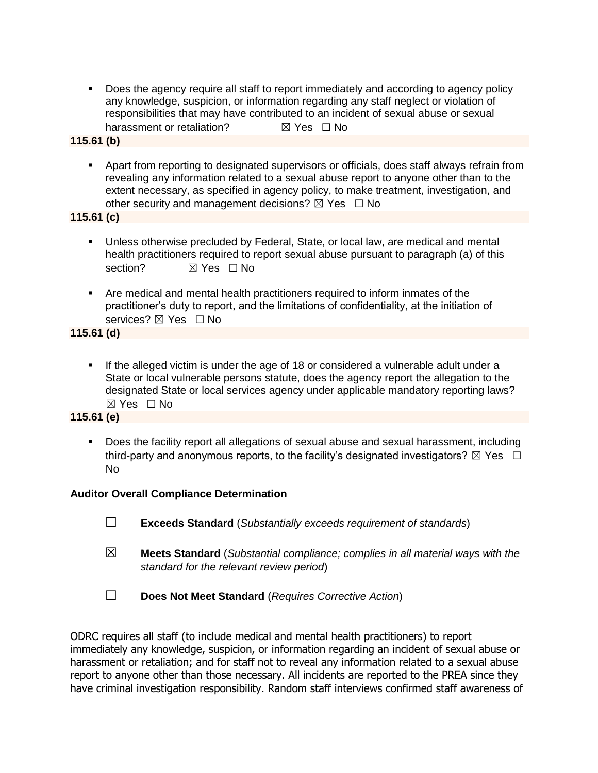**•** Does the agency require all staff to report immediately and according to agency policy any knowledge, suspicion, or information regarding any staff neglect or violation of responsibilities that may have contributed to an incident of sexual abuse or sexual harassment or retaliation? <br> <u>⊠</u> Yes □ No

#### **115.61 (b)**

■ Apart from reporting to designated supervisors or officials, does staff always refrain from revealing any information related to a sexual abuse report to anyone other than to the extent necessary, as specified in agency policy, to make treatment, investigation, and other security and management decisions?  $\boxtimes$  Yes  $\Box$  No

**115.61 (c)**

- Unless otherwise precluded by Federal, State, or local law, are medical and mental health practitioners required to report sexual abuse pursuant to paragraph (a) of this section? **对 Yes** □ No
- Are medical and mental health practitioners required to inform inmates of the practitioner's duty to report, and the limitations of confidentiality, at the initiation of services? ⊠ Yes □ No

**115.61 (d)**

▪ If the alleged victim is under the age of 18 or considered a vulnerable adult under a State or local vulnerable persons statute, does the agency report the allegation to the designated State or local services agency under applicable mandatory reporting laws? ☒ Yes ☐ No

#### **115.61 (e)**

■ Does the facility report all allegations of sexual abuse and sexual harassment, including third-party and anonymous reports, to the facility's designated investigators?  $\boxtimes$  Yes  $\Box$ No

#### **Auditor Overall Compliance Determination**

- ☐ **Exceeds Standard** (*Substantially exceeds requirement of standards*)
- ☒ **Meets Standard** (*Substantial compliance; complies in all material ways with the standard for the relevant review period*)
- ☐ **Does Not Meet Standard** (*Requires Corrective Action*)

ODRC requires all staff (to include medical and mental health practitioners) to report immediately any knowledge, suspicion, or information regarding an incident of sexual abuse or harassment or retaliation; and for staff not to reveal any information related to a sexual abuse report to anyone other than those necessary. All incidents are reported to the PREA since they have criminal investigation responsibility. Random staff interviews confirmed staff awareness of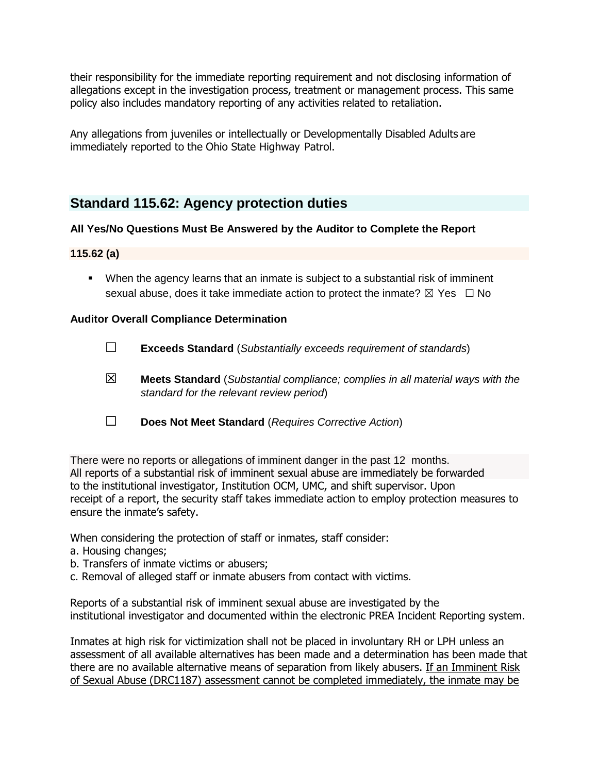their responsibility for the immediate reporting requirement and not disclosing information of allegations except in the investigation process, treatment or management process. This same policy also includes mandatory reporting of any activities related to retaliation.

Any allegations from juveniles or intellectually or Developmentally Disabled Adults are immediately reported to the Ohio State Highway Patrol.

# **Standard 115.62: Agency protection duties**

### **All Yes/No Questions Must Be Answered by the Auditor to Complete the Report**

#### **115.62 (a)**

■ When the agency learns that an inmate is subject to a substantial risk of imminent sexual abuse, does it take immediate action to protect the inmate?  $\boxtimes$  Yes  $\Box$  No

#### **Auditor Overall Compliance Determination**

- ☐ **Exceeds Standard** (*Substantially exceeds requirement of standards*)
- ☒ **Meets Standard** (*Substantial compliance; complies in all material ways with the standard for the relevant review period*)
- ☐ **Does Not Meet Standard** (*Requires Corrective Action*)

There were no reports or allegations of imminent danger in the past 12 months. All reports of a substantial risk of imminent sexual abuse are immediately be forwarded to the institutional investigator, Institution OCM, UMC, and shift supervisor. Upon receipt of a report, the security staff takes immediate action to employ protection measures to ensure the inmate's safety.

When considering the protection of staff or inmates, staff consider:

- a. Housing changes;
- b. Transfers of inmate victims or abusers;
- c. Removal of alleged staff or inmate abusers from contact with victims.

Reports of a substantial risk of imminent sexual abuse are investigated by the institutional investigator and documented within the electronic PREA Incident Reporting system.

Inmates at high risk for victimization shall not be placed in involuntary RH or LPH unless an assessment of all available alternatives has been made and a determination has been made that there are no available alternative means of separation from likely abusers. If an Imminent Risk of Sexual Abuse (DRC1187) assessment cannot be completed immediately, the inmate may be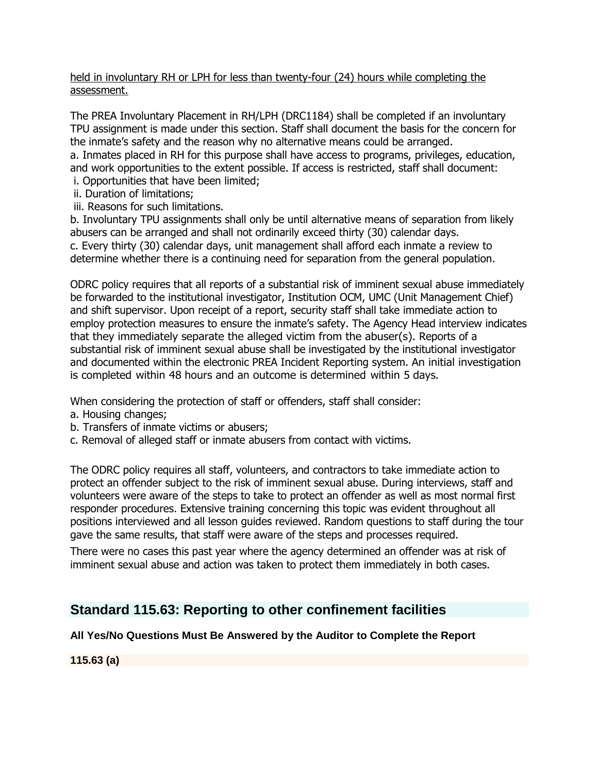#### held in involuntary RH or LPH for less than twenty-four (24) hours while completing the assessment.

The PREA Involuntary Placement in RH/LPH (DRC1184) shall be completed if an involuntary TPU assignment is made under this section. Staff shall document the basis for the concern for the inmate's safety and the reason why no alternative means could be arranged. a. Inmates placed in RH for this purpose shall have access to programs, privileges, education, and work opportunities to the extent possible. If access is restricted, staff shall document:

- i. Opportunities that have been limited;
- ii. Duration of limitations;
- iii. Reasons for such limitations.

b. Involuntary TPU assignments shall only be until alternative means of separation from likely abusers can be arranged and shall not ordinarily exceed thirty (30) calendar days. c. Every thirty (30) calendar days, unit management shall afford each inmate a review to determine whether there is a continuing need for separation from the general population.

ODRC policy requires that all reports of a substantial risk of imminent sexual abuse immediately be forwarded to the institutional investigator, Institution OCM, UMC (Unit Management Chief) and shift supervisor. Upon receipt of a report, security staff shall take immediate action to employ protection measures to ensure the inmate's safety. The Agency Head interview indicates that they immediately separate the alleged victim from the abuser(s). Reports of a substantial risk of imminent sexual abuse shall be investigated by the institutional investigator and documented within the electronic PREA Incident Reporting system. An initial investigation is completed within 48 hours and an outcome is determined within 5 days·.

When considering the protection of staff or offenders, staff shall consider:

- a. Housing changes;
- b. Transfers of inmate victims or abusers;
- c. Removal of alleged staff or inmate abusers from contact with victims.

The ODRC policy requires all staff, volunteers, and contractors to take immediate action to protect an offender subject to the risk of imminent sexual abuse. During interviews, staff and volunteers were aware of the steps to take to protect an offender as well as most normal first responder procedures. Extensive training concerning this topic was evident throughout all positions interviewed and all lesson guides reviewed. Random questions to staff during the tour gave the same results, that staff were aware of the steps and processes required.

There were no cases this past year where the agency determined an offender was at risk of imminent sexual abuse and action was taken to protect them immediately in both cases.

# **Standard 115.63: Reporting to other confinement facilities**

## **All Yes/No Questions Must Be Answered by the Auditor to Complete the Report**

**115.63 (a)**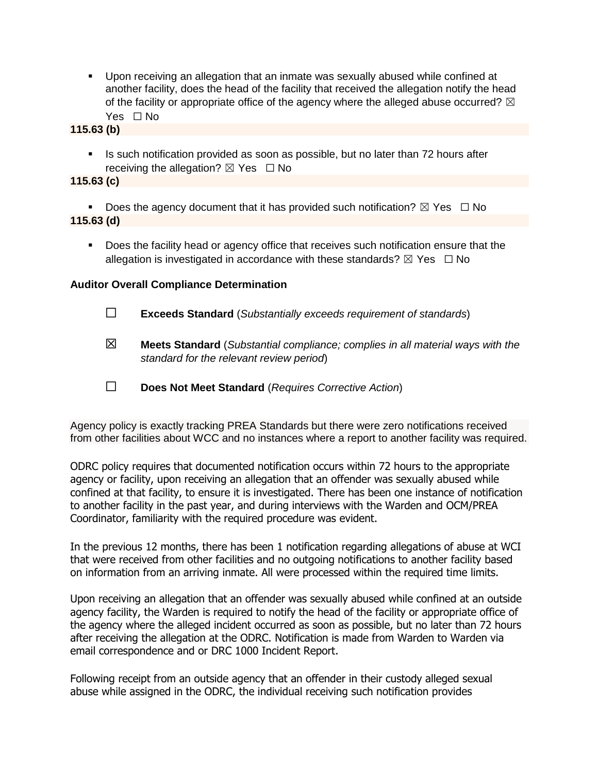▪ Upon receiving an allegation that an inmate was sexually abused while confined at another facility, does the head of the facility that received the allegation notify the head of the facility or appropriate office of the agency where the alleged abuse occurred?  $\boxtimes$ Yes □ No

**115.63 (b)**

■ Is such notification provided as soon as possible, but no later than 72 hours after receiving the allegation?  $\boxtimes$  Yes  $\Box$  No

**115.63 (c)**

**•** Does the agency document that it has provided such notification?  $\boxtimes$  Yes  $\Box$  No **115.63 (d)**

■ Does the facility head or agency office that receives such notification ensure that the allegation is investigated in accordance with these standards?  $\boxtimes$  Yes  $\Box$  No

#### **Auditor Overall Compliance Determination**

- ☐ **Exceeds Standard** (*Substantially exceeds requirement of standards*)
- ☒ **Meets Standard** (*Substantial compliance; complies in all material ways with the standard for the relevant review period*)
- ☐ **Does Not Meet Standard** (*Requires Corrective Action*)

Agency policy is exactly tracking PREA Standards but there were zero notifications received from other facilities about WCC and no instances where a report to another facility was required.

ODRC policy requires that documented notification occurs within 72 hours to the appropriate agency or facility, upon receiving an allegation that an offender was sexually abused while confined at that facility, to ensure it is investigated. There has been one instance of notification to another facility in the past year, and during interviews with the Warden and OCM/PREA Coordinator, familiarity with the required procedure was evident.

In the previous 12 months, there has been 1 notification regarding allegations of abuse at WCI that were received from other facilities and no outgoing notifications to another facility based on information from an arriving inmate. All were processed within the required time limits.

Upon receiving an allegation that an offender was sexually abused while confined at an outside agency facility, the Warden is required to notify the head of the facility or appropriate office of the agency where the alleged incident occurred as soon as possible, but no later than 72 hours after receiving the allegation at the ODRC. Notification is made from Warden to Warden via email correspondence and or DRC 1000 Incident Report.

Following receipt from an outside agency that an offender in their custody alleged sexual abuse while assigned in the ODRC, the individual receiving such notification provides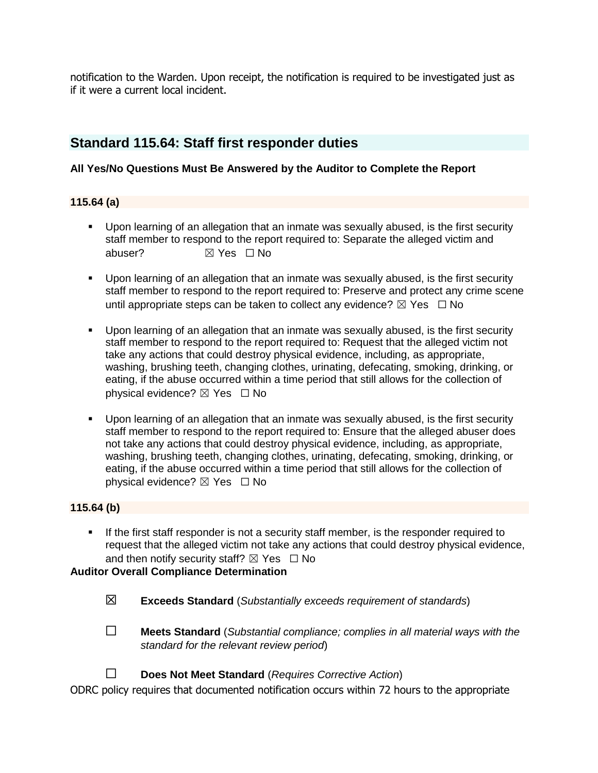notification to the Warden. Upon receipt, the notification is required to be investigated just as if it were a current local incident.

# **Standard 115.64: Staff first responder duties**

### **All Yes/No Questions Must Be Answered by the Auditor to Complete the Report**

#### **115.64 (a)**

- Upon learning of an allegation that an inmate was sexually abused, is the first security staff member to respond to the report required to: Separate the alleged victim and abuser? **对 Yes** □ No
- Upon learning of an allegation that an inmate was sexually abused, is the first security staff member to respond to the report required to: Preserve and protect any crime scene until appropriate steps can be taken to collect any evidence?  $\boxtimes$  Yes  $\Box$  No
- Upon learning of an allegation that an inmate was sexually abused, is the first security staff member to respond to the report required to: Request that the alleged victim not take any actions that could destroy physical evidence, including, as appropriate, washing, brushing teeth, changing clothes, urinating, defecating, smoking, drinking, or eating, if the abuse occurred within a time period that still allows for the collection of physical evidence? **⊠** Yes □ No
- Upon learning of an allegation that an inmate was sexually abused, is the first security staff member to respond to the report required to: Ensure that the alleged abuser does not take any actions that could destroy physical evidence, including, as appropriate, washing, brushing teeth, changing clothes, urinating, defecating, smoking, drinking, or eating, if the abuse occurred within a time period that still allows for the collection of physical evidence? ☒ Yes ☐ No

#### **115.64 (b)**

**EXECT** If the first staff responder is not a security staff member, is the responder required to request that the alleged victim not take any actions that could destroy physical evidence, and then notify security staff?  $\boxtimes$  Yes  $\Box$  No

### **Auditor Overall Compliance Determination**

- ☒ **Exceeds Standard** (*Substantially exceeds requirement of standards*)
- ☐ **Meets Standard** (*Substantial compliance; complies in all material ways with the standard for the relevant review period*)
- ☐ **Does Not Meet Standard** (*Requires Corrective Action*)

ODRC policy requires that documented notification occurs within 72 hours to the appropriate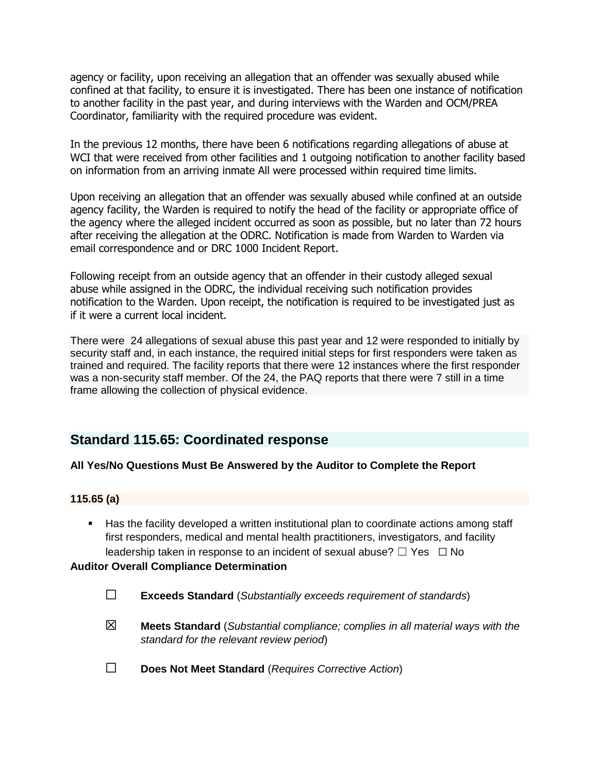agency or facility, upon receiving an allegation that an offender was sexually abused while confined at that facility, to ensure it is investigated. There has been one instance of notification to another facility in the past year, and during interviews with the Warden and OCM/PREA Coordinator, familiarity with the required procedure was evident.

In the previous 12 months, there have been 6 notifications regarding allegations of abuse at WCI that were received from other facilities and 1 outgoing notification to another facility based on information from an arriving inmate All were processed within required time limits.

Upon receiving an allegation that an offender was sexually abused while confined at an outside agency facility, the Warden is required to notify the head of the facility or appropriate office of the agency where the alleged incident occurred as soon as possible, but no later than 72 hours after receiving the allegation at the ODRC. Notification is made from Warden to Warden via email correspondence and or DRC 1000 Incident Report.

Following receipt from an outside agency that an offender in their custody alleged sexual abuse while assigned in the ODRC, the individual receiving such notification provides notification to the Warden. Upon receipt, the notification is required to be investigated just as if it were a current local incident.

There were 24 allegations of sexual abuse this past year and 12 were responded to initially by security staff and, in each instance, the required initial steps for first responders were taken as trained and required. The facility reports that there were 12 instances where the first responder was a non-security staff member. Of the 24, the PAQ reports that there were 7 still in a time frame allowing the collection of physical evidence.

# **Standard 115.65: Coordinated response**

#### **All Yes/No Questions Must Be Answered by the Auditor to Complete the Report**

#### **115.65 (a)**

■ Has the facility developed a written institutional plan to coordinate actions among staff first responders, medical and mental health practitioners, investigators, and facility leadership taken in response to an incident of sexual abuse?  $\Box$  Yes  $\Box$  No

#### **Auditor Overall Compliance Determination**

- ☐ **Exceeds Standard** (*Substantially exceeds requirement of standards*)
- ☒ **Meets Standard** (*Substantial compliance; complies in all material ways with the standard for the relevant review period*)
- ☐ **Does Not Meet Standard** (*Requires Corrective Action*)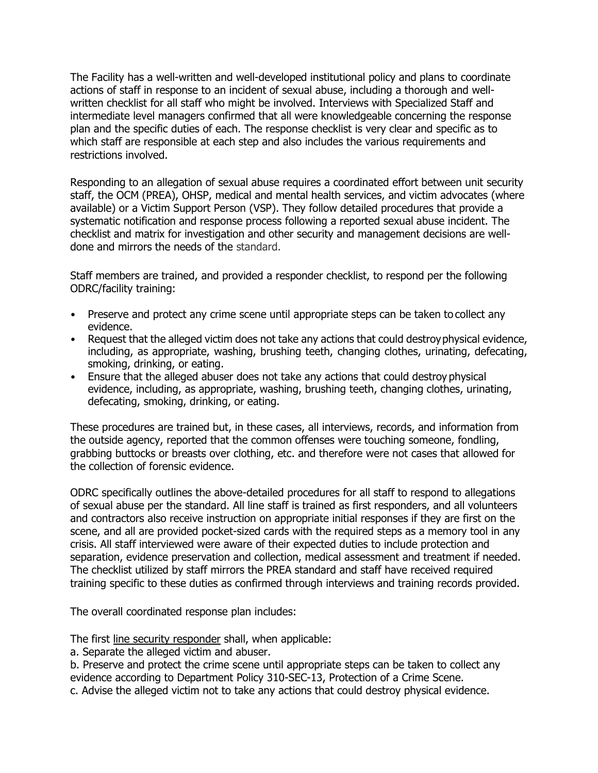The Facility has a well-written and well-developed institutional policy and plans to coordinate actions of staff in response to an incident of sexual abuse, including a thorough and wellwritten checklist for all staff who might be involved. Interviews with Specialized Staff and intermediate level managers confirmed that all were knowledgeable concerning the response plan and the specific duties of each. The response checklist is very clear and specific as to which staff are responsible at each step and also includes the various requirements and restrictions involved.

Responding to an allegation of sexual abuse requires a coordinated effort between unit security staff, the OCM (PREA), OHSP, medical and mental health services, and victim advocates (where available) or a Victim Support Person (VSP). They follow detailed procedures that provide a systematic notification and response process following a reported sexual abuse incident. The checklist and matrix for investigation and other security and management decisions are welldone and mirrors the needs of the standard.

Staff members are trained, and provided a responder checklist, to respond per the following ODRC/facility training:

- Preserve and protect any crime scene until appropriate steps can be taken to collect any evidence.
- Request that the alleged victim does not take any actions that could destroyphysical evidence, including, as appropriate, washing, brushing teeth, changing clothes, urinating, defecating, smoking, drinking, or eating.
- Ensure that the alleged abuser does not take any actions that could destroy physical evidence, including, as appropriate, washing, brushing teeth, changing clothes, urinating, defecating, smoking, drinking, or eating.

These procedures are trained but, in these cases, all interviews, records, and information from the outside agency, reported that the common offenses were touching someone, fondling, grabbing buttocks or breasts over clothing, etc. and therefore were not cases that allowed for the collection of forensic evidence.

ODRC specifically outlines the above-detailed procedures for all staff to respond to allegations of sexual abuse per the standard. All line staff is trained as first responders, and all volunteers and contractors also receive instruction on appropriate initial responses if they are first on the scene, and all are provided pocket-sized cards with the required steps as a memory tool in any crisis. All staff interviewed were aware of their expected duties to include protection and separation, evidence preservation and collection, medical assessment and treatment if needed. The checklist utilized by staff mirrors the PREA standard and staff have received required training specific to these duties as confirmed through interviews and training records provided.

The overall coordinated response plan includes:

The first line security responder shall, when applicable:

a. Separate the alleged victim and abuser.

b. Preserve and protect the crime scene until appropriate steps can be taken to collect any evidence according to Department Policy 310-SEC-13, Protection of a Crime Scene.

c. Advise the alleged victim not to take any actions that could destroy physical evidence.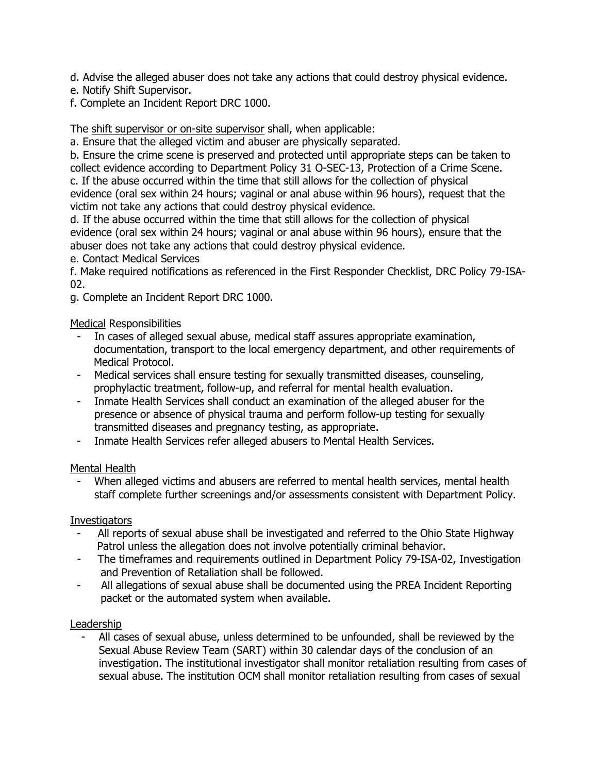d. Advise the alleged abuser does not take any actions that could destroy physical evidence.

- e. Notify Shift Supervisor.
- f. Complete an Incident Report DRC 1000.

The shift supervisor or on-site supervisor shall, when applicable:

a. Ensure that the alleged victim and abuser are physically separated.

b. Ensure the crime scene is preserved and protected until appropriate steps can be taken to collect evidence according to Department Policy 31 O-SEC-13, Protection of a Crime Scene. c. If the abuse occurred within the time that still allows for the collection of physical evidence (oral sex within 24 hours; vaginal or anal abuse within 96 hours), request that the victim not take any actions that could destroy physical evidence.

d. If the abuse occurred within the time that still allows for the collection of physical evidence (oral sex within 24 hours; vaginal or anal abuse within 96 hours), ensure that the abuser does not take any actions that could destroy physical evidence.

e. Contact Medical Services

f. Make required notifications as referenced in the First Responder Checklist, DRC Policy 79-ISA-02.

g. Complete an Incident Report DRC 1000.

## Medical Responsibilities

- In cases of alleged sexual abuse, medical staff assures appropriate examination, documentation, transport to the local emergency department, and other requirements of Medical Protocol.
- Medical services shall ensure testing for sexually transmitted diseases, counseling, prophylactic treatment, follow-up, and referral for mental health evaluation.
- Inmate Health Services shall conduct an examination of the alleged abuser for the presence or absence of physical trauma and perform follow-up testing for sexually transmitted diseases and pregnancy testing, as appropriate.
- Inmate Health Services refer alleged abusers to Mental Health Services.

## Mental Health

When alleged victims and abusers are referred to mental health services, mental health staff complete further screenings and/or assessments consistent with Department Policy.

## **Investigators**

- All reports of sexual abuse shall be investigated and referred to the Ohio State Highway Patrol unless the allegation does not involve potentially criminal behavior.
- The timeframes and requirements outlined in Department Policy 79-ISA-02, Investigation and Prevention of Retaliation shall be followed.
- All allegations of sexual abuse shall be documented using the PREA Incident Reporting packet or the automated system when available.

## Leadership

All cases of sexual abuse, unless determined to be unfounded, shall be reviewed by the Sexual Abuse Review Team (SART) within 30 calendar days of the conclusion of an investigation. The institutional investigator shall monitor retaliation resulting from cases of sexual abuse. The institution OCM shall monitor retaliation resulting from cases of sexual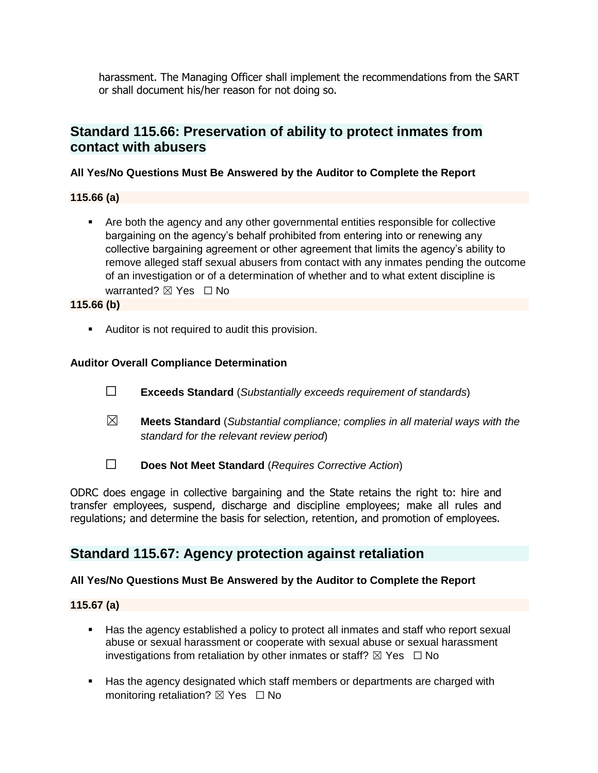harassment. The Managing Officer shall implement the recommendations from the SART or shall document his/her reason for not doing so.

# **Standard 115.66: Preservation of ability to protect inmates from contact with abusers**

### **All Yes/No Questions Must Be Answered by the Auditor to Complete the Report**

#### **115.66 (a)**

■ Are both the agency and any other governmental entities responsible for collective bargaining on the agency's behalf prohibited from entering into or renewing any collective bargaining agreement or other agreement that limits the agency's ability to remove alleged staff sexual abusers from contact with any inmates pending the outcome of an investigation or of a determination of whether and to what extent discipline is warranted? ⊠ Yes □ No

#### **115.66 (b)**

■ Auditor is not required to audit this provision.

### **Auditor Overall Compliance Determination**

- ☐ **Exceeds Standard** (*Substantially exceeds requirement of standards*)
- ☒ **Meets Standard** (*Substantial compliance; complies in all material ways with the standard for the relevant review period*)
- ☐ **Does Not Meet Standard** (*Requires Corrective Action*)

ODRC does engage in collective bargaining and the State retains the right to: hire and transfer employees, suspend, discharge and discipline employees; make all rules and regulations; and determine the basis for selection, retention, and promotion of employees.

# **Standard 115.67: Agency protection against retaliation**

#### **All Yes/No Questions Must Be Answered by the Auditor to Complete the Report**

#### **115.67 (a)**

- Has the agency established a policy to protect all inmates and staff who report sexual abuse or sexual harassment or cooperate with sexual abuse or sexual harassment investigations from retaliation by other inmates or staff?  $\boxtimes$  Yes  $\Box$  No
- Has the agency designated which staff members or departments are charged with monitoring retaliation?  $\boxtimes$  Yes  $\Box$  No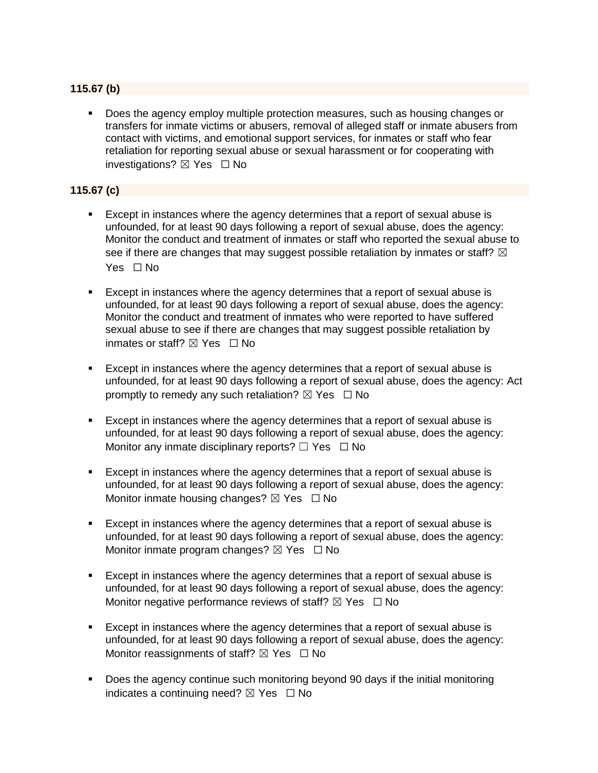### **115.67 (b)**

▪ Does the agency employ multiple protection measures, such as housing changes or transfers for inmate victims or abusers, removal of alleged staff or inmate abusers from contact with victims, and emotional support services, for inmates or staff who fear retaliation for reporting sexual abuse or sexual harassment or for cooperating with investigations?  $\boxtimes$  Yes  $\Box$  No

#### **115.67 (c)**

- Except in instances where the agency determines that a report of sexual abuse is unfounded, for at least 90 days following a report of sexual abuse, does the agency: Monitor the conduct and treatment of inmates or staff who reported the sexual abuse to see if there are changes that may suggest possible retaliation by inmates or staff?  $\boxtimes$ Yes □ No
- **Except in instances where the agency determines that a report of sexual abuse is** unfounded, for at least 90 days following a report of sexual abuse, does the agency: Monitor the conduct and treatment of inmates who were reported to have suffered sexual abuse to see if there are changes that may suggest possible retaliation by inmates or staff?  $\boxtimes$  Yes  $\Box$  No
- Except in instances where the agency determines that a report of sexual abuse is unfounded, for at least 90 days following a report of sexual abuse, does the agency: Act promptly to remedy any such retaliation?  $\boxtimes$  Yes  $\Box$  No
- **Except in instances where the agency determines that a report of sexual abuse is** unfounded, for at least 90 days following a report of sexual abuse, does the agency: Monitor any inmate disciplinary reports?  $\Box$  Yes  $\Box$  No
- Except in instances where the agency determines that a report of sexual abuse is unfounded, for at least 90 days following a report of sexual abuse, does the agency: Monitor inmate housing changes?  $\boxtimes$  Yes  $\Box$  No
- Except in instances where the agency determines that a report of sexual abuse is unfounded, for at least 90 days following a report of sexual abuse, does the agency: Monitor inmate program changes?  $\boxtimes$  Yes  $\Box$  No
- Except in instances where the agency determines that a report of sexual abuse is unfounded, for at least 90 days following a report of sexual abuse, does the agency: Monitor negative performance reviews of staff?  $\boxtimes$  Yes  $\Box$  No
- Except in instances where the agency determines that a report of sexual abuse is unfounded, for at least 90 days following a report of sexual abuse, does the agency: Monitor reassignments of staff?  $\boxtimes$  Yes  $\Box$  No
- Does the agency continue such monitoring beyond 90 days if the initial monitoring indicates a continuing need?  $\boxtimes$  Yes  $\Box$  No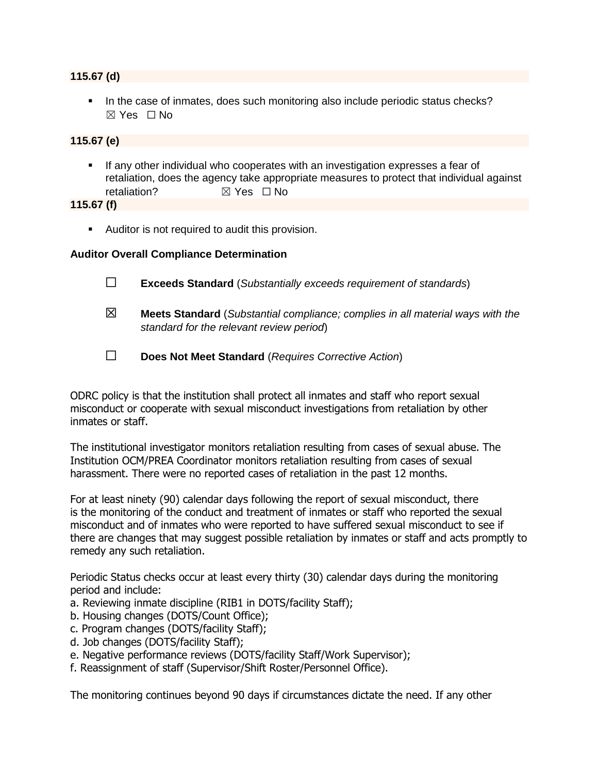#### **115.67 (d)**

**.** In the case of inmates, does such monitoring also include periodic status checks? ☒ Yes ☐ No

#### **115.67 (e)**

**EXT** If any other individual who cooperates with an investigation expresses a fear of retaliation, does the agency take appropriate measures to protect that individual against retaliation? **■ ⊠ Yes □ No** 

#### **115.67 (f)**

■ Auditor is not required to audit this provision.

#### **Auditor Overall Compliance Determination**

- ☐ **Exceeds Standard** (*Substantially exceeds requirement of standards*)
- ☒ **Meets Standard** (*Substantial compliance; complies in all material ways with the standard for the relevant review period*)
- ☐ **Does Not Meet Standard** (*Requires Corrective Action*)

ODRC policy is that the institution shall protect all inmates and staff who report sexual misconduct or cooperate with sexual misconduct investigations from retaliation by other inmates or staff.

The institutional investigator monitors retaliation resulting from cases of sexual abuse. The Institution OCM/PREA Coordinator monitors retaliation resulting from cases of sexual harassment. There were no reported cases of retaliation in the past 12 months.

For at least ninety (90) calendar days following the report of sexual misconduct, there is the monitoring of the conduct and treatment of inmates or staff who reported the sexual misconduct and of inmates who were reported to have suffered sexual misconduct to see if there are changes that may suggest possible retaliation by inmates or staff and acts promptly to remedy any such retaliation.

Periodic Status checks occur at least every thirty (30) calendar days during the monitoring period and include:

- a. Reviewing inmate discipline (RIB1 in DOTS/facility Staff);
- b. Housing changes (DOTS/Count Office);
- c. Program changes (DOTS/facility Staff);
- d. Job changes (DOTS/facility Staff);
- e. Negative performance reviews (DOTS/facility Staff/Work Supervisor);
- f. Reassignment of staff (Supervisor/Shift Roster/Personnel Office).

The monitoring continues beyond 90 days if circumstances dictate the need. If any other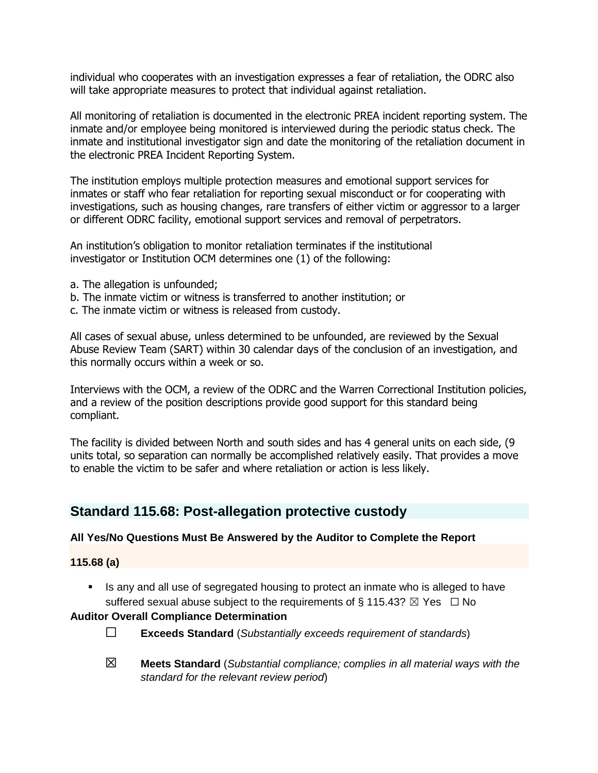individual who cooperates with an investigation expresses a fear of retaliation, the ODRC also will take appropriate measures to protect that individual against retaliation.

All monitoring of retaliation is documented in the electronic PREA incident reporting system. The inmate and/or employee being monitored is interviewed during the periodic status check. The inmate and institutional investigator sign and date the monitoring of the retaliation document in the electronic PREA Incident Reporting System.

The institution employs multiple protection measures and emotional support services for inmates or staff who fear retaliation for reporting sexual misconduct or for cooperating with investigations, such as housing changes, rare transfers of either victim or aggressor to a larger or different ODRC facility, emotional support services and removal of perpetrators.

An institution's obligation to monitor retaliation terminates if the institutional investigator or Institution OCM determines one (1) of the following:

- a. The allegation is unfounded;
- b. The inmate victim or witness is transferred to another institution; or
- c. The inmate victim or witness is released from custody.

All cases of sexual abuse, unless determined to be unfounded, are reviewed by the Sexual Abuse Review Team (SART) within 30 calendar days of the conclusion of an investigation, and this normally occurs within a week or so.

Interviews with the OCM, a review of the ODRC and the Warren Correctional Institution policies, and a review of the position descriptions provide good support for this standard being compliant.

The facility is divided between North and south sides and has 4 general units on each side, (9 units total, so separation can normally be accomplished relatively easily. That provides a move to enable the victim to be safer and where retaliation or action is less likely.

# **Standard 115.68: Post-allegation protective custody**

#### **All Yes/No Questions Must Be Answered by the Auditor to Complete the Report**

#### **115.68 (a)**

**EXECT** Is any and all use of segregated housing to protect an inmate who is alleged to have suffered sexual abuse subject to the requirements of § 115.43?  $\boxtimes$  Yes  $\Box$  No

#### **Auditor Overall Compliance Determination**

- ☐ **Exceeds Standard** (*Substantially exceeds requirement of standards*)
- ☒ **Meets Standard** (*Substantial compliance; complies in all material ways with the standard for the relevant review period*)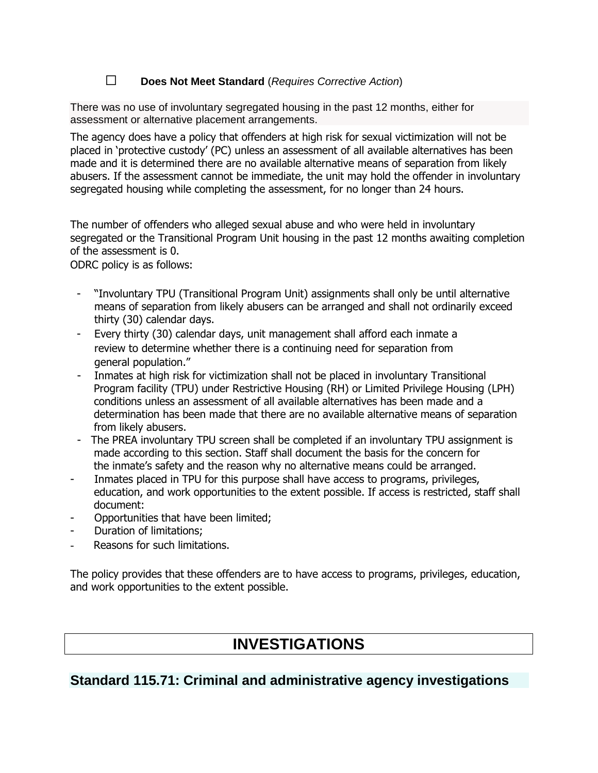## ☐ **Does Not Meet Standard** (*Requires Corrective Action*)

There was no use of involuntary segregated housing in the past 12 months, either for assessment or alternative placement arrangements.

The agency does have a policy that offenders at high risk for sexual victimization will not be placed in 'protective custody' (PC) unless an assessment of all available alternatives has been made and it is determined there are no available alternative means of separation from likely abusers. If the assessment cannot be immediate, the unit may hold the offender in involuntary segregated housing while completing the assessment, for no longer than 24 hours.

The number of offenders who alleged sexual abuse and who were held in involuntary segregated or the Transitional Program Unit housing in the past 12 months awaiting completion of the assessment is 0.

ODRC policy is as follows:

- "Involuntary TPU (Transitional Program Unit) assignments shall only be until alternative means of separation from likely abusers can be arranged and shall not ordinarily exceed thirty (30) calendar days.
- Every thirty (30) calendar days, unit management shall afford each inmate a review to determine whether there is a continuing need for separation from general population."
- Inmates at high risk for victimization shall not be placed in involuntary Transitional Program facility (TPU) under Restrictive Housing (RH) or Limited Privilege Housing (LPH) conditions unless an assessment of all available alternatives has been made and a determination has been made that there are no available alternative means of separation from likely abusers.
- The PREA involuntary TPU screen shall be completed if an involuntary TPU assignment is made according to this section. Staff shall document the basis for the concern for the inmate's safety and the reason why no alternative means could be arranged.
- Inmates placed in TPU for this purpose shall have access to programs, privileges, education, and work opportunities to the extent possible. If access is restricted, staff shall document:
- Opportunities that have been limited;
- Duration of limitations;
- Reasons for such limitations.

The policy provides that these offenders are to have access to programs, privileges, education, and work opportunities to the extent possible.

# **INVESTIGATIONS**

# **Standard 115.71: Criminal and administrative agency investigations**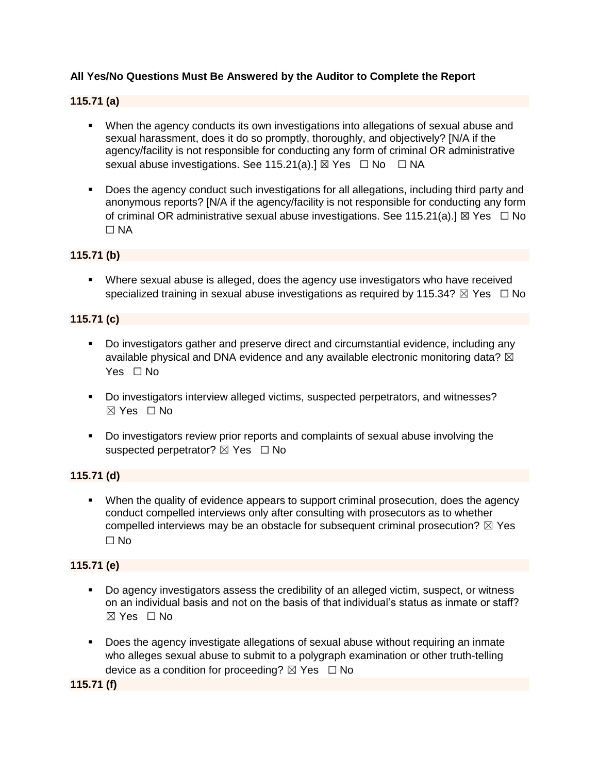### **All Yes/No Questions Must Be Answered by the Auditor to Complete the Report**

#### **115.71 (a)**

- **•** When the agency conducts its own investigations into allegations of sexual abuse and sexual harassment, does it do so promptly, thoroughly, and objectively? [N/A if the agency/facility is not responsible for conducting any form of criminal OR administrative sexual abuse investigations. See 115.21(a).]  $\boxtimes$  Yes  $\Box$  No  $\Box$  NA
- Does the agency conduct such investigations for all allegations, including third party and anonymous reports? [N/A if the agency/facility is not responsible for conducting any form of criminal OR administrative sexual abuse investigations. See 115.21(a).]  $\boxtimes$  Yes  $\Box$  No ☐ NA

#### **115.71 (b)**

**•** Where sexual abuse is alleged, does the agency use investigators who have received specialized training in sexual abuse investigations as required by 115.34?  $\boxtimes$  Yes  $\Box$  No

#### **115.71 (c)**

- Do investigators gather and preserve direct and circumstantial evidence, including any available physical and DNA evidence and any available electronic monitoring data?  $\boxtimes$ Yes □ No
- Do investigators interview alleged victims, suspected perpetrators, and witnesses?  $\boxtimes$  Yes  $\Box$  No
- Do investigators review prior reports and complaints of sexual abuse involving the suspected perpetrator?  $\boxtimes$  Yes  $\Box$  No

#### **115.71 (d)**

**•** When the quality of evidence appears to support criminal prosecution, does the agency conduct compelled interviews only after consulting with prosecutors as to whether compelled interviews may be an obstacle for subsequent criminal prosecution?  $\boxtimes$  Yes ☐ No

#### **115.71 (e)**

- Do agency investigators assess the credibility of an alleged victim, suspect, or witness on an individual basis and not on the basis of that individual's status as inmate or staff?  $\boxtimes$  Yes  $\Box$  No
- **•** Does the agency investigate allegations of sexual abuse without requiring an inmate who alleges sexual abuse to submit to a polygraph examination or other truth-telling device as a condition for proceeding?  $\boxtimes$  Yes  $\Box$  No

**115.71 (f)**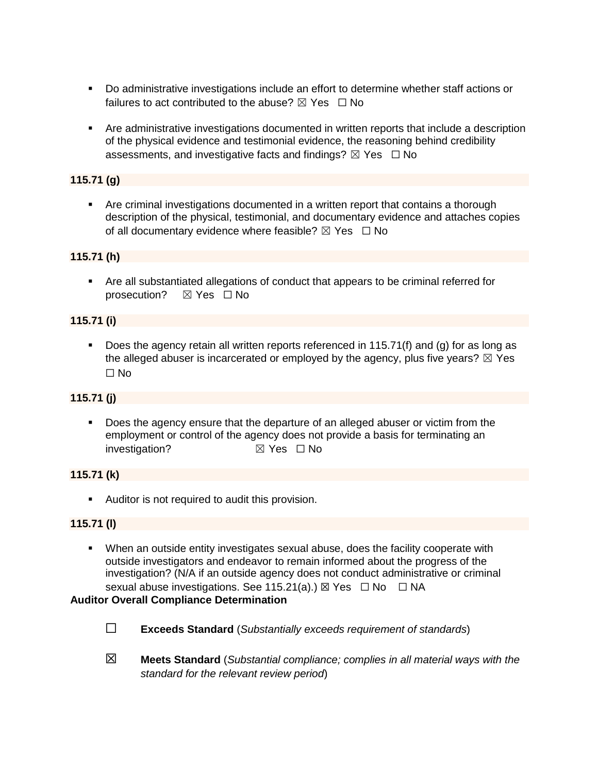- Do administrative investigations include an effort to determine whether staff actions or failures to act contributed to the abuse?  $\boxtimes$  Yes  $\Box$  No
- **EXTE:** Are administrative investigations documented in written reports that include a description of the physical evidence and testimonial evidence, the reasoning behind credibility assessments, and investigative facts and findings?  $\boxtimes$  Yes  $\Box$  No

### **115.71 (g)**

■ Are criminal investigations documented in a written report that contains a thorough description of the physical, testimonial, and documentary evidence and attaches copies of all documentary evidence where feasible?  $\boxtimes$  Yes  $\Box$  No

#### **115.71 (h)**

■ Are all substantiated allegations of conduct that appears to be criminal referred for prosecution? ☒ Yes ☐ No

#### **115.71 (i)**

**•** Does the agency retain all written reports referenced in 115.71(f) and (g) for as long as the alleged abuser is incarcerated or employed by the agency, plus five years?  $\boxtimes$  Yes ☐ No

#### **115.71 (j)**

■ Does the agency ensure that the departure of an alleged abuser or victim from the employment or control of the agency does not provide a basis for terminating an investigation? **⊠** Yes □ No

#### **115.71 (k)**

■ Auditor is not required to audit this provision.

#### **115.71 (l)**

**•** When an outside entity investigates sexual abuse, does the facility cooperate with outside investigators and endeavor to remain informed about the progress of the investigation? (N/A if an outside agency does not conduct administrative or criminal sexual abuse investigations. See 115.21(a).)  $\boxtimes$  Yes  $\Box$  No  $\Box$  NA

#### **Auditor Overall Compliance Determination**

- ☐ **Exceeds Standard** (*Substantially exceeds requirement of standards*)
- ☒ **Meets Standard** (*Substantial compliance; complies in all material ways with the standard for the relevant review period*)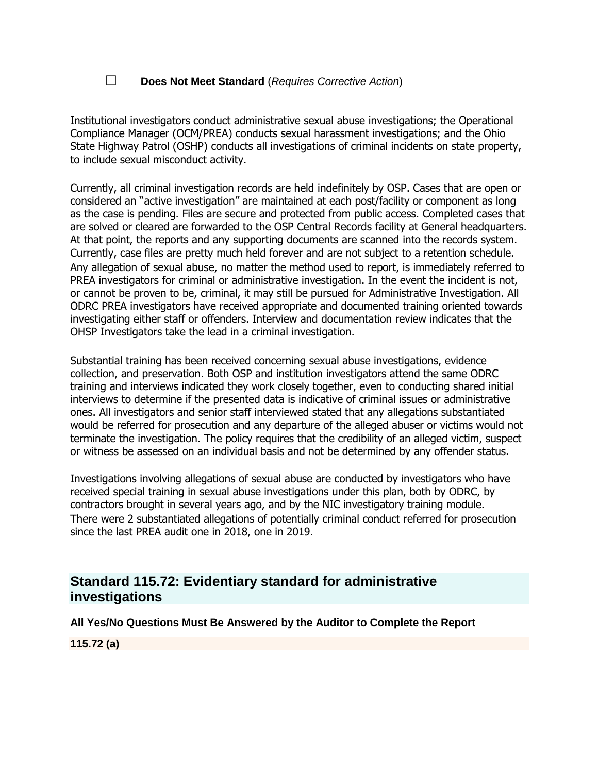### ☐ **Does Not Meet Standard** (*Requires Corrective Action*)

Institutional investigators conduct administrative sexual abuse investigations; the Operational Compliance Manager (OCM/PREA) conducts sexual harassment investigations; and the Ohio State Highway Patrol (OSHP) conducts all investigations of criminal incidents on state property, to include sexual misconduct activity.

Currently, all criminal investigation records are held indefinitely by OSP. Cases that are open or considered an "active investigation" are maintained at each post/facility or component as long as the case is pending. Files are secure and protected from public access. Completed cases that are solved or cleared are forwarded to the OSP Central Records facility at General headquarters. At that point, the reports and any supporting documents are scanned into the records system. Currently, case files are pretty much held forever and are not subject to a retention schedule. Any allegation of sexual abuse, no matter the method used to report, is immediately referred to PREA investigators for criminal or administrative investigation. In the event the incident is not, or cannot be proven to be, criminal, it may still be pursued for Administrative Investigation. All ODRC PREA investigators have received appropriate and documented training oriented towards investigating either staff or offenders. Interview and documentation review indicates that the OHSP Investigators take the lead in a criminal investigation.

Substantial training has been received concerning sexual abuse investigations, evidence collection, and preservation. Both OSP and institution investigators attend the same ODRC training and interviews indicated they work closely together, even to conducting shared initial interviews to determine if the presented data is indicative of criminal issues or administrative ones. All investigators and senior staff interviewed stated that any allegations substantiated would be referred for prosecution and any departure of the alleged abuser or victims would not terminate the investigation. The policy requires that the credibility of an alleged victim, suspect or witness be assessed on an individual basis and not be determined by any offender status.

Investigations involving allegations of sexual abuse are conducted by investigators who have received special training in sexual abuse investigations under this plan, both by ODRC, by contractors brought in several years ago, and by the NIC investigatory training module. There were 2 substantiated allegations of potentially criminal conduct referred for prosecution since the last PREA audit one in 2018, one in 2019.

# **Standard 115.72: Evidentiary standard for administrative investigations**

**All Yes/No Questions Must Be Answered by the Auditor to Complete the Report**

**115.72 (a)**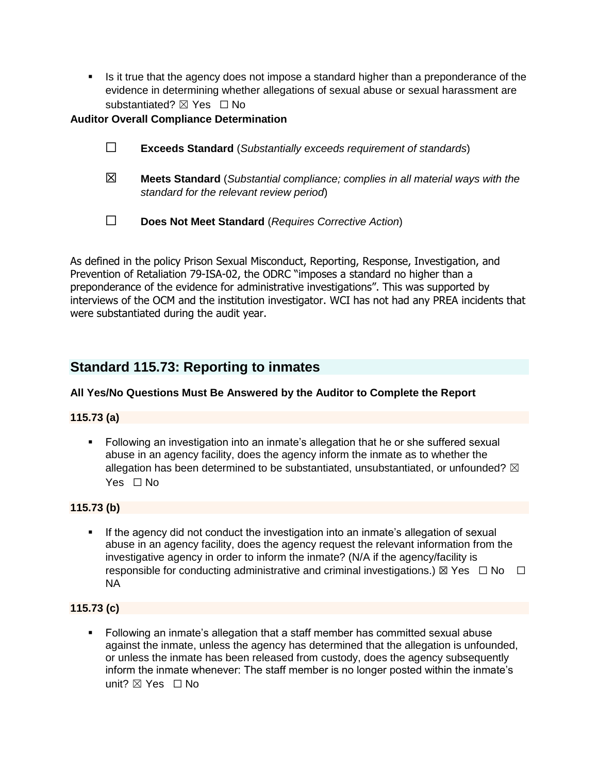■ Is it true that the agency does not impose a standard higher than a preponderance of the evidence in determining whether allegations of sexual abuse or sexual harassment are substantiated?  $⊠$  Yes  $□$  No

#### **Auditor Overall Compliance Determination**

- ☐ **Exceeds Standard** (*Substantially exceeds requirement of standards*)
- ☒ **Meets Standard** (*Substantial compliance; complies in all material ways with the standard for the relevant review period*)
- ☐ **Does Not Meet Standard** (*Requires Corrective Action*)

As defined in the policy Prison Sexual Misconduct, Reporting, Response, Investigation, and Prevention of Retaliation 79-ISA-02, the ODRC "imposes a standard no higher than a preponderance of the evidence for administrative investigations". This was supported by interviews of the OCM and the institution investigator. WCI has not had any PREA incidents that were substantiated during the audit year.

# **Standard 115.73: Reporting to inmates**

#### **All Yes/No Questions Must Be Answered by the Auditor to Complete the Report**

#### **115.73 (a)**

■ Following an investigation into an inmate's allegation that he or she suffered sexual abuse in an agency facility, does the agency inform the inmate as to whether the allegation has been determined to be substantiated, unsubstantiated, or unfounded?  $\boxtimes$ Yes □ No

#### **115.73 (b)**

If the agency did not conduct the investigation into an inmate's allegation of sexual abuse in an agency facility, does the agency request the relevant information from the investigative agency in order to inform the inmate? (N/A if the agency/facility is responsible for conducting administrative and criminal investigations.)  $\boxtimes$  Yes  $\Box$  No  $\Box$ NA

#### **115.73 (c)**

▪ Following an inmate's allegation that a staff member has committed sexual abuse against the inmate, unless the agency has determined that the allegation is unfounded, or unless the inmate has been released from custody, does the agency subsequently inform the inmate whenever: The staff member is no longer posted within the inmate's unit?  $\nabla$  Yes  $\Box$  No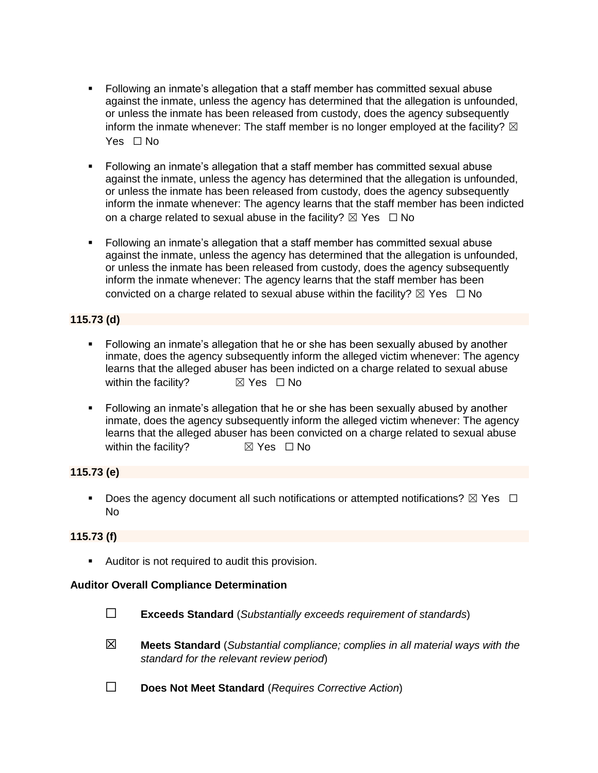- Following an inmate's allegation that a staff member has committed sexual abuse against the inmate, unless the agency has determined that the allegation is unfounded, or unless the inmate has been released from custody, does the agency subsequently inform the inmate whenever: The staff member is no longer employed at the facility?  $\boxtimes$ Yes □ No
- Following an inmate's allegation that a staff member has committed sexual abuse against the inmate, unless the agency has determined that the allegation is unfounded, or unless the inmate has been released from custody, does the agency subsequently inform the inmate whenever: The agency learns that the staff member has been indicted on a charge related to sexual abuse in the facility?  $\boxtimes$  Yes  $\Box$  No
- Following an inmate's allegation that a staff member has committed sexual abuse against the inmate, unless the agency has determined that the allegation is unfounded, or unless the inmate has been released from custody, does the agency subsequently inform the inmate whenever: The agency learns that the staff member has been convicted on a charge related to sexual abuse within the facility?  $\boxtimes$  Yes  $\Box$  No

### **115.73 (d)**

- Following an inmate's allegation that he or she has been sexually abused by another inmate, does the agency subsequently inform the alleged victim whenever: The agency learns that the alleged abuser has been indicted on a charge related to sexual abuse within the facility?  $\boxtimes$  Yes  $\Box$  No
- **EDILO 12** Following an inmate's allegation that he or she has been sexually abused by another inmate, does the agency subsequently inform the alleged victim whenever: The agency learns that the alleged abuser has been convicted on a charge related to sexual abuse within the facility?  $\boxtimes$  Yes  $\Box$  No

### **115.73 (e)**

**•** Does the agency document all such notifications or attempted notifications?  $\boxtimes$  Yes  $\Box$ No

#### **115.73 (f)**

■ Auditor is not required to audit this provision.

#### **Auditor Overall Compliance Determination**

- ☐ **Exceeds Standard** (*Substantially exceeds requirement of standards*)
- ☒ **Meets Standard** (*Substantial compliance; complies in all material ways with the standard for the relevant review period*)
- ☐ **Does Not Meet Standard** (*Requires Corrective Action*)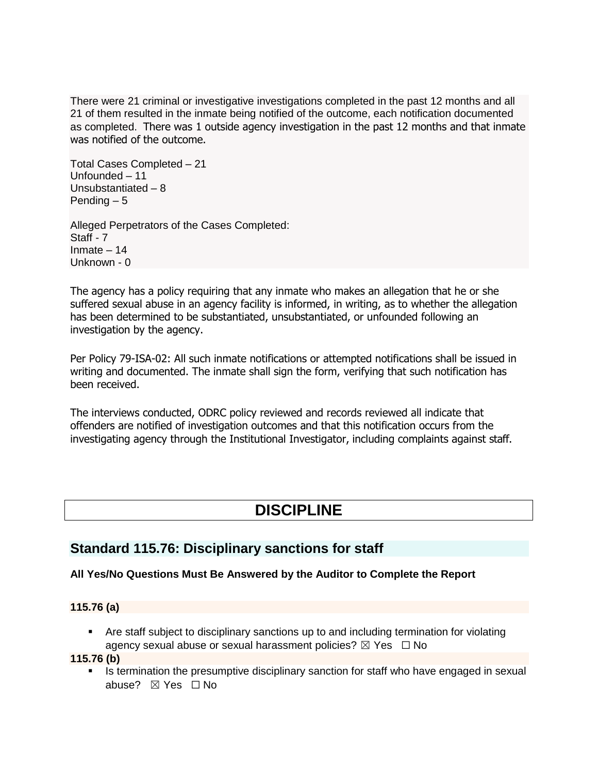There were 21 criminal or investigative investigations completed in the past 12 months and all 21 of them resulted in the inmate being notified of the outcome, each notification documented as completed. There was 1 outside agency investigation in the past 12 months and that inmate was notified of the outcome.

Total Cases Completed – 21 Unfounded – 11 Unsubstantiated – 8 Pending – 5

Alleged Perpetrators of the Cases Completed: Staff - 7 Inmate – 14 Unknown - 0

The agency has a policy requiring that any inmate who makes an allegation that he or she suffered sexual abuse in an agency facility is informed, in writing, as to whether the allegation has been determined to be substantiated, unsubstantiated, or unfounded following an investigation by the agency.

Per Policy 79-ISA-02: All such inmate notifications or attempted notifications shall be issued in writing and documented. The inmate shall sign the form, verifying that such notification has been received.

The interviews conducted, ODRC policy reviewed and records reviewed all indicate that offenders are notified of investigation outcomes and that this notification occurs from the investigating agency through the Institutional Investigator, including complaints against staff.

# **DISCIPLINE**

# **Standard 115.76: Disciplinary sanctions for staff**

## **All Yes/No Questions Must Be Answered by the Auditor to Complete the Report**

#### **115.76 (a)**

■ Are staff subject to disciplinary sanctions up to and including termination for violating agency sexual abuse or sexual harassment policies?  $\boxtimes$  Yes  $\Box$  No

#### **115.76 (b)**

**EXED IS termination the presumptive disciplinary sanction for staff who have engaged in sexual** abuse? ☒ Yes ☐ No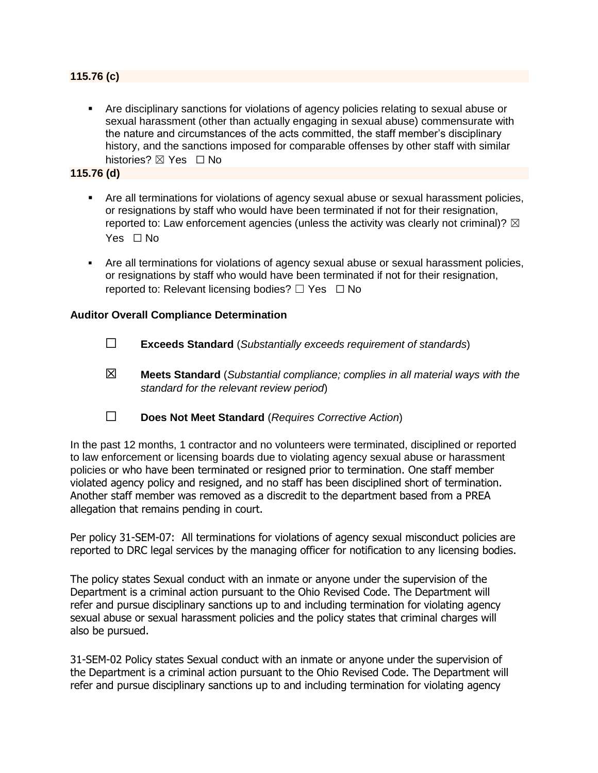#### **115.76 (c)**

▪ Are disciplinary sanctions for violations of agency policies relating to sexual abuse or sexual harassment (other than actually engaging in sexual abuse) commensurate with the nature and circumstances of the acts committed, the staff member's disciplinary history, and the sanctions imposed for comparable offenses by other staff with similar histories? ⊠ Yes □ No

#### **115.76 (d)**

- Are all terminations for violations of agency sexual abuse or sexual harassment policies, or resignations by staff who would have been terminated if not for their resignation, reported to: Law enforcement agencies (unless the activity was clearly not criminal)?  $\boxtimes$ Yes □ No
- **Are all terminations for violations of agency sexual abuse or sexual harassment policies,** or resignations by staff who would have been terminated if not for their resignation, reported to: Relevant licensing bodies?  $\Box$  Yes  $\Box$  No

#### **Auditor Overall Compliance Determination**

- ☐ **Exceeds Standard** (*Substantially exceeds requirement of standards*)
- ☒ **Meets Standard** (*Substantial compliance; complies in all material ways with the standard for the relevant review period*)
- ☐ **Does Not Meet Standard** (*Requires Corrective Action*)

In the past 12 months, 1 contractor and no volunteers were terminated, disciplined or reported to law enforcement or licensing boards due to violating agency sexual abuse or harassment policies or who have been terminated or resigned prior to termination. One staff member violated agency policy and resigned, and no staff has been disciplined short of termination. Another staff member was removed as a discredit to the department based from a PREA allegation that remains pending in court.

Per policy 31-SEM-07: All terminations for violations of agency sexual misconduct policies are reported to DRC legal services by the managing officer for notification to any licensing bodies.

The policy states Sexual conduct with an inmate or anyone under the supervision of the Department is a criminal action pursuant to the Ohio Revised Code. The Department will refer and pursue disciplinary sanctions up to and including termination for violating agency sexual abuse or sexual harassment policies and the policy states that criminal charges will also be pursued.

31-SEM-02 Policy states Sexual conduct with an inmate or anyone under the supervision of the Department is a criminal action pursuant to the Ohio Revised Code. The Department will refer and pursue disciplinary sanctions up to and including termination for violating agency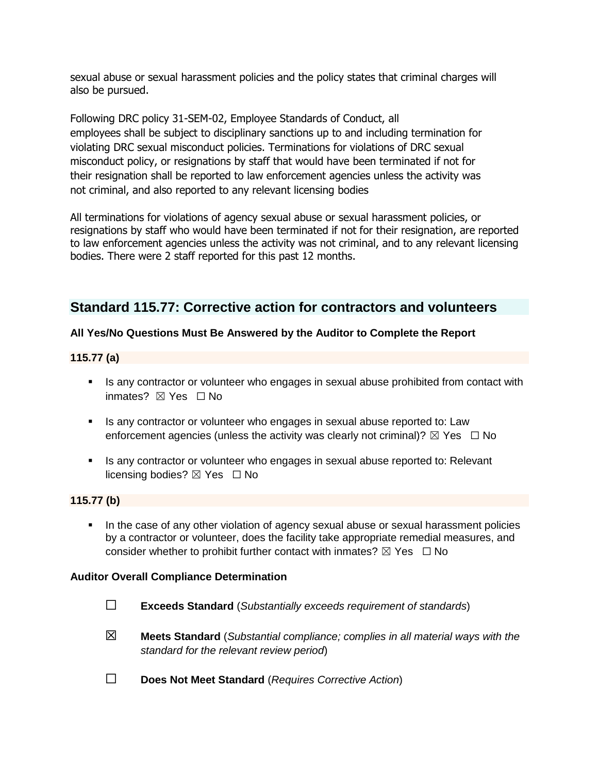sexual abuse or sexual harassment policies and the policy states that criminal charges will also be pursued.

Following DRC policy 31-SEM-02, Employee Standards of Conduct, all employees shall be subject to disciplinary sanctions up to and including termination for violating DRC sexual misconduct policies. Terminations for violations of DRC sexual misconduct policy, or resignations by staff that would have been terminated if not for their resignation shall be reported to law enforcement agencies unless the activity was not criminal, and also reported to any relevant licensing bodies

All terminations for violations of agency sexual abuse or sexual harassment policies, or resignations by staff who would have been terminated if not for their resignation, are reported to law enforcement agencies unless the activity was not criminal, and to any relevant licensing bodies. There were 2 staff reported for this past 12 months.

# **Standard 115.77: Corrective action for contractors and volunteers**

### **All Yes/No Questions Must Be Answered by the Auditor to Complete the Report**

#### **115.77 (a)**

- Is any contractor or volunteer who engages in sexual abuse prohibited from contact with inmates? **⊠** Yes □ No
- **EXECT** Is any contractor or volunteer who engages in sexual abuse reported to: Law enforcement agencies (unless the activity was clearly not criminal)?  $\boxtimes$  Yes  $\Box$  No
- **EXT** Is any contractor or volunteer who engages in sexual abuse reported to: Relevant licensing bodies?  $\boxtimes$  Yes  $\Box$  No

#### **115.77 (b)**

**.** In the case of any other violation of agency sexual abuse or sexual harassment policies by a contractor or volunteer, does the facility take appropriate remedial measures, and consider whether to prohibit further contact with inmates?  $\boxtimes$  Yes  $\Box$  No

#### **Auditor Overall Compliance Determination**

- ☐ **Exceeds Standard** (*Substantially exceeds requirement of standards*)
- ☒ **Meets Standard** (*Substantial compliance; complies in all material ways with the standard for the relevant review period*)
- ☐ **Does Not Meet Standard** (*Requires Corrective Action*)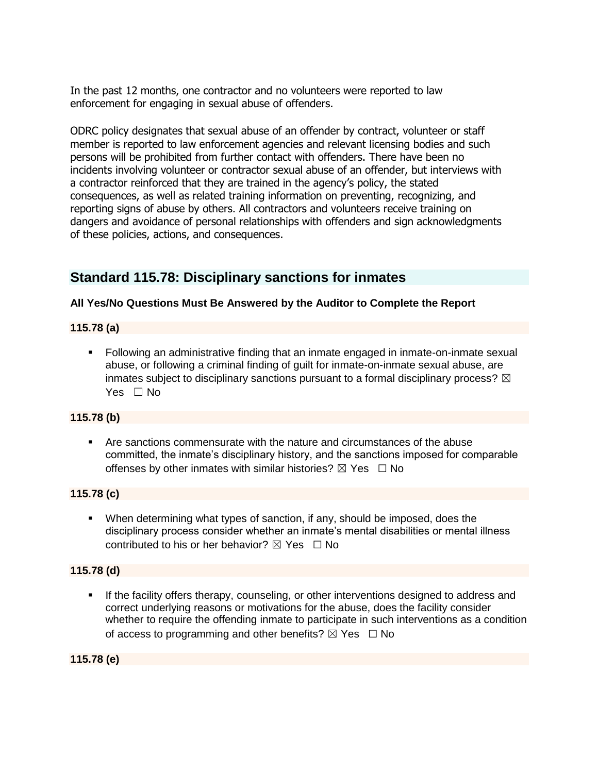In the past 12 months, one contractor and no volunteers were reported to law enforcement for engaging in sexual abuse of offenders.

ODRC policy designates that sexual abuse of an offender by contract, volunteer or staff member is reported to law enforcement agencies and relevant licensing bodies and such persons will be prohibited from further contact with offenders. There have been no incidents involving volunteer or contractor sexual abuse of an offender, but interviews with a contractor reinforced that they are trained in the agency's policy, the stated consequences, as well as related training information on preventing, recognizing, and reporting signs of abuse by others. All contractors and volunteers receive training on dangers and avoidance of personal relationships with offenders and sign acknowledgments of these policies, actions, and consequences.

# **Standard 115.78: Disciplinary sanctions for inmates**

### **All Yes/No Questions Must Be Answered by the Auditor to Complete the Report**

#### **115.78 (a)**

**•** Following an administrative finding that an inmate engaged in inmate-on-inmate sexual abuse, or following a criminal finding of guilt for inmate-on-inmate sexual abuse, are inmates subject to disciplinary sanctions pursuant to a formal disciplinary process?  $\boxtimes$ Yes □ No

#### **115.78 (b)**

▪ Are sanctions commensurate with the nature and circumstances of the abuse committed, the inmate's disciplinary history, and the sanctions imposed for comparable offenses by other inmates with similar histories?  $\boxtimes$  Yes  $\Box$  No

#### **115.78 (c)**

▪ When determining what types of sanction, if any, should be imposed, does the disciplinary process consider whether an inmate's mental disabilities or mental illness contributed to his or her behavior?  $\boxtimes$  Yes  $\Box$  No

#### **115.78 (d)**

If the facility offers therapy, counseling, or other interventions designed to address and correct underlying reasons or motivations for the abuse, does the facility consider whether to require the offending inmate to participate in such interventions as a condition of access to programming and other benefits?  $\boxtimes$  Yes  $\Box$  No

**115.78 (e)**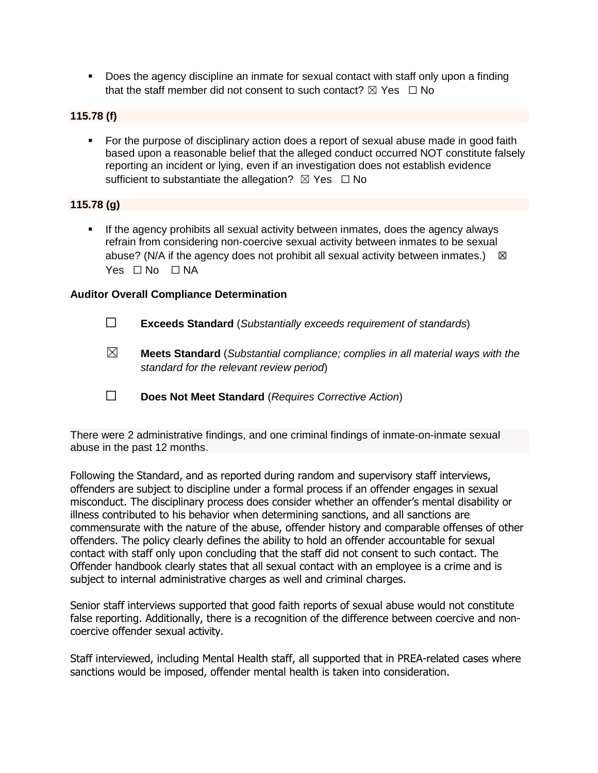▪ Does the agency discipline an inmate for sexual contact with staff only upon a finding that the staff member did not consent to such contact?  $\boxtimes$  Yes  $\Box$  No

#### **115.78 (f)**

■ For the purpose of disciplinary action does a report of sexual abuse made in good faith based upon a reasonable belief that the alleged conduct occurred NOT constitute falsely reporting an incident or lying, even if an investigation does not establish evidence sufficient to substantiate the allegation?  $\boxtimes$  Yes  $\Box$  No

#### **115.78 (g)**

If the agency prohibits all sexual activity between inmates, does the agency always refrain from considering non-coercive sexual activity between inmates to be sexual abuse? (N/A if the agency does not prohibit all sexual activity between inmates.)  $\boxtimes$ Yes □ No □ NA

#### **Auditor Overall Compliance Determination**

- ☐ **Exceeds Standard** (*Substantially exceeds requirement of standards*)
- ☒ **Meets Standard** (*Substantial compliance; complies in all material ways with the standard for the relevant review period*)
- ☐ **Does Not Meet Standard** (*Requires Corrective Action*)

There were 2 administrative findings, and one criminal findings of inmate-on-inmate sexual abuse in the past 12 months.

Following the Standard, and as reported during random and supervisory staff interviews, offenders are subject to discipline under a formal process if an offender engages in sexual misconduct. The disciplinary process does consider whether an offender's mental disability or illness contributed to his behavior when determining sanctions, and all sanctions are commensurate with the nature of the abuse, offender history and comparable offenses of other offenders. The policy clearly defines the ability to hold an offender accountable for sexual contact with staff only upon concluding that the staff did not consent to such contact. The Offender handbook clearly states that all sexual contact with an employee is a crime and is subject to internal administrative charges as well and criminal charges.

Senior staff interviews supported that good faith reports of sexual abuse would not constitute false reporting. Additionally, there is a recognition of the difference between coercive and noncoercive offender sexual activity.

Staff interviewed, including Mental Health staff, all supported that in PREA-related cases where sanctions would be imposed, offender mental health is taken into consideration.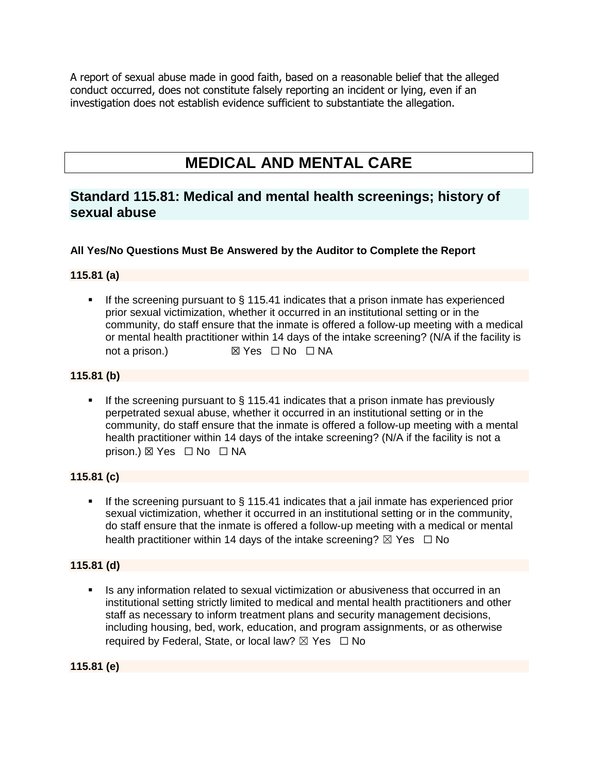A report of sexual abuse made in good faith, based on a reasonable belief that the alleged conduct occurred, does not constitute falsely reporting an incident or lying, even if an investigation does not establish evidence sufficient to substantiate the allegation.

# **MEDICAL AND MENTAL CARE**

# **Standard 115.81: Medical and mental health screenings; history of sexual abuse**

### **All Yes/No Questions Must Be Answered by the Auditor to Complete the Report**

#### **115.81 (a)**

■ If the screening pursuant to § 115.41 indicates that a prison inmate has experienced prior sexual victimization, whether it occurred in an institutional setting or in the community, do staff ensure that the inmate is offered a follow-up meeting with a medical or mental health practitioner within 14 days of the intake screening? (N/A if the facility is not a prison.) **⊠ Yes □ No** □ NA

#### **115.81 (b)**

**.** If the screening pursuant to  $\S$  115.41 indicates that a prison inmate has previously perpetrated sexual abuse, whether it occurred in an institutional setting or in the community, do staff ensure that the inmate is offered a follow-up meeting with a mental health practitioner within 14 days of the intake screening? (N/A if the facility is not a prison.) ⊠ Yes □ No □ NA

#### **115.81 (c)**

**.** If the screening pursuant to  $\S$  115.41 indicates that a jail inmate has experienced prior sexual victimization, whether it occurred in an institutional setting or in the community, do staff ensure that the inmate is offered a follow-up meeting with a medical or mental health practitioner within 14 days of the intake screening?  $\boxtimes$  Yes  $\Box$  No

#### **115.81 (d)**

Is any information related to sexual victimization or abusiveness that occurred in an institutional setting strictly limited to medical and mental health practitioners and other staff as necessary to inform treatment plans and security management decisions, including housing, bed, work, education, and program assignments, or as otherwise required by Federal, State, or local law?  $\boxtimes$  Yes  $\Box$  No

**115.81 (e)**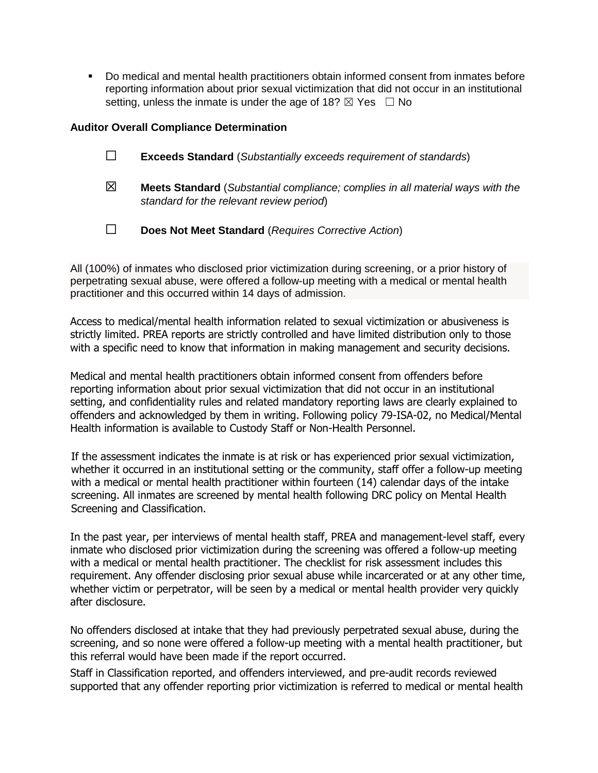▪ Do medical and mental health practitioners obtain informed consent from inmates before reporting information about prior sexual victimization that did not occur in an institutional setting, unless the inmate is under the age of 18?  $\boxtimes$  Yes  $\Box$  No

#### **Auditor Overall Compliance Determination**

|   | Does Not Meet Standard (Requires Corrective Action)                                                                               |
|---|-----------------------------------------------------------------------------------------------------------------------------------|
| ⊠ | <b>Meets Standard</b> (Substantial compliance; complies in all material ways with the<br>standard for the relevant review period) |
|   | <b>Exceeds Standard</b> (Substantially exceeds requirement of standards)                                                          |

All (100%) of inmates who disclosed prior victimization during screening, or a prior history of perpetrating sexual abuse, were offered a follow-up meeting with a medical or mental health practitioner and this occurred within 14 days of admission.

Access to medical/mental health information related to sexual victimization or abusiveness is strictly limited. PREA reports are strictly controlled and have limited distribution only to those with a specific need to know that information in making management and security decisions.

Medical and mental health practitioners obtain informed consent from offenders before reporting information about prior sexual victimization that did not occur in an institutional setting, and confidentiality rules and related mandatory reporting laws are clearly explained to offenders and acknowledged by them in writing. Following policy 79-ISA-02, no Medical/Mental Health information is available to Custody Staff or Non-Health Personnel.

If the assessment indicates the inmate is at risk or has experienced prior sexual victimization, whether it occurred in an institutional setting or the community, staff offer a follow-up meeting with a medical or mental health practitioner within fourteen (14) calendar days of the intake screening. All inmates are screened by mental health following DRC policy on Mental Health Screening and Classification.

In the past year, per interviews of mental health staff, PREA and management-level staff, every inmate who disclosed prior victimization during the screening was offered a follow-up meeting with a medical or mental health practitioner. The checklist for risk assessment includes this requirement. Any offender disclosing prior sexual abuse while incarcerated or at any other time, whether victim or perpetrator, will be seen by a medical or mental health provider very quickly after disclosure.

No offenders disclosed at intake that they had previously perpetrated sexual abuse, during the screening, and so none were offered a follow-up meeting with a mental health practitioner, but this referral would have been made if the report occurred.

Staff in Classification reported, and offenders interviewed, and pre-audit records reviewed supported that any offender reporting prior victimization is referred to medical or mental health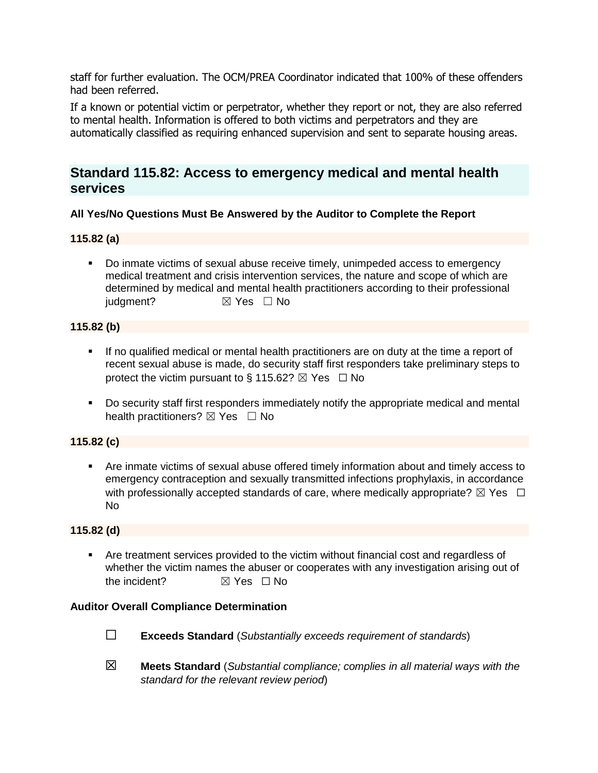staff for further evaluation. The OCM/PREA Coordinator indicated that 100% of these offenders had been referred.

If a known or potential victim or perpetrator, whether they report or not, they are also referred to mental health. Information is offered to both victims and perpetrators and they are automatically classified as requiring enhanced supervision and sent to separate housing areas.

# **Standard 115.82: Access to emergency medical and mental health services**

#### **All Yes/No Questions Must Be Answered by the Auditor to Complete the Report**

#### **115.82 (a)**

▪ Do inmate victims of sexual abuse receive timely, unimpeded access to emergency medical treatment and crisis intervention services, the nature and scope of which are determined by medical and mental health practitioners according to their professional judgment? **⊠** Yes □ No

#### **115.82 (b)**

- If no qualified medical or mental health practitioners are on duty at the time a report of recent sexual abuse is made, do security staff first responders take preliminary steps to protect the victim pursuant to § 115.62?  $\boxtimes$  Yes  $\Box$  No
- Do security staff first responders immediately notify the appropriate medical and mental health practitioners?  $\boxtimes$  Yes  $\Box$  No

#### **115.82 (c)**

▪ Are inmate victims of sexual abuse offered timely information about and timely access to emergency contraception and sexually transmitted infections prophylaxis, in accordance with professionally accepted standards of care, where medically appropriate?  $\boxtimes$  Yes  $\Box$ No

#### **115.82 (d)**

▪ Are treatment services provided to the victim without financial cost and regardless of whether the victim names the abuser or cooperates with any investigation arising out of the incident? **■ ⊠ Yes** □ No

#### **Auditor Overall Compliance Determination**

- ☐ **Exceeds Standard** (*Substantially exceeds requirement of standards*)
- ☒ **Meets Standard** (*Substantial compliance; complies in all material ways with the standard for the relevant review period*)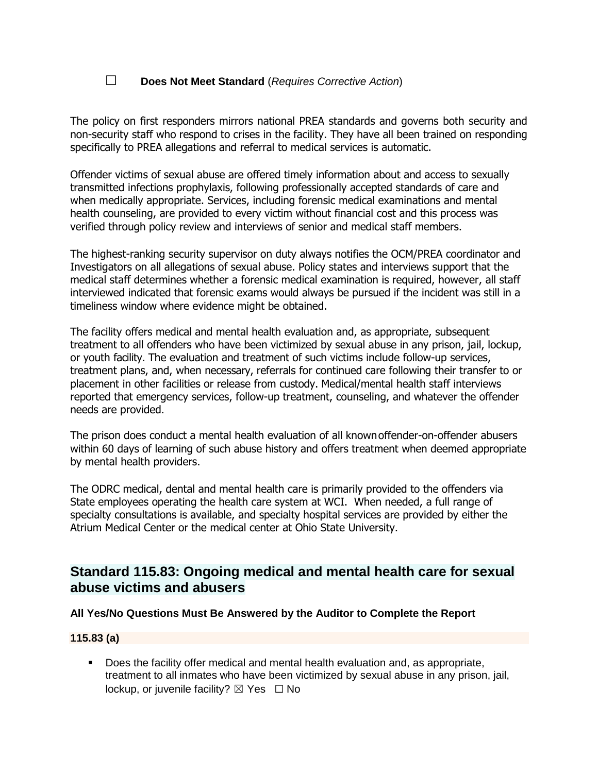## ☐ **Does Not Meet Standard** (*Requires Corrective Action*)

The policy on first responders mirrors national PREA standards and governs both security and non-security staff who respond to crises in the facility. They have all been trained on responding specifically to PREA allegations and referral to medical services is automatic.

Offender victims of sexual abuse are offered timely information about and access to sexually transmitted infections prophylaxis, following professionally accepted standards of care and when medically appropriate. Services, including forensic medical examinations and mental health counseling, are provided to every victim without financial cost and this process was verified through policy review and interviews of senior and medical staff members.

The highest-ranking security supervisor on duty always notifies the OCM/PREA coordinator and Investigators on all allegations of sexual abuse. Policy states and interviews support that the medical staff determines whether a forensic medical examination is required, however, all staff interviewed indicated that forensic exams would always be pursued if the incident was still in a timeliness window where evidence might be obtained.

The facility offers medical and mental health evaluation and, as appropriate, subsequent treatment to all offenders who have been victimized by sexual abuse in any prison, jail, lockup, or youth facility. The evaluation and treatment of such victims include follow-up services, treatment plans, and, when necessary, referrals for continued care following their transfer to or placement in other facilities or release from custody. Medical/mental health staff interviews reported that emergency services, follow-up treatment, counseling, and whatever the offender needs are provided.

The prison does conduct a mental health evaluation of all knownoffender-on-offender abusers within 60 days of learning of such abuse history and offers treatment when deemed appropriate by mental health providers.

The ODRC medical, dental and mental health care is primarily provided to the offenders via State employees operating the health care system at WCI. When needed, a full range of specialty consultations is available, and specialty hospital services are provided by either the Atrium Medical Center or the medical center at Ohio State University.

# **Standard 115.83: Ongoing medical and mental health care for sexual abuse victims and abusers**

#### **All Yes/No Questions Must Be Answered by the Auditor to Complete the Report**

#### **115.83 (a)**

▪ Does the facility offer medical and mental health evaluation and, as appropriate, treatment to all inmates who have been victimized by sexual abuse in any prison, jail, lockup, or juvenile facility?  $\boxtimes$  Yes  $\Box$  No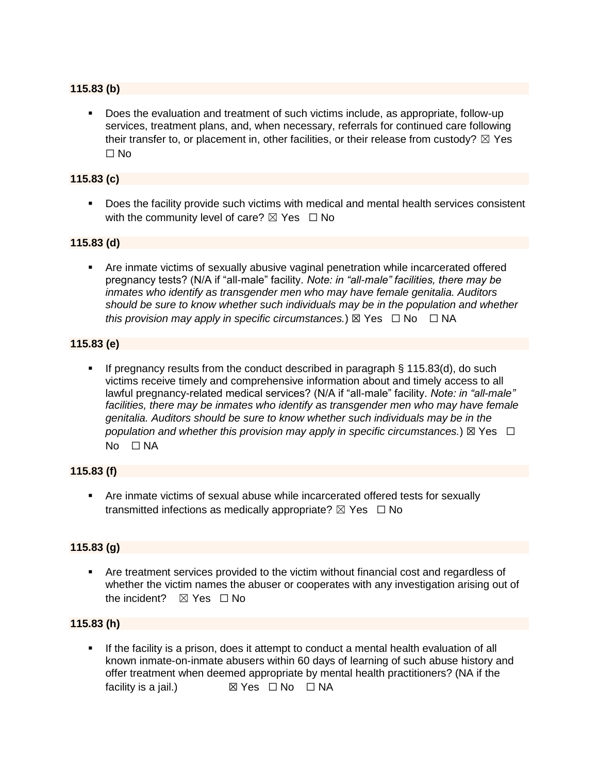#### **115.83 (b)**

▪ Does the evaluation and treatment of such victims include, as appropriate, follow-up services, treatment plans, and, when necessary, referrals for continued care following their transfer to, or placement in, other facilities, or their release from custody?  $\boxtimes$  Yes ☐ No

#### **115.83 (c)**

▪ Does the facility provide such victims with medical and mental health services consistent with the community level of care?  $\boxtimes$  Yes  $\Box$  No

#### **115.83 (d)**

**•** Are inmate victims of sexually abusive vaginal penetration while incarcerated offered pregnancy tests? (N/A if "all-male" facility. *Note: in "all-male" facilities, there may be inmates who identify as transgender men who may have female genitalia. Auditors should be sure to know whether such individuals may be in the population and whether this provision may apply in specific circumstances.*) ⊠ Yes  $\Box$  No  $\Box$  NA

#### **115.83 (e)**

**.** If pregnancy results from the conduct described in paragraph  $\S$  115.83(d), do such victims receive timely and comprehensive information about and timely access to all lawful pregnancy-related medical services? (N/A if "all-male" facility. *Note: in "all-male"*  facilities, there may be inmates who identify as transgender men who may have female *genitalia. Auditors should be sure to know whether such individuals may be in the population and whether this provision may apply in specific circumstances.*) ⊠ Yes  $□$ No □ NA

#### **115.83 (f)**

▪ Are inmate victims of sexual abuse while incarcerated offered tests for sexually transmitted infections as medically appropriate?  $\boxtimes$  Yes  $\Box$  No

#### **115.83 (g)**

**• Are treatment services provided to the victim without financial cost and regardless of** whether the victim names the abuser or cooperates with any investigation arising out of the incident?  $\boxtimes$  Yes  $\Box$  No

#### **115.83 (h)**

**EXECT** If the facility is a prison, does it attempt to conduct a mental health evaluation of all known inmate-on-inmate abusers within 60 days of learning of such abuse history and offer treatment when deemed appropriate by mental health practitioners? (NA if the facility is a jail.) *⊠* **Yes D** No **□ NA**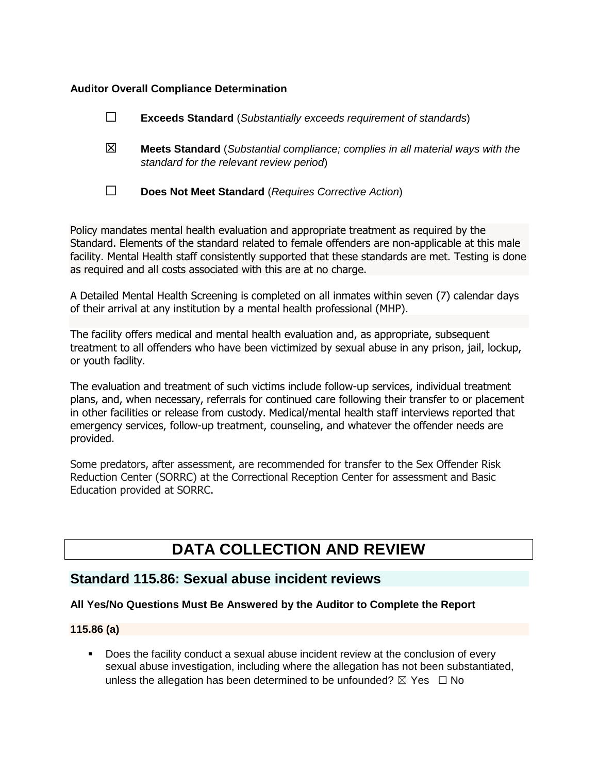#### **Auditor Overall Compliance Determination**

|   | <b>Exceeds Standard</b> (Substantially exceeds requirement of standards)                                                          |
|---|-----------------------------------------------------------------------------------------------------------------------------------|
| 区 | <b>Meets Standard</b> (Substantial compliance; complies in all material ways with the<br>standard for the relevant review period) |
|   | Does Not Meet Standard (Requires Corrective Action)                                                                               |

Policy mandates mental health evaluation and appropriate treatment as required by the Standard. Elements of the standard related to female offenders are non-applicable at this male facility. Mental Health staff consistently supported that these standards are met. Testing is done as required and all costs associated with this are at no charge.

A Detailed Mental Health Screening is completed on all inmates within seven (7) calendar days of their arrival at any institution by a mental health professional (MHP).

The facility offers medical and mental health evaluation and, as appropriate, subsequent treatment to all offenders who have been victimized by sexual abuse in any prison, jail, lockup, or youth facility.

The evaluation and treatment of such victims include follow-up services, individual treatment plans, and, when necessary, referrals for continued care following their transfer to or placement in other facilities or release from custody. Medical/mental health staff interviews reported that emergency services, follow-up treatment, counseling, and whatever the offender needs are provided.

Some predators, after assessment, are recommended for transfer to the Sex Offender Risk Reduction Center (SORRC) at the Correctional Reception Center for assessment and Basic Education provided at SORRC.

# **DATA COLLECTION AND REVIEW**

## **Standard 115.86: Sexual abuse incident reviews**

#### **All Yes/No Questions Must Be Answered by the Auditor to Complete the Report**

### **115.86 (a)**

Does the facility conduct a sexual abuse incident review at the conclusion of every sexual abuse investigation, including where the allegation has not been substantiated, unless the allegation has been determined to be unfounded?  $\boxtimes$  Yes  $\Box$  No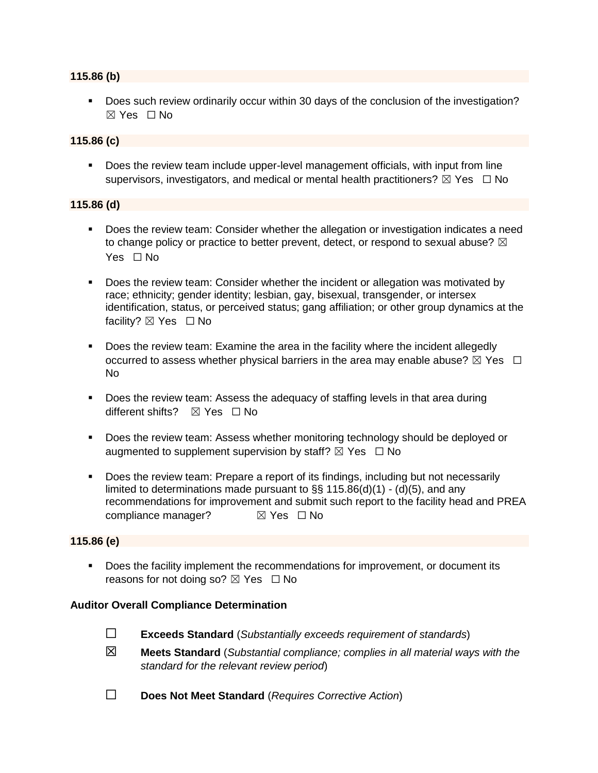#### **115.86 (b)**

**•** Does such review ordinarily occur within 30 days of the conclusion of the investigation? ☒ Yes ☐ No

#### **115.86 (c)**

▪ Does the review team include upper-level management officials, with input from line supervisors, investigators, and medical or mental health practitioners?  $\boxtimes$  Yes  $\Box$  No

#### **115.86 (d)**

- Does the review team: Consider whether the allegation or investigation indicates a need to change policy or practice to better prevent, detect, or respond to sexual abuse?  $\boxtimes$ Yes □ No
- Does the review team: Consider whether the incident or allegation was motivated by race; ethnicity; gender identity; lesbian, gay, bisexual, transgender, or intersex identification, status, or perceived status; gang affiliation; or other group dynamics at the facility?  $\boxtimes$  Yes  $\Box$  No
- Does the review team: Examine the area in the facility where the incident allegedly occurred to assess whether physical barriers in the area may enable abuse?  $\boxtimes$  Yes  $\Box$ No
- Does the review team: Assess the adequacy of staffing levels in that area during different shifts? **⊠** Yes □ No
- Does the review team: Assess whether monitoring technology should be deployed or augmented to supplement supervision by staff?  $\boxtimes$  Yes  $\Box$  No
- **•** Does the review team: Prepare a report of its findings, including but not necessarily limited to determinations made pursuant to  $\S$ § 115.86(d)(1) - (d)(5), and any recommendations for improvement and submit such report to the facility head and PREA compliance manager? **■ ⊠ Yes** □ No

#### **115.86 (e)**

▪ Does the facility implement the recommendations for improvement, or document its reasons for not doing so?  $\boxtimes$  Yes  $\Box$  No

#### **Auditor Overall Compliance Determination**

- ☐ **Exceeds Standard** (*Substantially exceeds requirement of standards*)
- ☒ **Meets Standard** (*Substantial compliance; complies in all material ways with the standard for the relevant review period*)
- ☐ **Does Not Meet Standard** (*Requires Corrective Action*)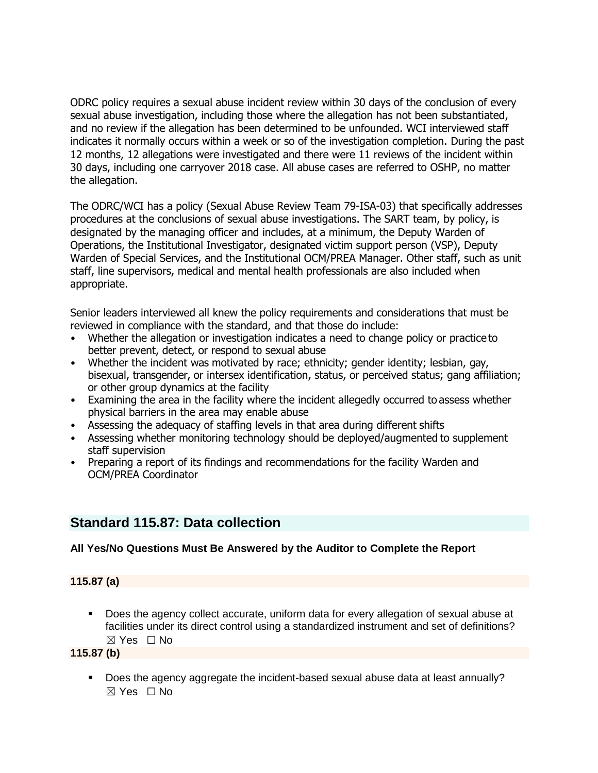ODRC policy requires a sexual abuse incident review within 30 days of the conclusion of every sexual abuse investigation, including those where the allegation has not been substantiated, and no review if the allegation has been determined to be unfounded. WCI interviewed staff indicates it normally occurs within a week or so of the investigation completion. During the past 12 months, 12 allegations were investigated and there were 11 reviews of the incident within 30 days, including one carryover 2018 case. All abuse cases are referred to OSHP, no matter the allegation.

The ODRC/WCI has a policy (Sexual Abuse Review Team 79-ISA-03) that specifically addresses procedures at the conclusions of sexual abuse investigations. The SART team, by policy, is designated by the managing officer and includes, at a minimum, the Deputy Warden of Operations, the Institutional Investigator, designated victim support person (VSP), Deputy Warden of Special Services, and the Institutional OCM/PREA Manager. Other staff, such as unit staff, line supervisors, medical and mental health professionals are also included when appropriate.

Senior leaders interviewed all knew the policy requirements and considerations that must be reviewed in compliance with the standard, and that those do include:

- Whether the allegation or investigation indicates a need to change policy or practice to better prevent, detect, or respond to sexual abuse
- Whether the incident was motivated by race; ethnicity; gender identity; lesbian, gay, bisexual, transgender, or intersex identification, status, or perceived status; gang affiliation; or other group dynamics at the facility
- Examining the area in the facility where the incident allegedly occurred to assess whether physical barriers in the area may enable abuse
- Assessing the adequacy of staffing levels in that area during different shifts
- Assessing whether monitoring technology should be deployed/augmented to supplement staff supervision
- Preparing a report of its findings and recommendations for the facility Warden and OCM/PREA Coordinator

# **Standard 115.87: Data collection**

## **All Yes/No Questions Must Be Answered by the Auditor to Complete the Report**

#### **115.87 (a)**

▪ Does the agency collect accurate, uniform data for every allegation of sexual abuse at facilities under its direct control using a standardized instrument and set of definitions? ☒ Yes ☐ No

#### **115.87 (b)**

Does the agency aggregate the incident-based sexual abuse data at least annually?  $\boxtimes$  Yes  $\Box$  No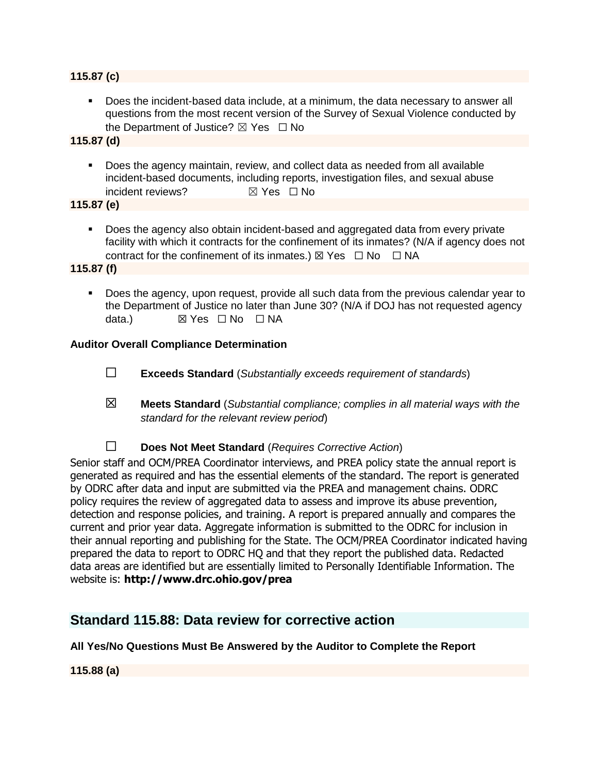#### **115.87 (c)**

**•** Does the incident-based data include, at a minimum, the data necessary to answer all questions from the most recent version of the Survey of Sexual Violence conducted by the Department of Justice?  $\boxtimes$  Yes  $\Box$  No

**115.87 (d)**

▪ Does the agency maintain, review, and collect data as needed from all available incident-based documents, including reports, investigation files, and sexual abuse incident reviews? ☒ Yes ☐ No

**115.87 (e)**

▪ Does the agency also obtain incident-based and aggregated data from every private facility with which it contracts for the confinement of its inmates? (N/A if agency does not contract for the confinement of its inmates.)  $\boxtimes$  Yes  $\Box$  No  $\Box$  NA

**115.87 (f)**

■ Does the agency, upon request, provide all such data from the previous calendar year to the Department of Justice no later than June 30? (N/A if DOJ has not requested agency data.) **⊠ Yes □ No** □ NA

#### **Auditor Overall Compliance Determination**

- ☐ **Exceeds Standard** (*Substantially exceeds requirement of standards*)
- ☒ **Meets Standard** (*Substantial compliance; complies in all material ways with the standard for the relevant review period*)
- ☐ **Does Not Meet Standard** (*Requires Corrective Action*)

Senior staff and OCM/PREA Coordinator interviews, and PREA policy state the annual report is generated as required and has the essential elements of the standard. The report is generated by ODRC after data and input are submitted via the PREA and management chains. ODRC policy requires the review of aggregated data to assess and improve its abuse prevention, detection and response policies, and training. A report is prepared annually and compares the current and prior year data. Aggregate information is submitted to the ODRC for inclusion in their annual reporting and publishing for the State. The OCM/PREA Coordinator indicated having prepared the data to report to ODRC HQ and that they report the published data. Redacted data areas are identified but are essentially limited to Personally Identifiable Information. The website is: **http://www.drc.ohio.gov/prea**

# **Standard 115.88: Data review for corrective action**

#### **All Yes/No Questions Must Be Answered by the Auditor to Complete the Report**

**115.88 (a)**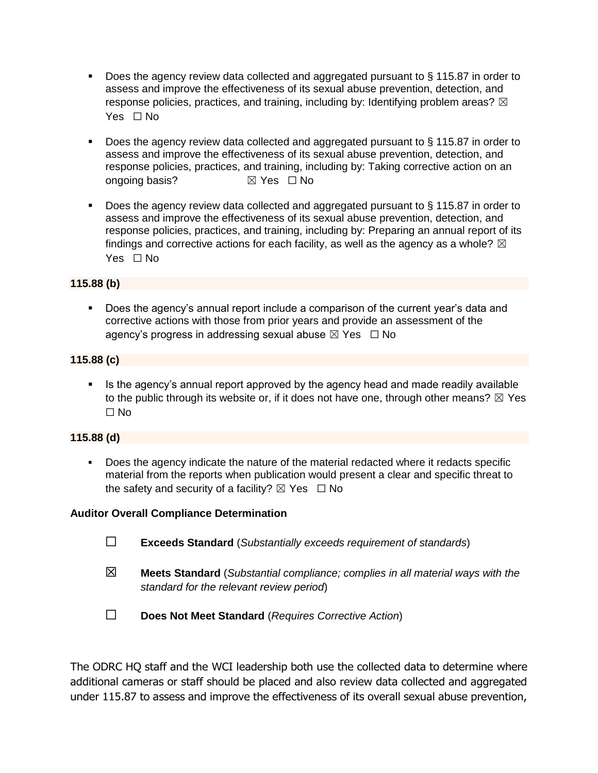- $\blacksquare$  Does the agency review data collected and aggregated pursuant to § 115.87 in order to assess and improve the effectiveness of its sexual abuse prevention, detection, and response policies, practices, and training, including by: Identifying problem areas?  $\boxtimes$ Yes □ No
- Does the agency review data collected and aggregated pursuant to  $\S$  115.87 in order to assess and improve the effectiveness of its sexual abuse prevention, detection, and response policies, practices, and training, including by: Taking corrective action on an ongoing basis? **⊠** Yes □ No
- Does the agency review data collected and aggregated pursuant to § 115.87 in order to assess and improve the effectiveness of its sexual abuse prevention, detection, and response policies, practices, and training, including by: Preparing an annual report of its findings and corrective actions for each facility, as well as the agency as a whole?  $\boxtimes$ Yes □ No

#### **115.88 (b)**

■ Does the agency's annual report include a comparison of the current year's data and corrective actions with those from prior years and provide an assessment of the agency's progress in addressing sexual abuse  $\boxtimes$  Yes  $\Box$  No

#### **115.88 (c)**

■ Is the agency's annual report approved by the agency head and made readily available to the public through its website or, if it does not have one, through other means?  $\boxtimes$  Yes ☐ No

#### **115.88 (d)**

▪ Does the agency indicate the nature of the material redacted where it redacts specific material from the reports when publication would present a clear and specific threat to the safety and security of a facility?  $\boxtimes$  Yes  $\Box$  No

#### **Auditor Overall Compliance Determination**

- ☐ **Exceeds Standard** (*Substantially exceeds requirement of standards*)
- ☒ **Meets Standard** (*Substantial compliance; complies in all material ways with the standard for the relevant review period*)
- ☐ **Does Not Meet Standard** (*Requires Corrective Action*)

The ODRC HQ staff and the WCI leadership both use the collected data to determine where additional cameras or staff should be placed and also review data collected and aggregated under 115.87 to assess and improve the effectiveness of its overall sexual abuse prevention,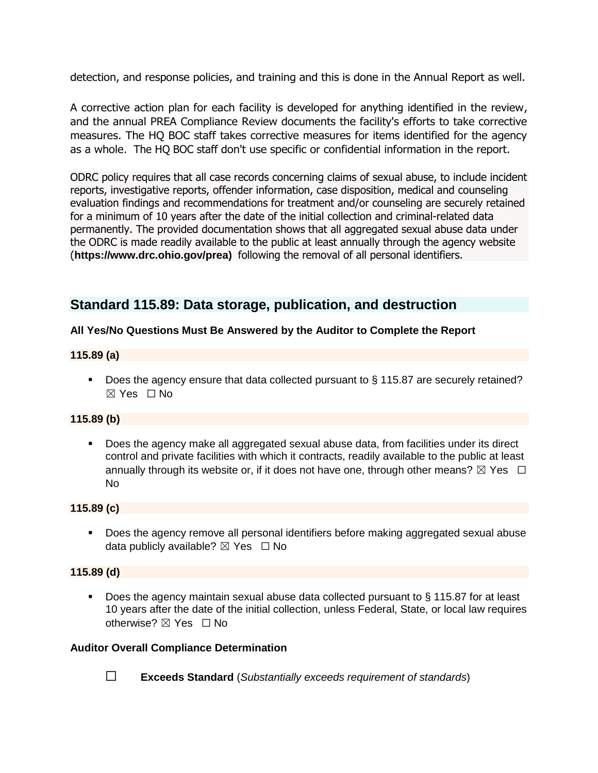detection, and response policies, and training and this is done in the Annual Report as well.

A corrective action plan for each facility is developed for anything identified in the review, and the annual PREA Compliance Review documents the facility's efforts to take corrective measures. The HQ BOC staff takes corrective measures for items identified for the agency as a whole. The HQ BOC staff don't use specific or confidential information in the report.

ODRC policy requires that all case records concerning claims of sexual abuse, to include incident reports, investigative reports, offender information, case disposition, medical and counseling evaluation findings and recommendations for treatment and/or counseling are securely retained for a minimum of 10 years after the date of the initial collection and criminal-related data permanently. The provided documentation shows that all aggregated sexual abuse data under the ODRC is made readily available to the public at least annually through the agency website (**https://www.drc.ohio.gov/prea)** following the removal of all personal identifiers.

# **Standard 115.89: Data storage, publication, and destruction**

### **All Yes/No Questions Must Be Answered by the Auditor to Complete the Report**

#### **115.89 (a)**

■ Does the agency ensure that data collected pursuant to § 115.87 are securely retained?  $\boxtimes$  Yes  $\Box$  No

### **115.89 (b)**

■ Does the agency make all aggregated sexual abuse data, from facilities under its direct control and private facilities with which it contracts, readily available to the public at least annually through its website or, if it does not have one, through other means?  $\boxtimes$  Yes  $\Box$ No

#### **115.89 (c)**

▪ Does the agency remove all personal identifiers before making aggregated sexual abuse data publicly available?  $\boxtimes$  Yes  $\Box$  No

#### **115.89 (d)**

■ Does the agency maintain sexual abuse data collected pursuant to § 115.87 for at least 10 years after the date of the initial collection, unless Federal, State, or local law requires otherwise? ⊠ Yes □ No

#### **Auditor Overall Compliance Determination**

☐ **Exceeds Standard** (*Substantially exceeds requirement of standards*)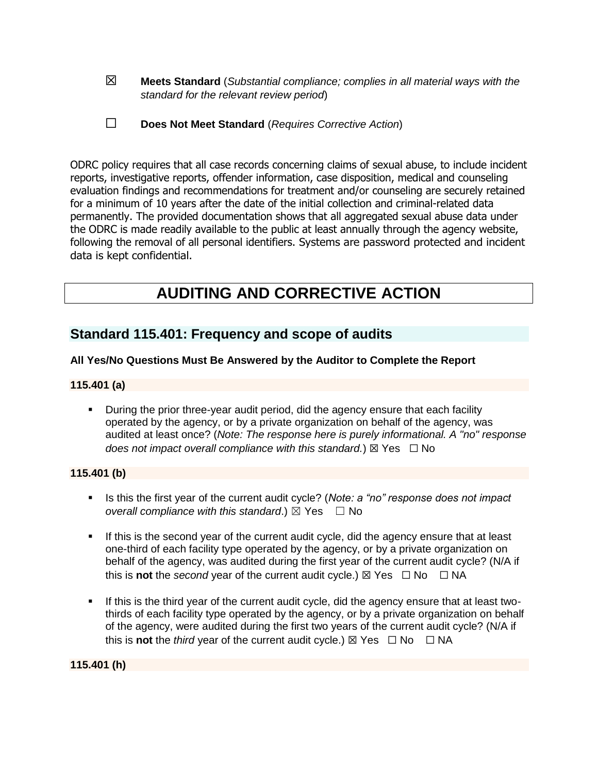☒ **Meets Standard** (*Substantial compliance; complies in all material ways with the standard for the relevant review period*)

| $\Box$ | Does Not Meet Standard (Requires Corrective Action) |
|--------|-----------------------------------------------------|
|--------|-----------------------------------------------------|

ODRC policy requires that all case records concerning claims of sexual abuse, to include incident reports, investigative reports, offender information, case disposition, medical and counseling evaluation findings and recommendations for treatment and/or counseling are securely retained for a minimum of 10 years after the date of the initial collection and criminal-related data permanently. The provided documentation shows that all aggregated sexual abuse data under the ODRC is made readily available to the public at least annually through the agency website, following the removal of all personal identifiers. Systems are password protected and incident data is kept confidential.

# **AUDITING AND CORRECTIVE ACTION**

# **Standard 115.401: Frequency and scope of audits**

### **All Yes/No Questions Must Be Answered by the Auditor to Complete the Report**

#### **115.401 (a)**

During the prior three-year audit period, did the agency ensure that each facility operated by the agency, or by a private organization on behalf of the agency, was audited at least once? (*Note: The response here is purely informational. A "no" response does not impact overall compliance with this standard.*) ⊠ Yes  $\Box$  No

#### **115.401 (b)**

- Is this the first year of the current audit cycle? (*Note: a "no" response does not impact overall compliance with this standard.*)  $\boxtimes$  Yes  $\Box$  No
- **EXECT** If this is the second year of the current audit cycle, did the agency ensure that at least one-third of each facility type operated by the agency, or by a private organization on behalf of the agency, was audited during the first year of the current audit cycle? (N/A if this is **not** the *second* year of the current audit cycle.)  $\boxtimes$  Yes  $\Box$  No  $\Box$  NA
- If this is the third year of the current audit cycle, did the agency ensure that at least twothirds of each facility type operated by the agency, or by a private organization on behalf of the agency, were audited during the first two years of the current audit cycle? (N/A if this is **not** the *third* year of the current audit cycle.) ⊠ Yes □ No □ NA

**115.401 (h)**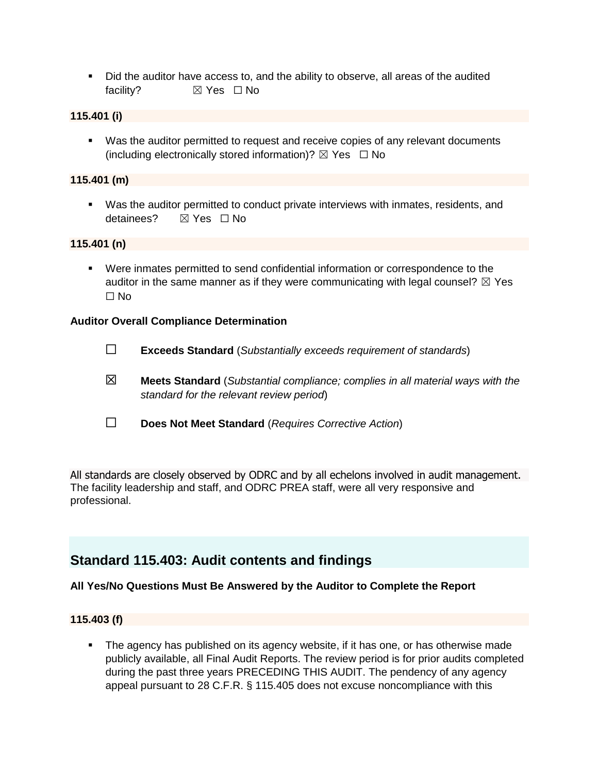■ Did the auditor have access to, and the ability to observe, all areas of the audited facility? **⊠** Yes □ No

#### **115.401 (i)**

▪ Was the auditor permitted to request and receive copies of any relevant documents (including electronically stored information)?  $\boxtimes$  Yes  $\Box$  No

#### **115.401 (m)**

▪ Was the auditor permitted to conduct private interviews with inmates, residents, and detainees? ☒ Yes ☐ No

#### **115.401 (n)**

▪ Were inmates permitted to send confidential information or correspondence to the auditor in the same manner as if they were communicating with legal counsel?  $\boxtimes$  Yes ☐ No

#### **Auditor Overall Compliance Determination**

- ☐ **Exceeds Standard** (*Substantially exceeds requirement of standards*)
- ☒ **Meets Standard** (*Substantial compliance; complies in all material ways with the standard for the relevant review period*)
- ☐ **Does Not Meet Standard** (*Requires Corrective Action*)

All standards are closely observed by ODRC and by all echelons involved in audit management. The facility leadership and staff, and ODRC PREA staff, were all very responsive and professional.

# **Standard 115.403: Audit contents and findings**

#### **All Yes/No Questions Must Be Answered by the Auditor to Complete the Report**

#### **115.403 (f)**

**•** The agency has published on its agency website, if it has one, or has otherwise made publicly available, all Final Audit Reports. The review period is for prior audits completed during the past three years PRECEDING THIS AUDIT. The pendency of any agency appeal pursuant to 28 C.F.R. § 115.405 does not excuse noncompliance with this